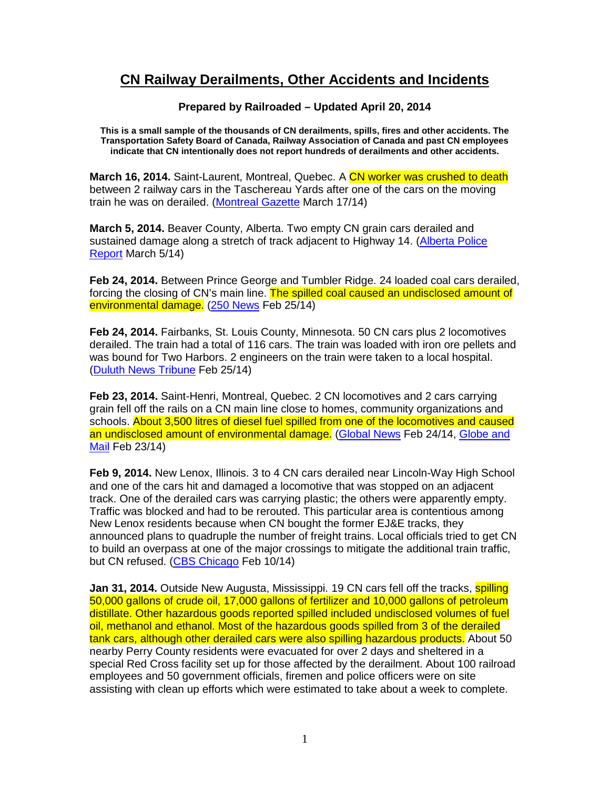## **CN Railway Derailments, Other Accidents and Incidents**

## **Prepared by Railroaded – Updated April 20, 2014**

**This is a small sample of the thousands of CN derailments, spills, fires and other accidents. The Transportation Safety Board of Canada, Railway Association of Canada and past CN employees indicate that CN intentionally does not report hundreds of derailments and other accidents.** 

**March 16, 2014.** Saint-Laurent, Montreal, Quebec. A CN worker was crushed to death between 2 railway cars in the Taschereau Yards after one of the cars on the moving train he was on derailed. (Montreal Gazette March 17/14)

**March 5, 2014.** Beaver County, Alberta. Two empty CN grain cars derailed and sustained damage along a stretch of track adjacent to Highway 14. (Alberta Police Report March 5/14)

**Feb 24, 2014.** Between Prince George and Tumbler Ridge. 24 loaded coal cars derailed, forcing the closing of CN's main line. The spilled coal caused an undisclosed amount of environmental damage. (250 News Feb 25/14)

**Feb 24, 2014.** Fairbanks, St. Louis County, Minnesota. 50 CN cars plus 2 locomotives derailed. The train had a total of 116 cars. The train was loaded with iron ore pellets and was bound for Two Harbors. 2 engineers on the train were taken to a local hospital. (Duluth News Tribune Feb 25/14)

**Feb 23, 2014.** Saint-Henri, Montreal, Quebec. 2 CN locomotives and 2 cars carrying grain fell off the rails on a CN main line close to homes, community organizations and schools. About 3,500 litres of diesel fuel spilled from one of the locomotives and caused an undisclosed amount of environmental damage. (Global News Feb 24/14, Globe and Mail Feb 23/14)

**Feb 9, 2014.** New Lenox, Illinois. 3 to 4 CN cars derailed near Lincoln-Way High School and one of the cars hit and damaged a locomotive that was stopped on an adjacent track. One of the derailed cars was carrying plastic; the others were apparently empty. Traffic was blocked and had to be rerouted. This particular area is contentious among New Lenox residents because when CN bought the former EJ&E tracks, they announced plans to quadruple the number of freight trains. Local officials tried to get CN to build an overpass at one of the major crossings to mitigate the additional train traffic, but CN refused. (CBS Chicago Feb 10/14)

**Jan 31, 2014.** Outside New Augusta, Mississippi. 19 CN cars fell off the tracks, **spilling** 50,000 gallons of crude oil, 17,000 gallons of fertilizer and 10,000 gallons of petroleum distillate. Other hazardous goods reported spilled included undisclosed volumes of fuel oil, methanol and ethanol. Most of the hazardous goods spilled from 3 of the derailed tank cars, although other derailed cars were also spilling hazardous products. About 50 nearby Perry County residents were evacuated for over 2 days and sheltered in a special Red Cross facility set up for those affected by the derailment. About 100 railroad employees and 50 government officials, firemen and police officers were on site assisting with clean up efforts which were estimated to take about a week to complete.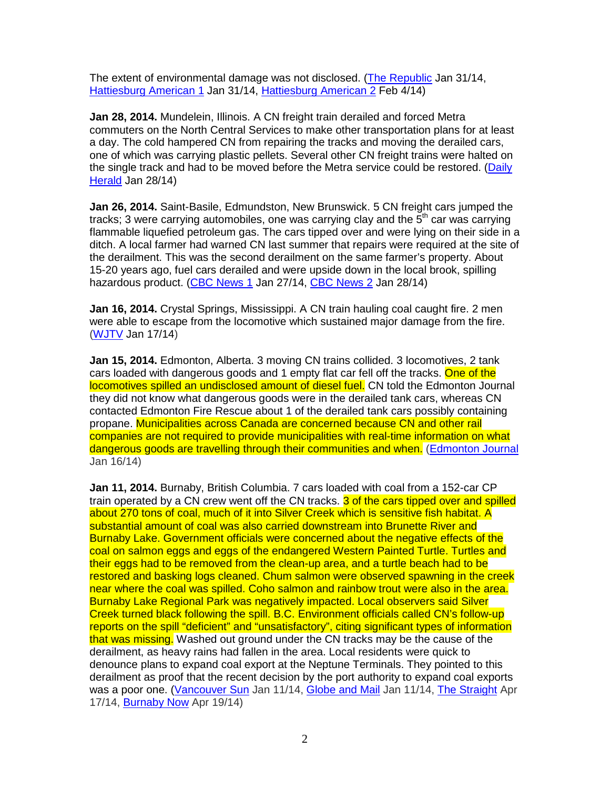The extent of environmental damage was not disclosed. (The Republic Jan 31/14, Hattiesburg American 1 Jan 31/14, Hattiesburg American 2 Feb 4/14)

**Jan 28, 2014.** Mundelein, Illinois. A CN freight train derailed and forced Metra commuters on the North Central Services to make other transportation plans for at least a day. The cold hampered CN from repairing the tracks and moving the derailed cars, one of which was carrying plastic pellets. Several other CN freight trains were halted on the single track and had to be moved before the Metra service could be restored. (Daily Herald Jan 28/14)

**Jan 26, 2014.** Saint-Basile, Edmundston, New Brunswick. 5 CN freight cars jumped the tracks; 3 were carrying automobiles, one was carrying clay and the  $5<sup>th</sup>$  car was carrying flammable liquefied petroleum gas. The cars tipped over and were lying on their side in a ditch. A local farmer had warned CN last summer that repairs were required at the site of the derailment. This was the second derailment on the same farmer's property. About 15-20 years ago, fuel cars derailed and were upside down in the local brook, spilling hazardous product. (CBC News 1 Jan 27/14, CBC News 2 Jan 28/14)

**Jan 16, 2014.** Crystal Springs, Mississippi. A CN train hauling coal caught fire. 2 men were able to escape from the locomotive which sustained major damage from the fire. (WJTV Jan 17/14)

**Jan 15, 2014.** Edmonton, Alberta. 3 moving CN trains collided. 3 locomotives, 2 tank cars loaded with dangerous goods and 1 empty flat car fell off the tracks. One of the locomotives spilled an undisclosed amount of diesel fuel. CN told the Edmonton Journal they did not know what dangerous goods were in the derailed tank cars, whereas CN contacted Edmonton Fire Rescue about 1 of the derailed tank cars possibly containing propane. Municipalities across Canada are concerned because CN and other rail companies are not required to provide municipalities with real-time information on what dangerous goods are travelling through their communities and when. (Edmonton Journal Jan 16/14)

**Jan 11, 2014.** Burnaby, British Columbia. 7 cars loaded with coal from a 152-car CP train operated by a CN crew went off the CN tracks. 3 of the cars tipped over and spilled about 270 tons of coal, much of it into Silver Creek which is sensitive fish habitat. A substantial amount of coal was also carried downstream into Brunette River and Burnaby Lake. Government officials were concerned about the negative effects of the coal on salmon eggs and eggs of the endangered Western Painted Turtle. Turtles and their eggs had to be removed from the clean-up area, and a turtle beach had to be restored and basking logs cleaned. Chum salmon were observed spawning in the creek near where the coal was spilled. Coho salmon and rainbow trout were also in the area. Burnaby Lake Regional Park was negatively impacted. Local observers said Silver Creek turned black following the spill. B.C. Environment officials called CN's follow-up reports on the spill "deficient" and "unsatisfactory", citing significant types of information that was missing. Washed out ground under the CN tracks may be the cause of the derailment, as heavy rains had fallen in the area. Local residents were quick to denounce plans to expand coal export at the Neptune Terminals. They pointed to this derailment as proof that the recent decision by the port authority to expand coal exports was a poor one. (Vancouver Sun Jan 11/14, Globe and Mail Jan 11/14, The Straight Apr 17/14, Burnaby Now Apr 19/14)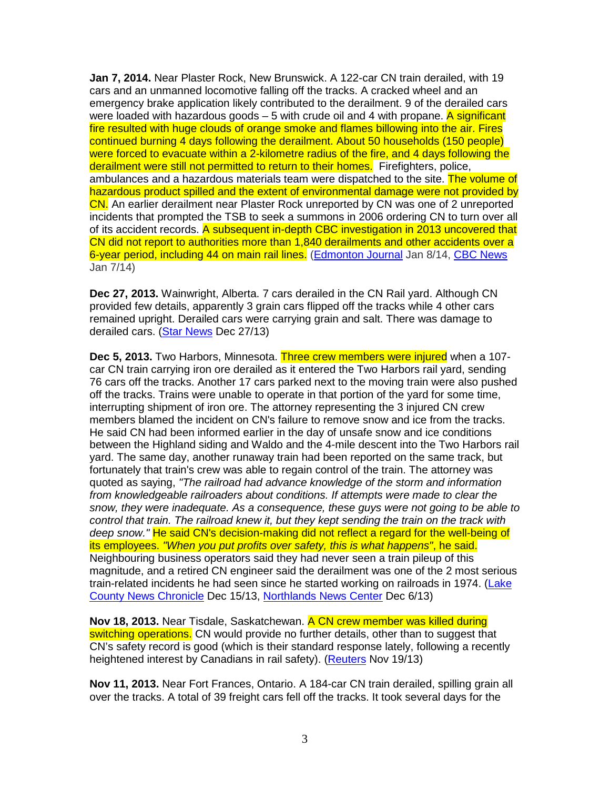**Jan 7, 2014.** Near Plaster Rock, New Brunswick. A 122-car CN train derailed, with 19 cars and an unmanned locomotive falling off the tracks. A cracked wheel and an emergency brake application likely contributed to the derailment. 9 of the derailed cars were loaded with hazardous goods  $-5$  with crude oil and 4 with propane. A significant fire resulted with huge clouds of orange smoke and flames billowing into the air. Fires continued burning 4 days following the derailment. About 50 households (150 people) were forced to evacuate within a 2-kilometre radius of the fire, and 4 days following the derailment were still not permitted to return to their homes. Firefighters, police, ambulances and a hazardous materials team were dispatched to the site. The volume of hazardous product spilled and the extent of environmental damage were not provided by CN. An earlier derailment near Plaster Rock unreported by CN was one of 2 unreported incidents that prompted the TSB to seek a summons in 2006 ordering CN to turn over all of its accident records. A subsequent in-depth CBC investigation in 2013 uncovered that CN did not report to authorities more than 1,840 derailments and other accidents over a 6-year period, including 44 on main rail lines. (Edmonton Journal Jan 8/14, CBC News Jan 7/14)

**Dec 27, 2013.** Wainwright, Alberta. 7 cars derailed in the CN Rail yard. Although CN provided few details, apparently 3 grain cars flipped off the tracks while 4 other cars remained upright. Derailed cars were carrying grain and salt. There was damage to derailed cars. (Star News Dec 27/13)

**Dec 5, 2013.** Two Harbors, Minnesota. Three crew members were injured when a 107 car CN train carrying iron ore derailed as it entered the Two Harbors rail yard, sending 76 cars off the tracks. Another 17 cars parked next to the moving train were also pushed off the tracks. Trains were unable to operate in that portion of the yard for some time, interrupting shipment of iron ore. The attorney representing the 3 injured CN crew members blamed the incident on CN's failure to remove snow and ice from the tracks. He said CN had been informed earlier in the day of unsafe snow and ice conditions between the Highland siding and Waldo and the 4-mile descent into the Two Harbors rail yard. The same day, another runaway train had been reported on the same track, but fortunately that train's crew was able to regain control of the train. The attorney was quoted as saying, "The railroad had advance knowledge of the storm and information from knowledgeable railroaders about conditions. If attempts were made to clear the snow, they were inadequate. As a consequence, these guys were not going to be able to control that train. The railroad knew it, but they kept sending the train on the track with deep snow." He said CN's decision-making did not reflect a regard for the well-being of its employees. "When you put profits over safety, this is what happens", he said. Neighbouring business operators said they had never seen a train pileup of this magnitude, and a retired CN engineer said the derailment was one of the 2 most serious train-related incidents he had seen since he started working on railroads in 1974. (Lake County News Chronicle Dec 15/13, Northlands News Center Dec 6/13)

**Nov 18, 2013.** Near Tisdale, Saskatchewan. A CN crew member was killed during switching operations. CN would provide no further details, other than to suggest that CN's safety record is good (which is their standard response lately, following a recently heightened interest by Canadians in rail safety). (Reuters Nov 19/13)

**Nov 11, 2013.** Near Fort Frances, Ontario. A 184-car CN train derailed, spilling grain all over the tracks. A total of 39 freight cars fell off the tracks. It took several days for the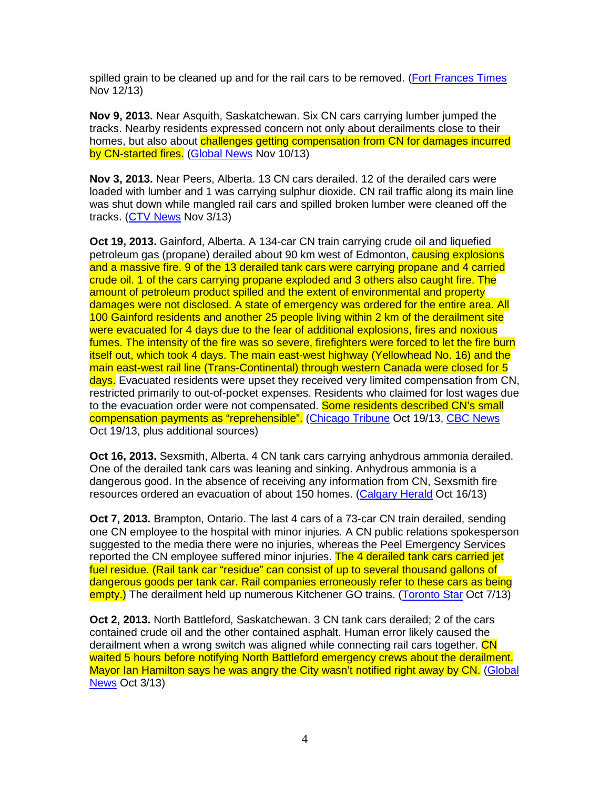spilled grain to be cleaned up and for the rail cars to be removed. (Fort Frances Times Nov 12/13)

**Nov 9, 2013.** Near Asquith, Saskatchewan. Six CN cars carrying lumber jumped the tracks. Nearby residents expressed concern not only about derailments close to their homes, but also about challenges getting compensation from CN for damages incurred by CN-started fires. (Global News Nov 10/13)

**Nov 3, 2013.** Near Peers, Alberta. 13 CN cars derailed. 12 of the derailed cars were loaded with lumber and 1 was carrying sulphur dioxide. CN rail traffic along its main line was shut down while mangled rail cars and spilled broken lumber were cleaned off the tracks. (CTV News Nov 3/13)

**Oct 19, 2013.** Gainford, Alberta. A 134-car CN train carrying crude oil and liquefied petroleum gas (propane) derailed about 90 km west of Edmonton, causing explosions and a massive fire. 9 of the 13 derailed tank cars were carrying propane and 4 carried crude oil. 1 of the cars carrying propane exploded and 3 others also caught fire. The amount of petroleum product spilled and the extent of environmental and property damages were not disclosed. A state of emergency was ordered for the entire area. All 100 Gainford residents and another 25 people living within 2 km of the derailment site were evacuated for 4 days due to the fear of additional explosions, fires and noxious fumes. The intensity of the fire was so severe, firefighters were forced to let the fire burn itself out, which took 4 days. The main east-west highway (Yellowhead No. 16) and the main east-west rail line (Trans-Continental) through western Canada were closed for 5 days. Evacuated residents were upset they received very limited compensation from CN, restricted primarily to out-of-pocket expenses. Residents who claimed for lost wages due to the evacuation order were not compensated. Some residents described CN's small compensation payments as "reprehensible". (Chicago Tribune Oct 19/13, CBC News Oct 19/13, plus additional sources)

**Oct 16, 2013.** Sexsmith, Alberta. 4 CN tank cars carrying anhydrous ammonia derailed. One of the derailed tank cars was leaning and sinking. Anhydrous ammonia is a dangerous good. In the absence of receiving any information from CN, Sexsmith fire resources ordered an evacuation of about 150 homes. (Calgary Herald Oct 16/13)

**Oct 7, 2013.** Brampton, Ontario. The last 4 cars of a 73-car CN train derailed, sending one CN employee to the hospital with minor injuries. A CN public relations spokesperson suggested to the media there were no injuries, whereas the Peel Emergency Services reported the CN employee suffered minor injuries. The 4 derailed tank cars carried jet fuel residue. (Rail tank car "residue" can consist of up to several thousand gallons of dangerous goods per tank car. Rail companies erroneously refer to these cars as being empty.) The derailment held up numerous Kitchener GO trains. (Toronto Star Oct 7/13)

**Oct 2, 2013.** North Battleford, Saskatchewan. 3 CN tank cars derailed; 2 of the cars contained crude oil and the other contained asphalt. Human error likely caused the derailment when a wrong switch was aligned while connecting rail cars together. CN waited 5 hours before notifying North Battleford emergency crews about the derailment. Mayor Ian Hamilton says he was angry the City wasn't notified right away by CN. (Global News Oct 3/13)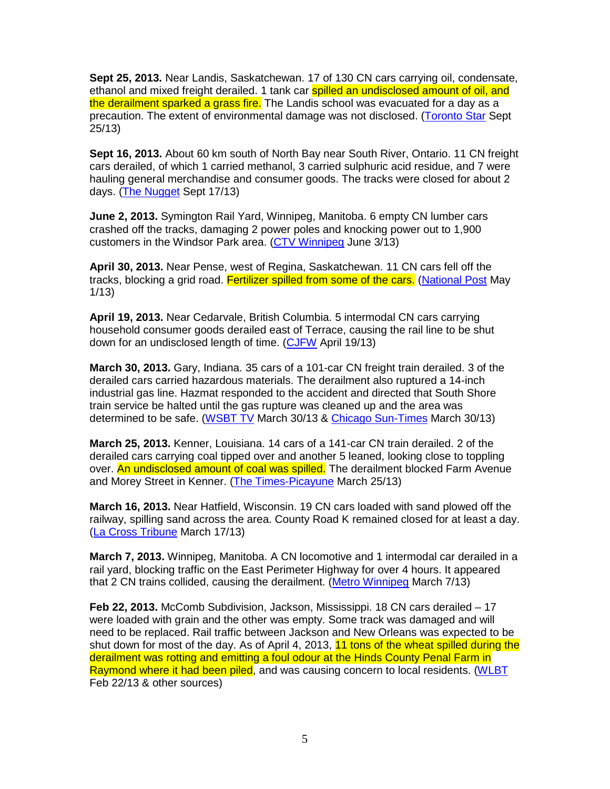**Sept 25, 2013.** Near Landis, Saskatchewan. 17 of 130 CN cars carrying oil, condensate, ethanol and mixed freight derailed. 1 tank car spilled an undisclosed amount of oil, and the derailment sparked a grass fire. The Landis school was evacuated for a day as a precaution. The extent of environmental damage was not disclosed. (Toronto Star Sept 25/13)

**Sept 16, 2013.** About 60 km south of North Bay near South River, Ontario. 11 CN freight cars derailed, of which 1 carried methanol, 3 carried sulphuric acid residue, and 7 were hauling general merchandise and consumer goods. The tracks were closed for about 2 days. (The Nugget Sept 17/13)

**June 2, 2013.** Symington Rail Yard, Winnipeg, Manitoba. 6 empty CN lumber cars crashed off the tracks, damaging 2 power poles and knocking power out to 1,900 customers in the Windsor Park area. (CTV Winnipeg June 3/13)

**April 30, 2013.** Near Pense, west of Regina, Saskatchewan. 11 CN cars fell off the tracks, blocking a grid road. Fertilizer spilled from some of the cars. (National Post May 1/13)

**April 19, 2013.** Near Cedarvale, British Columbia. 5 intermodal CN cars carrying household consumer goods derailed east of Terrace, causing the rail line to be shut down for an undisclosed length of time. (CJFW April 19/13)

**March 30, 2013.** Gary, Indiana. 35 cars of a 101-car CN freight train derailed. 3 of the derailed cars carried hazardous materials. The derailment also ruptured a 14-inch industrial gas line. Hazmat responded to the accident and directed that South Shore train service be halted until the gas rupture was cleaned up and the area was determined to be safe. (WSBT TV March 30/13 & Chicago Sun-Times March 30/13)

**March 25, 2013.** Kenner, Louisiana. 14 cars of a 141-car CN train derailed. 2 of the derailed cars carrying coal tipped over and another 5 leaned, looking close to toppling over. An undisclosed amount of coal was spilled. The derailment blocked Farm Avenue and Morey Street in Kenner. (The Times-Picayune March 25/13)

**March 16, 2013.** Near Hatfield, Wisconsin. 19 CN cars loaded with sand plowed off the railway, spilling sand across the area. County Road K remained closed for at least a day. (La Cross Tribune March 17/13)

**March 7, 2013.** Winnipeg, Manitoba. A CN locomotive and 1 intermodal car derailed in a rail yard, blocking traffic on the East Perimeter Highway for over 4 hours. It appeared that 2 CN trains collided, causing the derailment. (Metro Winnipeg March 7/13)

**Feb 22, 2013.** McComb Subdivision, Jackson, Mississippi. 18 CN cars derailed – 17 were loaded with grain and the other was empty. Some track was damaged and will need to be replaced. Rail traffic between Jackson and New Orleans was expected to be shut down for most of the day. As of April 4, 2013, 11 tons of the wheat spilled during the derailment was rotting and emitting a foul odour at the Hinds County Penal Farm in Raymond where it had been piled, and was causing concern to local residents. (WLBT Feb 22/13 & other sources)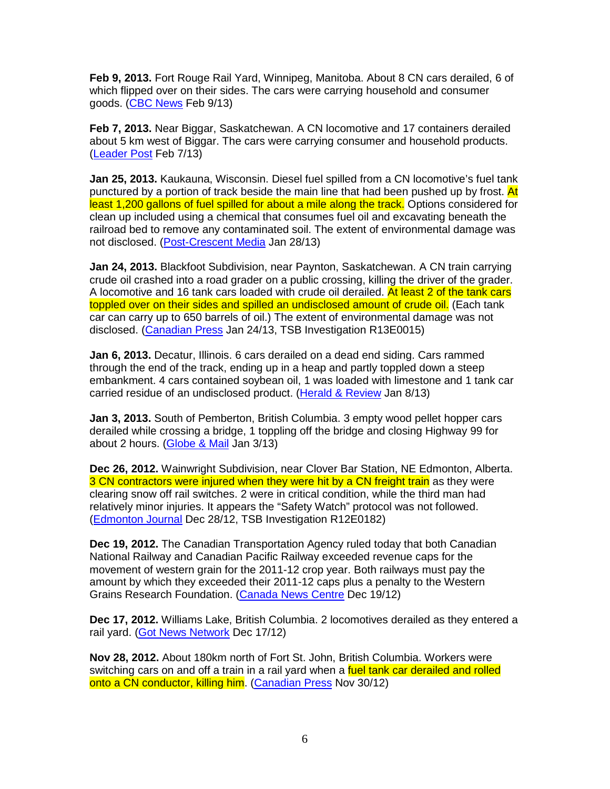**Feb 9, 2013.** Fort Rouge Rail Yard, Winnipeg, Manitoba. About 8 CN cars derailed, 6 of which flipped over on their sides. The cars were carrying household and consumer goods. (CBC News Feb 9/13)

**Feb 7, 2013.** Near Biggar, Saskatchewan. A CN locomotive and 17 containers derailed about 5 km west of Biggar. The cars were carrying consumer and household products. (Leader Post Feb 7/13)

**Jan 25, 2013.** Kaukauna, Wisconsin. Diesel fuel spilled from a CN locomotive's fuel tank punctured by a portion of track beside the main line that had been pushed up by frost. At least 1,200 gallons of fuel spilled for about a mile along the track. Options considered for clean up included using a chemical that consumes fuel oil and excavating beneath the railroad bed to remove any contaminated soil. The extent of environmental damage was not disclosed. (Post-Crescent Media Jan 28/13)

**Jan 24, 2013.** Blackfoot Subdivision, near Paynton, Saskatchewan. A CN train carrying crude oil crashed into a road grader on a public crossing, killing the driver of the grader. A locomotive and 16 tank cars loaded with crude oil derailed. At least 2 of the tank cars toppled over on their sides and spilled an undisclosed amount of crude oil. (Each tank car can carry up to 650 barrels of oil.) The extent of environmental damage was not disclosed. (Canadian Press Jan 24/13, TSB Investigation R13E0015)

**Jan 6, 2013.** Decatur, Illinois. 6 cars derailed on a dead end siding. Cars rammed through the end of the track, ending up in a heap and partly toppled down a steep embankment. 4 cars contained soybean oil, 1 was loaded with limestone and 1 tank car carried residue of an undisclosed product. (Herald & Review Jan 8/13)

**Jan 3, 2013.** South of Pemberton, British Columbia. 3 empty wood pellet hopper cars derailed while crossing a bridge, 1 toppling off the bridge and closing Highway 99 for about 2 hours. (Globe & Mail Jan 3/13)

**Dec 26, 2012.** Wainwright Subdivision, near Clover Bar Station, NE Edmonton, Alberta. 3 CN contractors were injured when they were hit by a CN freight train as they were clearing snow off rail switches. 2 were in critical condition, while the third man had relatively minor injuries. It appears the "Safety Watch" protocol was not followed. (Edmonton Journal Dec 28/12, TSB Investigation R12E0182)

**Dec 19, 2012.** The Canadian Transportation Agency ruled today that both Canadian National Railway and Canadian Pacific Railway exceeded revenue caps for the movement of western grain for the 2011-12 crop year. Both railways must pay the amount by which they exceeded their 2011-12 caps plus a penalty to the Western Grains Research Foundation. (Canada News Centre Dec 19/12)

**Dec 17, 2012.** Williams Lake, British Columbia. 2 locomotives derailed as they entered a rail yard. (Got News Network Dec 17/12)

**Nov 28, 2012.** About 180km north of Fort St. John, British Columbia. Workers were switching cars on and off a train in a rail yard when a fuel tank car derailed and rolled onto a CN conductor, killing him. (Canadian Press Nov 30/12)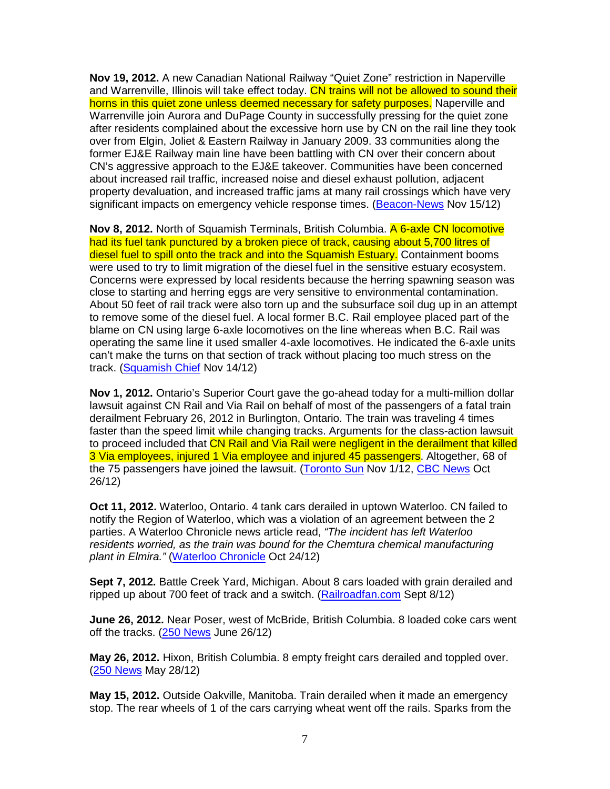**Nov 19, 2012.** A new Canadian National Railway "Quiet Zone" restriction in Naperville and Warrenville, Illinois will take effect today. CN trains will not be allowed to sound their horns in this quiet zone unless deemed necessary for safety purposes. Naperville and Warrenville join Aurora and DuPage County in successfully pressing for the quiet zone after residents complained about the excessive horn use by CN on the rail line they took over from Elgin, Joliet & Eastern Railway in January 2009. 33 communities along the former EJ&E Railway main line have been battling with CN over their concern about CN's aggressive approach to the EJ&E takeover. Communities have been concerned about increased rail traffic, increased noise and diesel exhaust pollution, adjacent property devaluation, and increased traffic jams at many rail crossings which have very significant impacts on emergency vehicle response times. (Beacon-News Nov 15/12)

**Nov 8, 2012.** North of Squamish Terminals, British Columbia. A 6-axle CN locomotive had its fuel tank punctured by a broken piece of track, causing about 5,700 litres of diesel fuel to spill onto the track and into the Squamish Estuary. Containment booms were used to try to limit migration of the diesel fuel in the sensitive estuary ecosystem. Concerns were expressed by local residents because the herring spawning season was close to starting and herring eggs are very sensitive to environmental contamination. About 50 feet of rail track were also torn up and the subsurface soil dug up in an attempt to remove some of the diesel fuel. A local former B.C. Rail employee placed part of the blame on CN using large 6-axle locomotives on the line whereas when B.C. Rail was operating the same line it used smaller 4-axle locomotives. He indicated the 6-axle units can't make the turns on that section of track without placing too much stress on the track. (Squamish Chief Nov 14/12)

**Nov 1, 2012.** Ontario's Superior Court gave the go-ahead today for a multi-million dollar lawsuit against CN Rail and Via Rail on behalf of most of the passengers of a fatal train derailment February 26, 2012 in Burlington, Ontario. The train was traveling 4 times faster than the speed limit while changing tracks. Arguments for the class-action lawsuit to proceed included that CN Rail and Via Rail were negligent in the derailment that killed 3 Via employees, injured 1 Via employee and injured 45 passengers. Altogether, 68 of the 75 passengers have joined the lawsuit. (Toronto Sun Nov 1/12, CBC News Oct 26/12)

**Oct 11, 2012.** Waterloo, Ontario. 4 tank cars derailed in uptown Waterloo. CN failed to notify the Region of Waterloo, which was a violation of an agreement between the 2 parties. A Waterloo Chronicle news article read, "The incident has left Waterloo residents worried, as the train was bound for the Chemtura chemical manufacturing plant in Elmira." (Waterloo Chronicle Oct 24/12)

**Sept 7, 2012.** Battle Creek Yard, Michigan. About 8 cars loaded with grain derailed and ripped up about 700 feet of track and a switch. (Railroadfan.com Sept 8/12)

**June 26, 2012.** Near Poser, west of McBride, British Columbia. 8 loaded coke cars went off the tracks. (250 News June 26/12)

**May 26, 2012.** Hixon, British Columbia. 8 empty freight cars derailed and toppled over. (250 News May 28/12)

**May 15, 2012.** Outside Oakville, Manitoba. Train derailed when it made an emergency stop. The rear wheels of 1 of the cars carrying wheat went off the rails. Sparks from the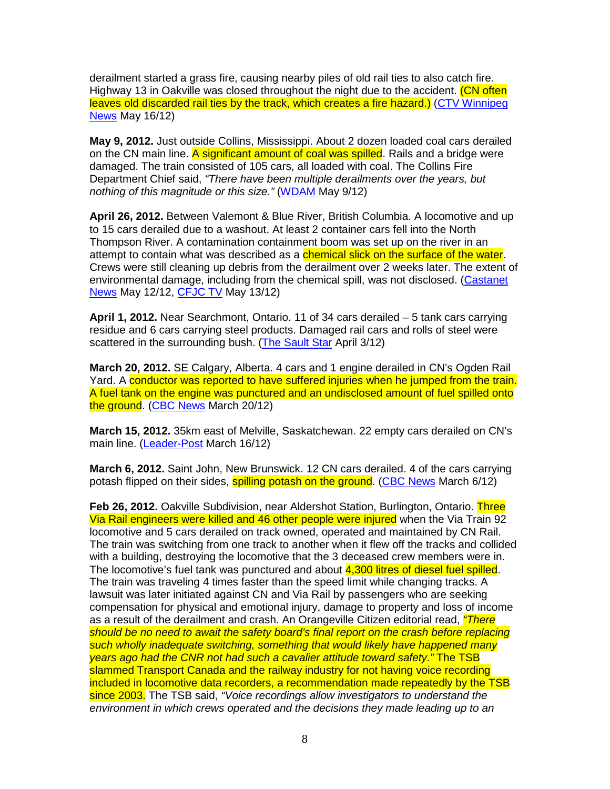derailment started a grass fire, causing nearby piles of old rail ties to also catch fire. Highway 13 in Oakville was closed throughout the night due to the accident. (CN often leaves old discarded rail ties by the track, which creates a fire hazard.) (CTV Winnipeg News May 16/12)

**May 9, 2012.** Just outside Collins, Mississippi. About 2 dozen loaded coal cars derailed on the CN main line. A significant amount of coal was spilled. Rails and a bridge were damaged. The train consisted of 105 cars, all loaded with coal. The Collins Fire Department Chief said, "There have been multiple derailments over the years, but nothing of this magnitude or this size." (WDAM May 9/12)

**April 26, 2012.** Between Valemont & Blue River, British Columbia. A locomotive and up to 15 cars derailed due to a washout. At least 2 container cars fell into the North Thompson River. A contamination containment boom was set up on the river in an attempt to contain what was described as a chemical slick on the surface of the water. Crews were still cleaning up debris from the derailment over 2 weeks later. The extent of environmental damage, including from the chemical spill, was not disclosed. (Castanet News May 12/12, CFJC TV May 13/12)

**April 1, 2012.** Near Searchmont, Ontario. 11 of 34 cars derailed – 5 tank cars carrying residue and 6 cars carrying steel products. Damaged rail cars and rolls of steel were scattered in the surrounding bush. (The Sault Star April 3/12)

**March 20, 2012.** SE Calgary, Alberta. 4 cars and 1 engine derailed in CN's Ogden Rail Yard. A conductor was reported to have suffered injuries when he jumped from the train. A fuel tank on the engine was punctured and an undisclosed amount of fuel spilled onto the ground. (CBC News March 20/12)

**March 15, 2012.** 35km east of Melville, Saskatchewan. 22 empty cars derailed on CN's main line. (Leader-Post March 16/12)

**March 6, 2012.** Saint John, New Brunswick. 12 CN cars derailed. 4 of the cars carrying potash flipped on their sides, **spilling potash on the ground.** (CBC News March 6/12)

**Feb 26, 2012.** Oakville Subdivision, near Aldershot Station, Burlington, Ontario. Three Via Rail engineers were killed and 46 other people were injured when the Via Train 92 locomotive and 5 cars derailed on track owned, operated and maintained by CN Rail. The train was switching from one track to another when it flew off the tracks and collided with a building, destroying the locomotive that the 3 deceased crew members were in. The locomotive's fuel tank was punctured and about 4,300 litres of diesel fuel spilled. The train was traveling 4 times faster than the speed limit while changing tracks. A lawsuit was later initiated against CN and Via Rail by passengers who are seeking compensation for physical and emotional injury, damage to property and loss of income as a result of the derailment and crash. An Orangeville Citizen editorial read, *"There* should be no need to await the safety board's final report on the crash before replacing such wholly inadequate switching, something that would likely have happened many years ago had the CNR not had such a cavalier attitude toward safety." The TSB slammed Transport Canada and the railway industry for not having voice recording included in locomotive data recorders, a recommendation made repeatedly by the TSB since 2003. The TSB said, "Voice recordings allow investigators to understand the environment in which crews operated and the decisions they made leading up to an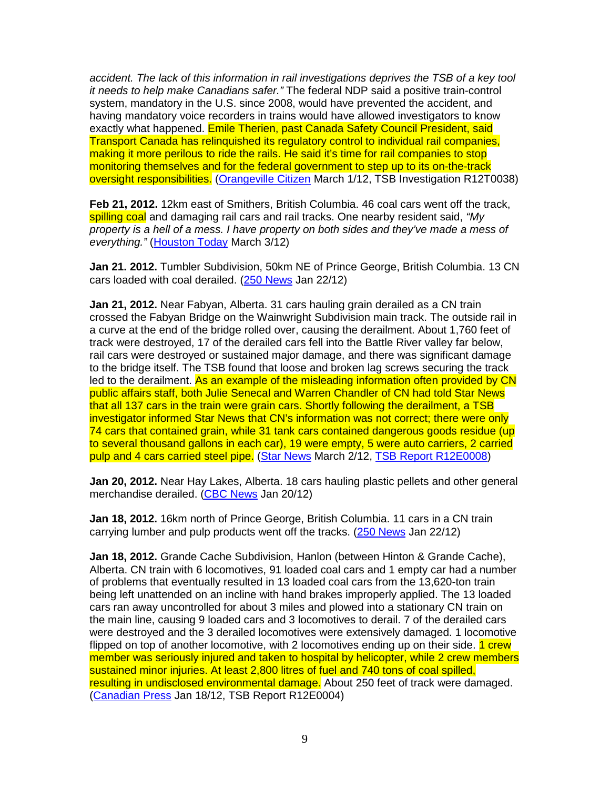accident. The lack of this information in rail investigations deprives the TSB of a key tool it needs to help make Canadians safer." The federal NDP said a positive train-control system, mandatory in the U.S. since 2008, would have prevented the accident, and having mandatory voice recorders in trains would have allowed investigators to know exactly what happened. Emile Therien, past Canada Safety Council President, said Transport Canada has relinquished its regulatory control to individual rail companies, making it more perilous to ride the rails. He said it's time for rail companies to stop monitoring themselves and for the federal government to step up to its on-the-track oversight responsibilities. (Orangeville Citizen March 1/12, TSB Investigation R12T0038)

**Feb 21, 2012.** 12km east of Smithers, British Columbia. 46 coal cars went off the track, spilling coal and damaging rail cars and rail tracks. One nearby resident said, "My property is a hell of a mess. I have property on both sides and they've made a mess of everything." (Houston Today March 3/12)

**Jan 21. 2012.** Tumbler Subdivision, 50km NE of Prince George, British Columbia. 13 CN cars loaded with coal derailed. (250 News Jan 22/12)

**Jan 21, 2012.** Near Fabyan, Alberta. 31 cars hauling grain derailed as a CN train crossed the Fabyan Bridge on the Wainwright Subdivision main track. The outside rail in a curve at the end of the bridge rolled over, causing the derailment. About 1,760 feet of track were destroyed, 17 of the derailed cars fell into the Battle River valley far below, rail cars were destroyed or sustained major damage, and there was significant damage to the bridge itself. The TSB found that loose and broken lag screws securing the track led to the derailment. As an example of the misleading information often provided by CN public affairs staff, both Julie Senecal and Warren Chandler of CN had told Star News that all 137 cars in the train were grain cars. Shortly following the derailment, a TSB investigator informed Star News that CN's information was not correct; there were only 74 cars that contained grain, while 31 tank cars contained dangerous goods residue (up to several thousand gallons in each car), 19 were empty, 5 were auto carriers, 2 carried pulp and 4 cars carried steel pipe. (Star News March 2/12, TSB Report R12E0008)

**Jan 20, 2012.** Near Hay Lakes, Alberta. 18 cars hauling plastic pellets and other general merchandise derailed. (CBC News Jan 20/12)

**Jan 18, 2012.** 16km north of Prince George, British Columbia. 11 cars in a CN train carrying lumber and pulp products went off the tracks. (250 News Jan 22/12)

**Jan 18, 2012.** Grande Cache Subdivision, Hanlon (between Hinton & Grande Cache), Alberta. CN train with 6 locomotives, 91 loaded coal cars and 1 empty car had a number of problems that eventually resulted in 13 loaded coal cars from the 13,620-ton train being left unattended on an incline with hand brakes improperly applied. The 13 loaded cars ran away uncontrolled for about 3 miles and plowed into a stationary CN train on the main line, causing 9 loaded cars and 3 locomotives to derail. 7 of the derailed cars were destroyed and the 3 derailed locomotives were extensively damaged. 1 locomotive flipped on top of another locomotive, with 2 locomotives ending up on their side. **1 crew** member was seriously injured and taken to hospital by helicopter, while 2 crew members sustained minor injuries. At least 2,800 litres of fuel and 740 tons of coal spilled, resulting in undisclosed environmental damage. About 250 feet of track were damaged. (Canadian Press Jan 18/12, TSB Report R12E0004)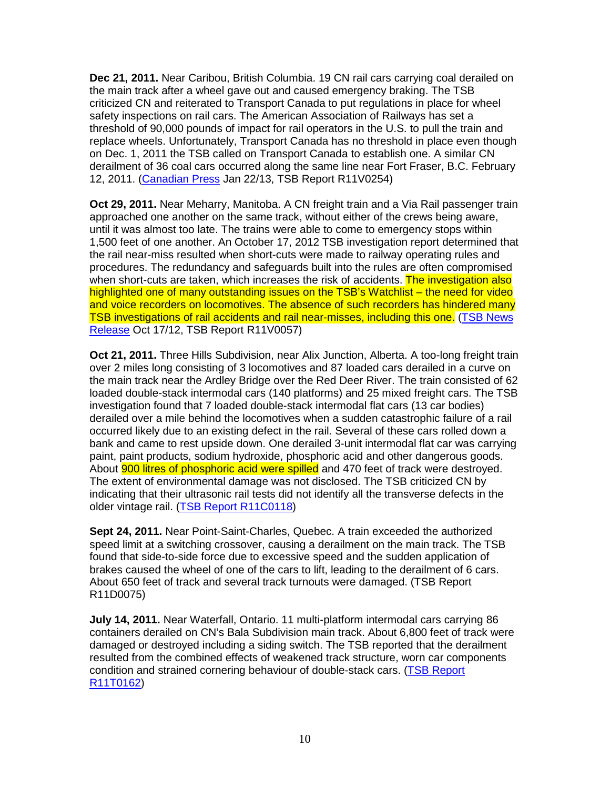**Dec 21, 2011.** Near Caribou, British Columbia. 19 CN rail cars carrying coal derailed on the main track after a wheel gave out and caused emergency braking. The TSB criticized CN and reiterated to Transport Canada to put regulations in place for wheel safety inspections on rail cars. The American Association of Railways has set a threshold of 90,000 pounds of impact for rail operators in the U.S. to pull the train and replace wheels. Unfortunately, Transport Canada has no threshold in place even though on Dec. 1, 2011 the TSB called on Transport Canada to establish one. A similar CN derailment of 36 coal cars occurred along the same line near Fort Fraser, B.C. February 12, 2011. (Canadian Press Jan 22/13, TSB Report R11V0254)

**Oct 29, 2011.** Near Meharry, Manitoba. A CN freight train and a Via Rail passenger train approached one another on the same track, without either of the crews being aware, until it was almost too late. The trains were able to come to emergency stops within 1,500 feet of one another. An October 17, 2012 TSB investigation report determined that the rail near-miss resulted when short-cuts were made to railway operating rules and procedures. The redundancy and safeguards built into the rules are often compromised when short-cuts are taken, which increases the risk of accidents. The investigation also highlighted one of many outstanding issues on the TSB's Watchlist – the need for video and voice recorders on locomotives. The absence of such recorders has hindered many TSB investigations of rail accidents and rail near-misses, including this one. (TSB News Release Oct 17/12, TSB Report R11V0057)

**Oct 21, 2011.** Three Hills Subdivision, near Alix Junction, Alberta. A too-long freight train over 2 miles long consisting of 3 locomotives and 87 loaded cars derailed in a curve on the main track near the Ardley Bridge over the Red Deer River. The train consisted of 62 loaded double-stack intermodal cars (140 platforms) and 25 mixed freight cars. The TSB investigation found that 7 loaded double-stack intermodal flat cars (13 car bodies) derailed over a mile behind the locomotives when a sudden catastrophic failure of a rail occurred likely due to an existing defect in the rail. Several of these cars rolled down a bank and came to rest upside down. One derailed 3-unit intermodal flat car was carrying paint, paint products, sodium hydroxide, phosphoric acid and other dangerous goods. About 900 litres of phosphoric acid were spilled and 470 feet of track were destroyed. The extent of environmental damage was not disclosed. The TSB criticized CN by indicating that their ultrasonic rail tests did not identify all the transverse defects in the older vintage rail. (TSB Report R11C0118)

**Sept 24, 2011.** Near Point-Saint-Charles, Quebec. A train exceeded the authorized speed limit at a switching crossover, causing a derailment on the main track. The TSB found that side-to-side force due to excessive speed and the sudden application of brakes caused the wheel of one of the cars to lift, leading to the derailment of 6 cars. About 650 feet of track and several track turnouts were damaged. (TSB Report R11D0075)

**July 14, 2011.** Near Waterfall, Ontario. 11 multi-platform intermodal cars carrying 86 containers derailed on CN's Bala Subdivision main track. About 6,800 feet of track were damaged or destroyed including a siding switch. The TSB reported that the derailment resulted from the combined effects of weakened track structure, worn car components condition and strained cornering behaviour of double-stack cars. (TSB Report R11T0162)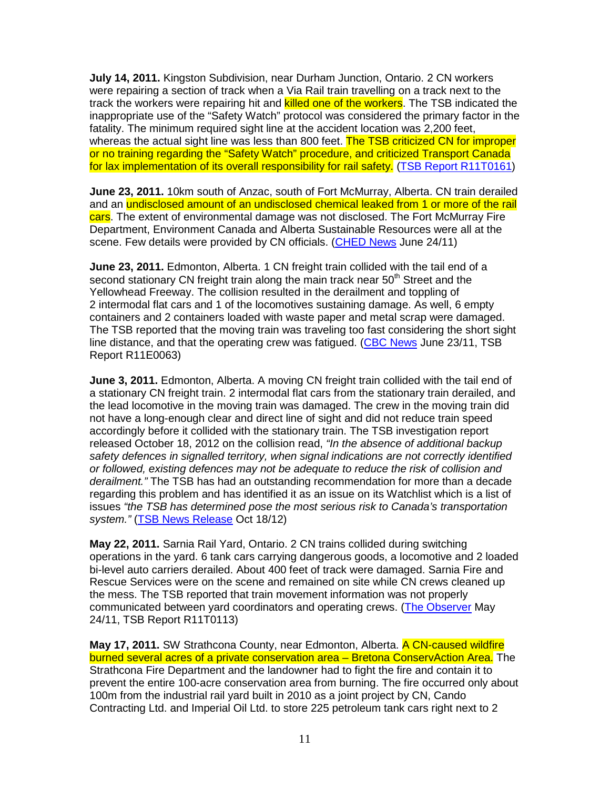**July 14, 2011.** Kingston Subdivision, near Durham Junction, Ontario. 2 CN workers were repairing a section of track when a Via Rail train travelling on a track next to the track the workers were repairing hit and killed one of the workers. The TSB indicated the inappropriate use of the "Safety Watch" protocol was considered the primary factor in the fatality. The minimum required sight line at the accident location was 2,200 feet, whereas the actual sight line was less than 800 feet. The TSB criticized CN for improper or no training regarding the "Safety Watch" procedure, and criticized Transport Canada for lax implementation of its overall responsibility for rail safety. (TSB Report R11T0161)

**June 23, 2011.** 10km south of Anzac, south of Fort McMurray, Alberta. CN train derailed and an undisclosed amount of an undisclosed chemical leaked from 1 or more of the rail cars. The extent of environmental damage was not disclosed. The Fort McMurray Fire Department, Environment Canada and Alberta Sustainable Resources were all at the scene. Few details were provided by CN officials. (CHED News June 24/11)

**June 23, 2011.** Edmonton, Alberta. 1 CN freight train collided with the tail end of a second stationary CN freight train along the main track near 50<sup>th</sup> Street and the Yellowhead Freeway. The collision resulted in the derailment and toppling of 2 intermodal flat cars and 1 of the locomotives sustaining damage. As well, 6 empty containers and 2 containers loaded with waste paper and metal scrap were damaged. The TSB reported that the moving train was traveling too fast considering the short sight line distance, and that the operating crew was fatigued. (CBC News June 23/11, TSB Report R11E0063)

**June 3, 2011.** Edmonton, Alberta. A moving CN freight train collided with the tail end of a stationary CN freight train. 2 intermodal flat cars from the stationary train derailed, and the lead locomotive in the moving train was damaged. The crew in the moving train did not have a long-enough clear and direct line of sight and did not reduce train speed accordingly before it collided with the stationary train. The TSB investigation report released October 18, 2012 on the collision read, "In the absence of additional backup safety defences in signalled territory, when signal indications are not correctly identified or followed, existing defences may not be adequate to reduce the risk of collision and derailment." The TSB has had an outstanding recommendation for more than a decade regarding this problem and has identified it as an issue on its Watchlist which is a list of issues "the TSB has determined pose the most serious risk to Canada's transportation system." (TSB News Release Oct 18/12)

**May 22, 2011.** Sarnia Rail Yard, Ontario. 2 CN trains collided during switching operations in the yard. 6 tank cars carrying dangerous goods, a locomotive and 2 loaded bi-level auto carriers derailed. About 400 feet of track were damaged. Sarnia Fire and Rescue Services were on the scene and remained on site while CN crews cleaned up the mess. The TSB reported that train movement information was not properly communicated between yard coordinators and operating crews. (The Observer May 24/11, TSB Report R11T0113)

**May 17, 2011.** SW Strathcona County, near Edmonton, Alberta. A CN-caused wildfire burned several acres of a private conservation area – Bretona ConservAction Area. The Strathcona Fire Department and the landowner had to fight the fire and contain it to prevent the entire 100-acre conservation area from burning. The fire occurred only about 100m from the industrial rail yard built in 2010 as a joint project by CN, Cando Contracting Ltd. and Imperial Oil Ltd. to store 225 petroleum tank cars right next to 2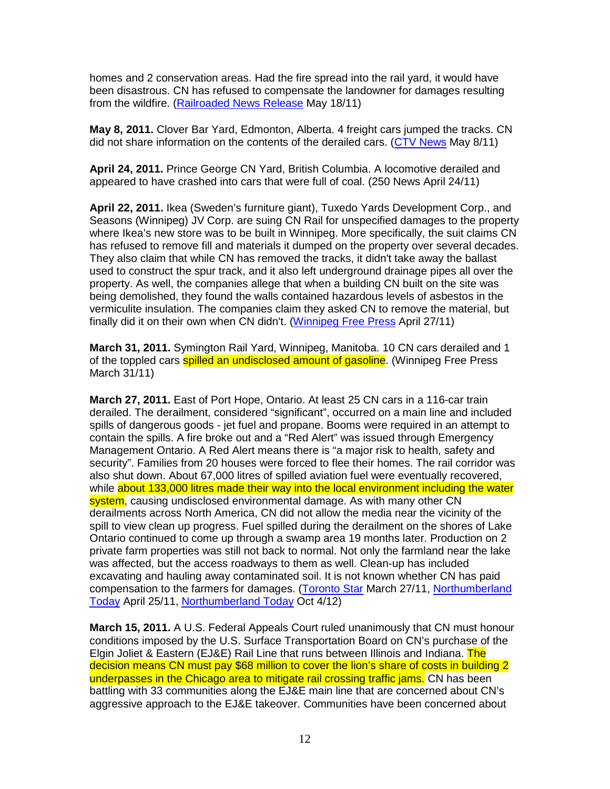homes and 2 conservation areas. Had the fire spread into the rail yard, it would have been disastrous. CN has refused to compensate the landowner for damages resulting from the wildfire. (Railroaded News Release May 18/11)

**May 8, 2011.** Clover Bar Yard, Edmonton, Alberta. 4 freight cars jumped the tracks. CN did not share information on the contents of the derailed cars. (CTV News May 8/11)

**April 24, 2011.** Prince George CN Yard, British Columbia. A locomotive derailed and appeared to have crashed into cars that were full of coal. (250 News April 24/11)

**April 22, 2011.** Ikea (Sweden's furniture giant), Tuxedo Yards Development Corp., and Seasons (Winnipeg) JV Corp. are suing CN Rail for unspecified damages to the property where Ikea's new store was to be built in Winnipeg. More specifically, the suit claims CN has refused to remove fill and materials it dumped on the property over several decades. They also claim that while CN has removed the tracks, it didn't take away the ballast used to construct the spur track, and it also left underground drainage pipes all over the property. As well, the companies allege that when a building CN built on the site was being demolished, they found the walls contained hazardous levels of asbestos in the vermiculite insulation. The companies claim they asked CN to remove the material, but finally did it on their own when CN didn't. (Winnipeg Free Press April 27/11)

**March 31, 2011.** Symington Rail Yard, Winnipeg, Manitoba. 10 CN cars derailed and 1 of the toppled cars **spilled an undisclosed amount of gasoline**. (Winnipeg Free Press March 31/11)

**March 27, 2011.** East of Port Hope, Ontario. At least 25 CN cars in a 116-car train derailed. The derailment, considered "significant", occurred on a main line and included spills of dangerous goods - jet fuel and propane. Booms were required in an attempt to contain the spills. A fire broke out and a "Red Alert" was issued through Emergency Management Ontario. A Red Alert means there is "a major risk to health, safety and security". Families from 20 houses were forced to flee their homes. The rail corridor was also shut down. About 67,000 litres of spilled aviation fuel were eventually recovered, while about 133,000 litres made their way into the local environment including the water system, causing undisclosed environmental damage. As with many other CN derailments across North America, CN did not allow the media near the vicinity of the spill to view clean up progress. Fuel spilled during the derailment on the shores of Lake Ontario continued to come up through a swamp area 19 months later. Production on 2 private farm properties was still not back to normal. Not only the farmland near the lake was affected, but the access roadways to them as well. Clean-up has included excavating and hauling away contaminated soil. It is not known whether CN has paid compensation to the farmers for damages. (Toronto Star March 27/11, Northumberland Today April 25/11, Northumberland Today Oct 4/12)

**March 15, 2011.** A U.S. Federal Appeals Court ruled unanimously that CN must honour conditions imposed by the U.S. Surface Transportation Board on CN's purchase of the Elgin Joliet & Eastern (EJ&E) Rail Line that runs between Illinois and Indiana. The decision means CN must pay \$68 million to cover the lion's share of costs in building 2 underpasses in the Chicago area to mitigate rail crossing traffic jams. CN has been battling with 33 communities along the EJ&E main line that are concerned about CN's aggressive approach to the EJ&E takeover. Communities have been concerned about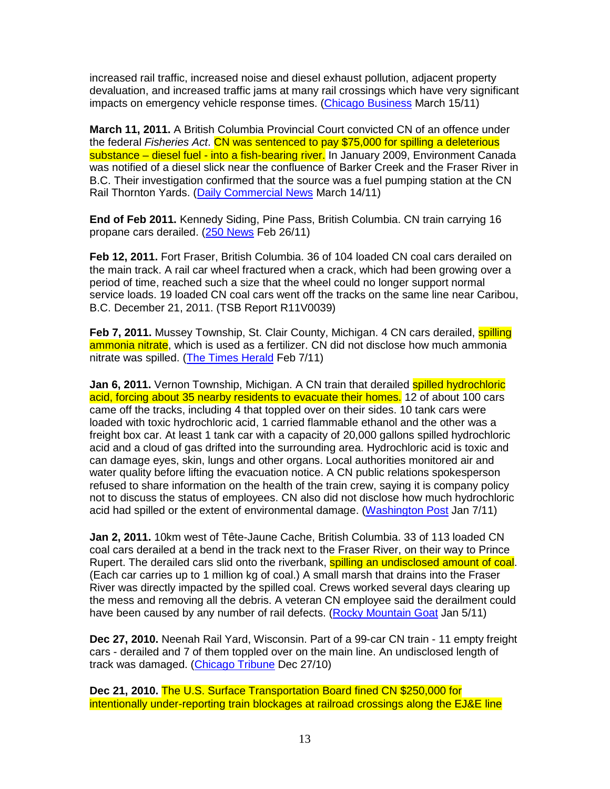increased rail traffic, increased noise and diesel exhaust pollution, adjacent property devaluation, and increased traffic jams at many rail crossings which have very significant impacts on emergency vehicle response times. (Chicago Business March 15/11)

**March 11, 2011.** A British Columbia Provincial Court convicted CN of an offence under the federal Fisheries Act. CN was sentenced to pay \$75,000 for spilling a deleterious substance – diesel fuel - into a fish-bearing river. In January 2009, Environment Canada was notified of a diesel slick near the confluence of Barker Creek and the Fraser River in B.C. Their investigation confirmed that the source was a fuel pumping station at the CN Rail Thornton Yards. (Daily Commercial News March 14/11)

**End of Feb 2011.** Kennedy Siding, Pine Pass, British Columbia. CN train carrying 16 propane cars derailed. (250 News Feb 26/11)

**Feb 12, 2011.** Fort Fraser, British Columbia. 36 of 104 loaded CN coal cars derailed on the main track. A rail car wheel fractured when a crack, which had been growing over a period of time, reached such a size that the wheel could no longer support normal service loads. 19 loaded CN coal cars went off the tracks on the same line near Caribou, B.C. December 21, 2011. (TSB Report R11V0039)

**Feb 7, 2011.** Mussey Township, St. Clair County, Michigan. 4 CN cars derailed, **spilling** ammonia nitrate, which is used as a fertilizer. CN did not disclose how much ammonia nitrate was spilled. (The Times Herald Feb 7/11)

**Jan 6, 2011.** Vernon Township, Michigan. A CN train that derailed spilled hydrochloric acid, forcing about 35 nearby residents to evacuate their homes. 12 of about 100 cars came off the tracks, including 4 that toppled over on their sides. 10 tank cars were loaded with toxic hydrochloric acid, 1 carried flammable ethanol and the other was a freight box car. At least 1 tank car with a capacity of 20,000 gallons spilled hydrochloric acid and a cloud of gas drifted into the surrounding area. Hydrochloric acid is toxic and can damage eyes, skin, lungs and other organs. Local authorities monitored air and water quality before lifting the evacuation notice. A CN public relations spokesperson refused to share information on the health of the train crew, saying it is company policy not to discuss the status of employees. CN also did not disclose how much hydrochloric acid had spilled or the extent of environmental damage. (Washington Post Jan 7/11)

**Jan 2, 2011.** 10km west of Tête-Jaune Cache, British Columbia. 33 of 113 loaded CN coal cars derailed at a bend in the track next to the Fraser River, on their way to Prince Rupert. The derailed cars slid onto the riverbank, **spilling an undisclosed amount of coal.** (Each car carries up to 1 million kg of coal.) A small marsh that drains into the Fraser River was directly impacted by the spilled coal. Crews worked several days clearing up the mess and removing all the debris. A veteran CN employee said the derailment could have been caused by any number of rail defects. (Rocky Mountain Goat Jan 5/11)

**Dec 27, 2010.** Neenah Rail Yard, Wisconsin. Part of a 99-car CN train - 11 empty freight cars - derailed and 7 of them toppled over on the main line. An undisclosed length of track was damaged. (Chicago Tribune Dec 27/10)

**Dec 21, 2010.** The U.S. Surface Transportation Board fined CN \$250,000 for intentionally under-reporting train blockages at railroad crossings along the EJ&E line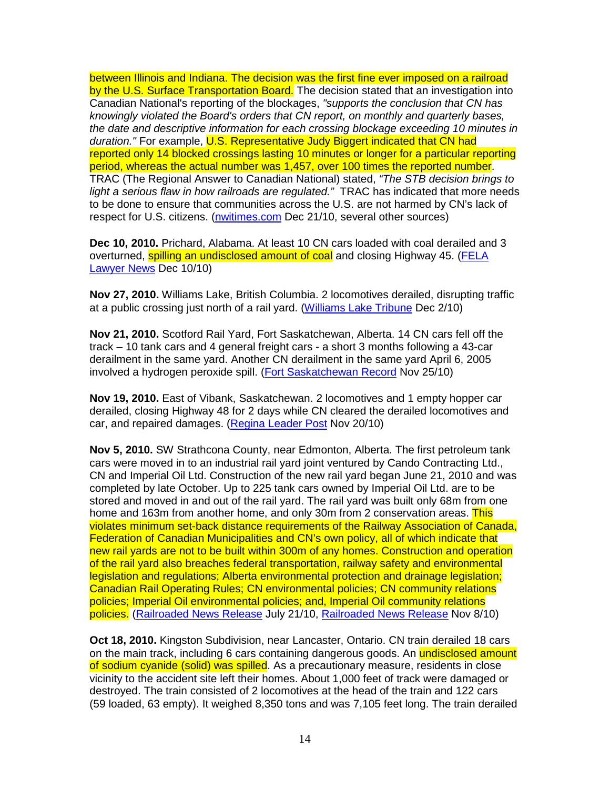between Illinois and Indiana. The decision was the first fine ever imposed on a railroad by the U.S. Surface Transportation Board. The decision stated that an investigation into Canadian National's reporting of the blockages, "supports the conclusion that CN has knowingly violated the Board's orders that CN report, on monthly and quarterly bases, the date and descriptive information for each crossing blockage exceeding 10 minutes in duration." For example, U.S. Representative Judy Biggert indicated that CN had reported only 14 blocked crossings lasting 10 minutes or longer for a particular reporting period, whereas the actual number was 1,457, over 100 times the reported number. TRAC (The Regional Answer to Canadian National) stated, "The STB decision brings to light a serious flaw in how railroads are regulated." TRAC has indicated that more needs to be done to ensure that communities across the U.S. are not harmed by CN's lack of respect for U.S. citizens. (nwitimes.com Dec 21/10, several other sources)

**Dec 10, 2010.** Prichard, Alabama. At least 10 CN cars loaded with coal derailed and 3 overturned, spilling an undisclosed amount of coal and closing Highway 45. (FELA Lawyer News Dec 10/10)

**Nov 27, 2010.** Williams Lake, British Columbia. 2 locomotives derailed, disrupting traffic at a public crossing just north of a rail yard. (Williams Lake Tribune Dec 2/10)

**Nov 21, 2010.** Scotford Rail Yard, Fort Saskatchewan, Alberta. 14 CN cars fell off the track – 10 tank cars and 4 general freight cars - a short 3 months following a 43-car derailment in the same yard. Another CN derailment in the same yard April 6, 2005 involved a hydrogen peroxide spill. (Fort Saskatchewan Record Nov 25/10)

**Nov 19, 2010.** East of Vibank, Saskatchewan. 2 locomotives and 1 empty hopper car derailed, closing Highway 48 for 2 days while CN cleared the derailed locomotives and car, and repaired damages. (Regina Leader Post Nov 20/10)

**Nov 5, 2010.** SW Strathcona County, near Edmonton, Alberta. The first petroleum tank cars were moved in to an industrial rail yard joint ventured by Cando Contracting Ltd., CN and Imperial Oil Ltd. Construction of the new rail yard began June 21, 2010 and was completed by late October. Up to 225 tank cars owned by Imperial Oil Ltd. are to be stored and moved in and out of the rail yard. The rail yard was built only 68m from one home and 163m from another home, and only 30m from 2 conservation areas. This violates minimum set-back distance requirements of the Railway Association of Canada, Federation of Canadian Municipalities and CN's own policy, all of which indicate that new rail yards are not to be built within 300m of any homes. Construction and operation of the rail yard also breaches federal transportation, railway safety and environmental legislation and regulations; Alberta environmental protection and drainage legislation; Canadian Rail Operating Rules; CN environmental policies; CN community relations policies; Imperial Oil environmental policies; and, Imperial Oil community relations policies. (Railroaded News Release July 21/10, Railroaded News Release Nov 8/10)

**Oct 18, 2010.** Kingston Subdivision, near Lancaster, Ontario. CN train derailed 18 cars on the main track, including 6 cars containing dangerous goods. An **undisclosed amount** of sodium cyanide (solid) was spilled. As a precautionary measure, residents in close vicinity to the accident site left their homes. About 1,000 feet of track were damaged or destroyed. The train consisted of 2 locomotives at the head of the train and 122 cars (59 loaded, 63 empty). It weighed 8,350 tons and was 7,105 feet long. The train derailed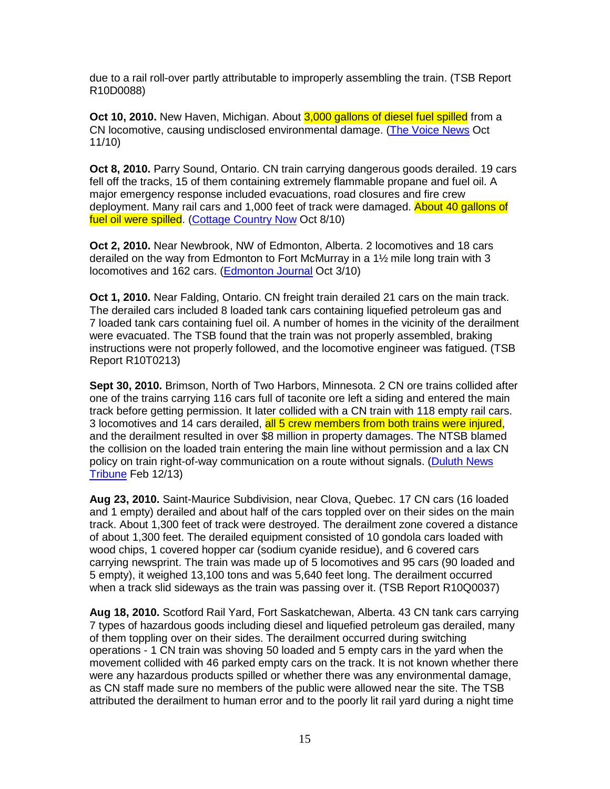due to a rail roll-over partly attributable to improperly assembling the train. (TSB Report R10D0088)

**Oct 10, 2010.** New Haven, Michigan. About 3,000 gallons of diesel fuel spilled from a CN locomotive, causing undisclosed environmental damage. (The Voice News Oct 11/10)

**Oct 8, 2010.** Parry Sound, Ontario. CN train carrying dangerous goods derailed. 19 cars fell off the tracks, 15 of them containing extremely flammable propane and fuel oil. A major emergency response included evacuations, road closures and fire crew deployment. Many rail cars and 1,000 feet of track were damaged. About 40 gallons of fuel oil were spilled. (Cottage Country Now Oct 8/10)

**Oct 2, 2010.** Near Newbrook, NW of Edmonton, Alberta. 2 locomotives and 18 cars derailed on the way from Edmonton to Fort McMurray in a 1½ mile long train with 3 locomotives and 162 cars. (Edmonton Journal Oct 3/10)

**Oct 1, 2010.** Near Falding, Ontario. CN freight train derailed 21 cars on the main track. The derailed cars included 8 loaded tank cars containing liquefied petroleum gas and 7 loaded tank cars containing fuel oil. A number of homes in the vicinity of the derailment were evacuated. The TSB found that the train was not properly assembled, braking instructions were not properly followed, and the locomotive engineer was fatigued. (TSB Report R10T0213)

**Sept 30, 2010.** Brimson, North of Two Harbors, Minnesota. 2 CN ore trains collided after one of the trains carrying 116 cars full of taconite ore left a siding and entered the main track before getting permission. It later collided with a CN train with 118 empty rail cars. 3 locomotives and 14 cars derailed, all 5 crew members from both trains were injured, and the derailment resulted in over \$8 million in property damages. The NTSB blamed the collision on the loaded train entering the main line without permission and a lax CN policy on train right-of-way communication on a route without signals. (Duluth News Tribune Feb 12/13)

**Aug 23, 2010.** Saint-Maurice Subdivision, near Clova, Quebec. 17 CN cars (16 loaded and 1 empty) derailed and about half of the cars toppled over on their sides on the main track. About 1,300 feet of track were destroyed. The derailment zone covered a distance of about 1,300 feet. The derailed equipment consisted of 10 gondola cars loaded with wood chips, 1 covered hopper car (sodium cyanide residue), and 6 covered cars carrying newsprint. The train was made up of 5 locomotives and 95 cars (90 loaded and 5 empty), it weighed 13,100 tons and was 5,640 feet long. The derailment occurred when a track slid sideways as the train was passing over it. (TSB Report R10Q0037)

**Aug 18, 2010.** Scotford Rail Yard, Fort Saskatchewan, Alberta. 43 CN tank cars carrying 7 types of hazardous goods including diesel and liquefied petroleum gas derailed, many of them toppling over on their sides. The derailment occurred during switching operations - 1 CN train was shoving 50 loaded and 5 empty cars in the yard when the movement collided with 46 parked empty cars on the track. It is not known whether there were any hazardous products spilled or whether there was any environmental damage, as CN staff made sure no members of the public were allowed near the site. The TSB attributed the derailment to human error and to the poorly lit rail yard during a night time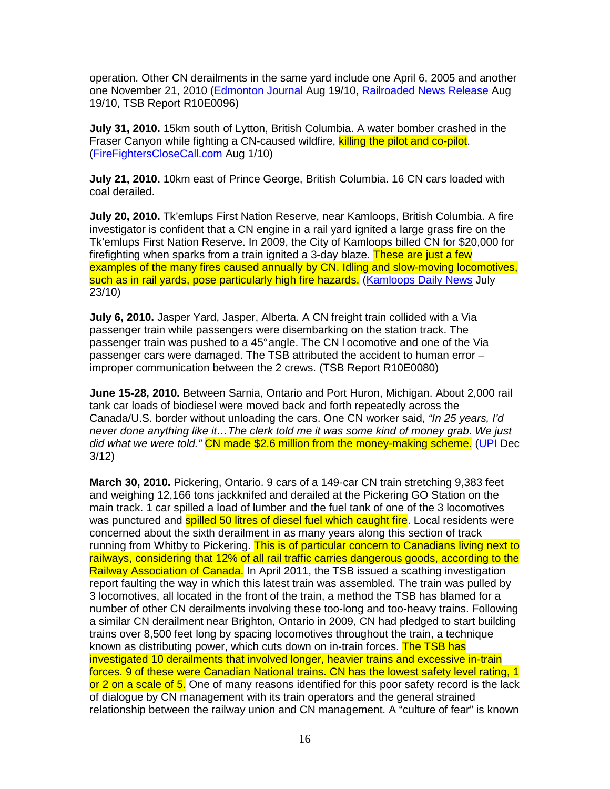operation. Other CN derailments in the same yard include one April 6, 2005 and another one November 21, 2010 (Edmonton Journal Aug 19/10, Railroaded News Release Aug 19/10, TSB Report R10E0096)

**July 31, 2010.** 15km south of Lytton, British Columbia. A water bomber crashed in the Fraser Canyon while fighting a CN-caused wildfire, killing the pilot and co-pilot. (FireFightersCloseCall.com Aug 1/10)

**July 21, 2010.** 10km east of Prince George, British Columbia. 16 CN cars loaded with coal derailed.

**July 20, 2010.** Tk'emlups First Nation Reserve, near Kamloops, British Columbia. A fire investigator is confident that a CN engine in a rail yard ignited a large grass fire on the Tk'emlups First Nation Reserve. In 2009, the City of Kamloops billed CN for \$20,000 for firefighting when sparks from a train ignited a 3-day blaze. These are just a few examples of the many fires caused annually by CN. Idling and slow-moving locomotives, such as in rail yards, pose particularly high fire hazards. (Kamloops Daily News July 23/10)

**July 6, 2010.** Jasper Yard, Jasper, Alberta. A CN freight train collided with a Via passenger train while passengers were disembarking on the station track. The passenger train was pushed to a 45° angle. The CN l ocomotive and one of the Via passenger cars were damaged. The TSB attributed the accident to human error – improper communication between the 2 crews. (TSB Report R10E0080)

**June 15-28, 2010.** Between Sarnia, Ontario and Port Huron, Michigan. About 2,000 rail tank car loads of biodiesel were moved back and forth repeatedly across the Canada/U.S. border without unloading the cars. One CN worker said, "In 25 years, I'd never done anything like it…The clerk told me it was some kind of money grab. We just did what we were told." CN made \$2.6 million from the money-making scheme. (UPI Dec 3/12)

**March 30, 2010.** Pickering, Ontario. 9 cars of a 149-car CN train stretching 9,383 feet and weighing 12,166 tons jackknifed and derailed at the Pickering GO Station on the main track. 1 car spilled a load of lumber and the fuel tank of one of the 3 locomotives was punctured and **spilled 50 litres of diesel fuel which caught fire**. Local residents were concerned about the sixth derailment in as many years along this section of track running from Whitby to Pickering. This is of particular concern to Canadians living next to railways, considering that 12% of all rail traffic carries dangerous goods, according to the Railway Association of Canada. In April 2011, the TSB issued a scathing investigation report faulting the way in which this latest train was assembled. The train was pulled by 3 locomotives, all located in the front of the train, a method the TSB has blamed for a number of other CN derailments involving these too-long and too-heavy trains. Following a similar CN derailment near Brighton, Ontario in 2009, CN had pledged to start building trains over 8,500 feet long by spacing locomotives throughout the train, a technique known as distributing power, which cuts down on in-train forces. The TSB has investigated 10 derailments that involved longer, heavier trains and excessive in-train forces. 9 of these were Canadian National trains. CN has the lowest safety level rating, 1 or 2 on a scale of 5. One of many reasons identified for this poor safety record is the lack of dialogue by CN management with its train operators and the general strained relationship between the railway union and CN management. A "culture of fear" is known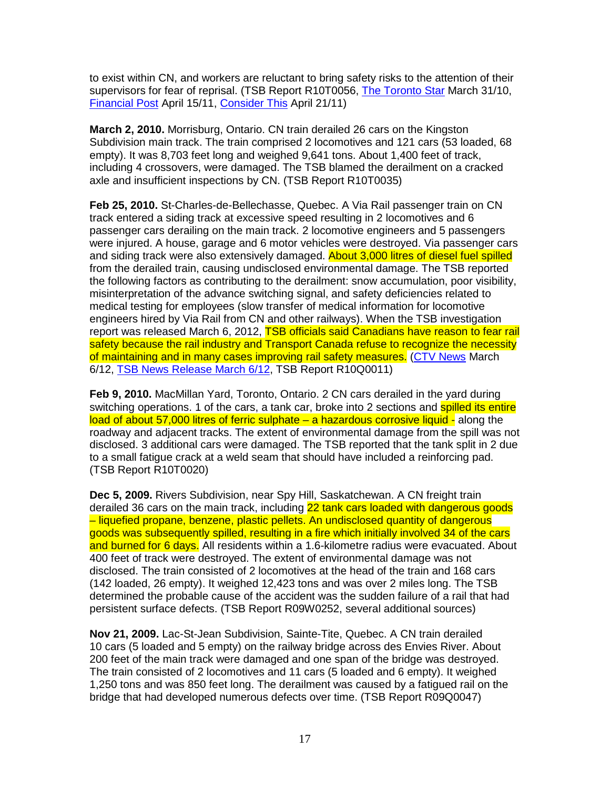to exist within CN, and workers are reluctant to bring safety risks to the attention of their supervisors for fear of reprisal. (TSB Report R10T0056, The Toronto Star March 31/10, Financial Post April 15/11, Consider This April 21/11)

**March 2, 2010.** Morrisburg, Ontario. CN train derailed 26 cars on the Kingston Subdivision main track. The train comprised 2 locomotives and 121 cars (53 loaded, 68 empty). It was 8,703 feet long and weighed 9,641 tons. About 1,400 feet of track, including 4 crossovers, were damaged. The TSB blamed the derailment on a cracked axle and insufficient inspections by CN. (TSB Report R10T0035)

**Feb 25, 2010.** St-Charles-de-Bellechasse, Quebec. A Via Rail passenger train on CN track entered a siding track at excessive speed resulting in 2 locomotives and 6 passenger cars derailing on the main track. 2 locomotive engineers and 5 passengers were injured. A house, garage and 6 motor vehicles were destroyed. Via passenger cars and siding track were also extensively damaged. **About 3,000 litres of diesel fuel spilled** from the derailed train, causing undisclosed environmental damage. The TSB reported the following factors as contributing to the derailment: snow accumulation, poor visibility, misinterpretation of the advance switching signal, and safety deficiencies related to medical testing for employees (slow transfer of medical information for locomotive engineers hired by Via Rail from CN and other railways). When the TSB investigation report was released March 6, 2012, TSB officials said Canadians have reason to fear rail safety because the rail industry and Transport Canada refuse to recognize the necessity of maintaining and in many cases improving rail safety measures. (CTV News March 6/12, TSB News Release March 6/12, TSB Report R10Q0011)

**Feb 9, 2010.** MacMillan Yard, Toronto, Ontario. 2 CN cars derailed in the yard during switching operations. 1 of the cars, a tank car, broke into 2 sections and **spilled its entire** load of about 57,000 litres of ferric sulphate – a hazardous corrosive liquid - along the roadway and adjacent tracks. The extent of environmental damage from the spill was not disclosed. 3 additional cars were damaged. The TSB reported that the tank split in 2 due to a small fatigue crack at a weld seam that should have included a reinforcing pad. (TSB Report R10T0020)

**Dec 5, 2009.** Rivers Subdivision, near Spy Hill, Saskatchewan. A CN freight train derailed 36 cars on the main track, including 22 tank cars loaded with dangerous goods – liquefied propane, benzene, plastic pellets. An undisclosed quantity of dangerous goods was subsequently spilled, resulting in a fire which initially involved 34 of the cars and burned for 6 days. All residents within a 1.6-kilometre radius were evacuated. About 400 feet of track were destroyed. The extent of environmental damage was not disclosed. The train consisted of 2 locomotives at the head of the train and 168 cars (142 loaded, 26 empty). It weighed 12,423 tons and was over 2 miles long. The TSB determined the probable cause of the accident was the sudden failure of a rail that had persistent surface defects. (TSB Report R09W0252, several additional sources)

**Nov 21, 2009.** Lac-St-Jean Subdivision, Sainte-Tite, Quebec. A CN train derailed 10 cars (5 loaded and 5 empty) on the railway bridge across des Envies River. About 200 feet of the main track were damaged and one span of the bridge was destroyed. The train consisted of 2 locomotives and 11 cars (5 loaded and 6 empty). It weighed 1,250 tons and was 850 feet long. The derailment was caused by a fatigued rail on the bridge that had developed numerous defects over time. (TSB Report R09Q0047)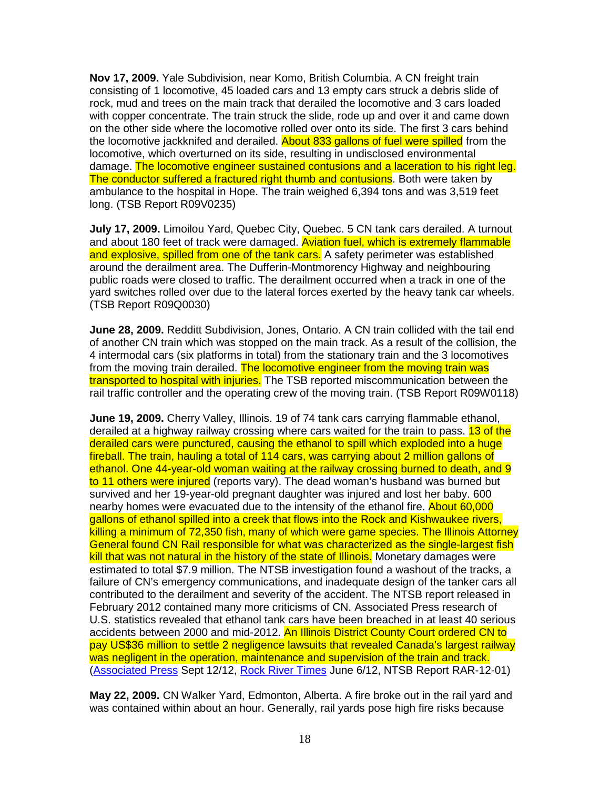**Nov 17, 2009.** Yale Subdivision, near Komo, British Columbia. A CN freight train consisting of 1 locomotive, 45 loaded cars and 13 empty cars struck a debris slide of rock, mud and trees on the main track that derailed the locomotive and 3 cars loaded with copper concentrate. The train struck the slide, rode up and over it and came down on the other side where the locomotive rolled over onto its side. The first 3 cars behind the locomotive jackknifed and derailed. About 833 gallons of fuel were spilled from the locomotive, which overturned on its side, resulting in undisclosed environmental damage. The locomotive engineer sustained contusions and a laceration to his right leg. The conductor suffered a fractured right thumb and contusions. Both were taken by ambulance to the hospital in Hope. The train weighed 6,394 tons and was 3,519 feet long. (TSB Report R09V0235)

**July 17, 2009.** Limoilou Yard, Quebec City, Quebec. 5 CN tank cars derailed. A turnout and about 180 feet of track were damaged. Aviation fuel, which is extremely flammable and explosive, spilled from one of the tank cars. A safety perimeter was established around the derailment area. The Dufferin-Montmorency Highway and neighbouring public roads were closed to traffic. The derailment occurred when a track in one of the yard switches rolled over due to the lateral forces exerted by the heavy tank car wheels. (TSB Report R09Q0030)

**June 28, 2009.** Redditt Subdivision, Jones, Ontario. A CN train collided with the tail end of another CN train which was stopped on the main track. As a result of the collision, the 4 intermodal cars (six platforms in total) from the stationary train and the 3 locomotives from the moving train derailed. The locomotive engineer from the moving train was transported to hospital with injuries. The TSB reported miscommunication between the rail traffic controller and the operating crew of the moving train. (TSB Report R09W0118)

**June 19, 2009.** Cherry Valley, Illinois. 19 of 74 tank cars carrying flammable ethanol, derailed at a highway railway crossing where cars waited for the train to pass. 13 of the derailed cars were punctured, causing the ethanol to spill which exploded into a huge fireball. The train, hauling a total of 114 cars, was carrying about 2 million gallons of ethanol. One 44-year-old woman waiting at the railway crossing burned to death, and 9 to 11 others were injured (reports vary). The dead woman's husband was burned but survived and her 19-year-old pregnant daughter was injured and lost her baby. 600 nearby homes were evacuated due to the intensity of the ethanol fire. About 60,000 gallons of ethanol spilled into a creek that flows into the Rock and Kishwaukee rivers, killing a minimum of 72,350 fish, many of which were game species. The Illinois Attorney General found CN Rail responsible for what was characterized as the single-largest fish kill that was not natural in the history of the state of Illinois. Monetary damages were estimated to total \$7.9 million. The NTSB investigation found a washout of the tracks, a failure of CN's emergency communications, and inadequate design of the tanker cars all contributed to the derailment and severity of the accident. The NTSB report released in February 2012 contained many more criticisms of CN. Associated Press research of U.S. statistics revealed that ethanol tank cars have been breached in at least 40 serious accidents between 2000 and mid-2012. An Illinois District County Court ordered CN to pay US\$36 million to settle 2 negligence lawsuits that revealed Canada's largest railway was negligent in the operation, maintenance and supervision of the train and track. (Associated Press Sept 12/12, Rock River Times June 6/12, NTSB Report RAR-12-01)

**May 22, 2009.** CN Walker Yard, Edmonton, Alberta. A fire broke out in the rail yard and was contained within about an hour. Generally, rail yards pose high fire risks because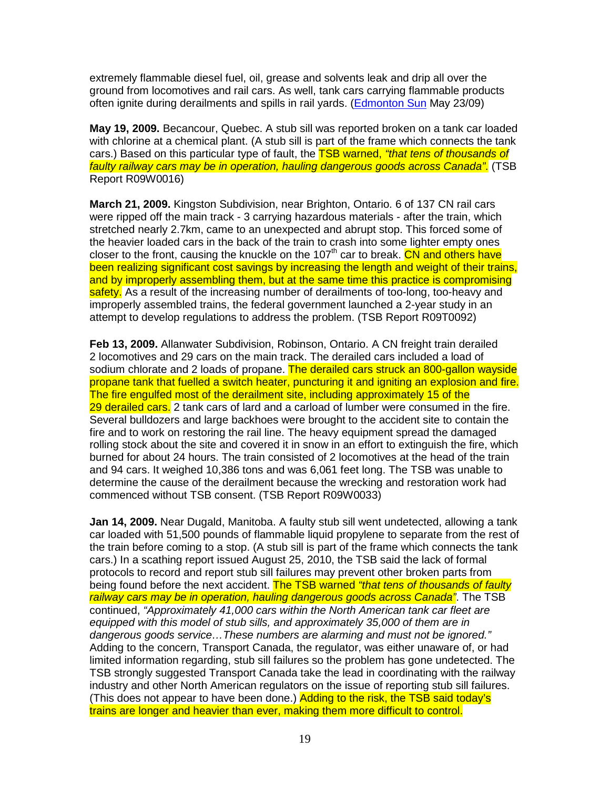extremely flammable diesel fuel, oil, grease and solvents leak and drip all over the ground from locomotives and rail cars. As well, tank cars carrying flammable products often ignite during derailments and spills in rail yards. (Edmonton Sun May 23/09)

**May 19, 2009.** Becancour, Quebec. A stub sill was reported broken on a tank car loaded with chlorine at a chemical plant. (A stub sill is part of the frame which connects the tank cars.) Based on this particular type of fault, the **TSB warned, "that tens of thousands of** faulty railway cars may be in operation, hauling dangerous goods across Canada". (TSB Report R09W0016)

**March 21, 2009.** Kingston Subdivision, near Brighton, Ontario. 6 of 137 CN rail cars were ripped off the main track - 3 carrying hazardous materials - after the train, which stretched nearly 2.7km, came to an unexpected and abrupt stop. This forced some of the heavier loaded cars in the back of the train to crash into some lighter empty ones closer to the front, causing the knuckle on the 107<sup>th</sup> car to break. CN and others have been realizing significant cost savings by increasing the length and weight of their trains, and by improperly assembling them, but at the same time this practice is compromising safety. As a result of the increasing number of derailments of too-long, too-heavy and improperly assembled trains, the federal government launched a 2-year study in an attempt to develop regulations to address the problem. (TSB Report R09T0092)

**Feb 13, 2009.** Allanwater Subdivision, Robinson, Ontario. A CN freight train derailed 2 locomotives and 29 cars on the main track. The derailed cars included a load of sodium chlorate and 2 loads of propane. The derailed cars struck an 800-gallon wayside propane tank that fuelled a switch heater, puncturing it and igniting an explosion and fire. The fire engulfed most of the derailment site, including approximately 15 of the 29 derailed cars. 2 tank cars of lard and a carload of lumber were consumed in the fire. Several bulldozers and large backhoes were brought to the accident site to contain the fire and to work on restoring the rail line. The heavy equipment spread the damaged rolling stock about the site and covered it in snow in an effort to extinguish the fire, which burned for about 24 hours. The train consisted of 2 locomotives at the head of the train and 94 cars. It weighed 10,386 tons and was 6,061 feet long. The TSB was unable to determine the cause of the derailment because the wrecking and restoration work had commenced without TSB consent. (TSB Report R09W0033)

**Jan 14, 2009.** Near Dugald, Manitoba. A faulty stub sill went undetected, allowing a tank car loaded with 51,500 pounds of flammable liquid propylene to separate from the rest of the train before coming to a stop. (A stub sill is part of the frame which connects the tank cars.) In a scathing report issued August 25, 2010, the TSB said the lack of formal protocols to record and report stub sill failures may prevent other broken parts from being found before the next accident. The TSB warned "that tens of thousands of faulty railway cars may be in operation, hauling dangerous goods across Canada". The TSB continued, "Approximately 41,000 cars within the North American tank car fleet are equipped with this model of stub sills, and approximately 35,000 of them are in dangerous goods service…These numbers are alarming and must not be ignored." Adding to the concern, Transport Canada, the regulator, was either unaware of, or had limited information regarding, stub sill failures so the problem has gone undetected. The TSB strongly suggested Transport Canada take the lead in coordinating with the railway industry and other North American regulators on the issue of reporting stub sill failures. (This does not appear to have been done.) Adding to the risk, the TSB said today's trains are longer and heavier than ever, making them more difficult to control.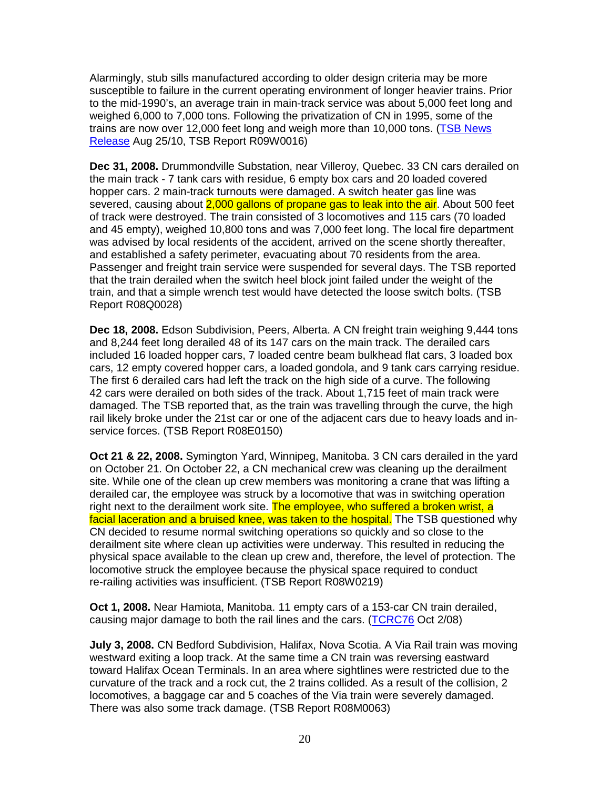Alarmingly, stub sills manufactured according to older design criteria may be more susceptible to failure in the current operating environment of longer heavier trains. Prior to the mid-1990's, an average train in main-track service was about 5,000 feet long and weighed 6,000 to 7,000 tons. Following the privatization of CN in 1995, some of the trains are now over 12,000 feet long and weigh more than 10,000 tons. (TSB News Release Aug 25/10, TSB Report R09W0016)

**Dec 31, 2008.** Drummondville Substation, near Villeroy, Quebec. 33 CN cars derailed on the main track - 7 tank cars with residue, 6 empty box cars and 20 loaded covered hopper cars. 2 main-track turnouts were damaged. A switch heater gas line was severed, causing about 2,000 gallons of propane gas to leak into the air. About 500 feet of track were destroyed. The train consisted of 3 locomotives and 115 cars (70 loaded and 45 empty), weighed 10,800 tons and was 7,000 feet long. The local fire department was advised by local residents of the accident, arrived on the scene shortly thereafter, and established a safety perimeter, evacuating about 70 residents from the area. Passenger and freight train service were suspended for several days. The TSB reported that the train derailed when the switch heel block joint failed under the weight of the train, and that a simple wrench test would have detected the loose switch bolts. (TSB Report R08Q0028)

**Dec 18, 2008.** Edson Subdivision, Peers, Alberta. A CN freight train weighing 9,444 tons and 8,244 feet long derailed 48 of its 147 cars on the main track. The derailed cars included 16 loaded hopper cars, 7 loaded centre beam bulkhead flat cars, 3 loaded box cars, 12 empty covered hopper cars, a loaded gondola, and 9 tank cars carrying residue. The first 6 derailed cars had left the track on the high side of a curve. The following 42 cars were derailed on both sides of the track. About 1,715 feet of main track were damaged. The TSB reported that, as the train was travelling through the curve, the high rail likely broke under the 21st car or one of the adjacent cars due to heavy loads and inservice forces. (TSB Report R08E0150)

**Oct 21 & 22, 2008.** Symington Yard, Winnipeg, Manitoba. 3 CN cars derailed in the yard on October 21. On October 22, a CN mechanical crew was cleaning up the derailment site. While one of the clean up crew members was monitoring a crane that was lifting a derailed car, the employee was struck by a locomotive that was in switching operation right next to the derailment work site. The employee, who suffered a broken wrist, a facial laceration and a bruised knee, was taken to the hospital. The TSB questioned why CN decided to resume normal switching operations so quickly and so close to the derailment site where clean up activities were underway. This resulted in reducing the physical space available to the clean up crew and, therefore, the level of protection. The locomotive struck the employee because the physical space required to conduct re-railing activities was insufficient. (TSB Report R08W0219)

**Oct 1, 2008.** Near Hamiota, Manitoba. 11 empty cars of a 153-car CN train derailed, causing major damage to both the rail lines and the cars. (TCRC76 Oct 2/08)

**July 3, 2008.** CN Bedford Subdivision, Halifax, Nova Scotia. A Via Rail train was moving westward exiting a loop track. At the same time a CN train was reversing eastward toward Halifax Ocean Terminals. In an area where sightlines were restricted due to the curvature of the track and a rock cut, the 2 trains collided. As a result of the collision, 2 locomotives, a baggage car and 5 coaches of the Via train were severely damaged. There was also some track damage. (TSB Report R08M0063)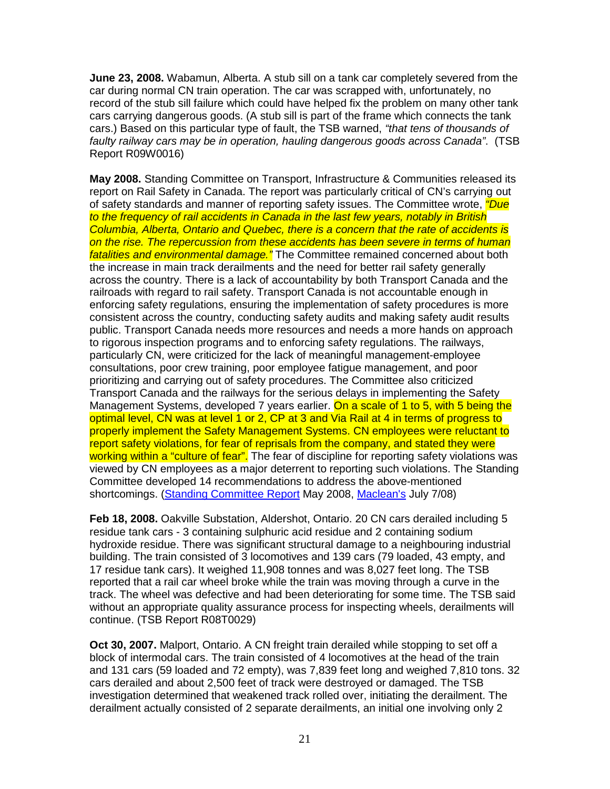**June 23, 2008.** Wabamun, Alberta. A stub sill on a tank car completely severed from the car during normal CN train operation. The car was scrapped with, unfortunately, no record of the stub sill failure which could have helped fix the problem on many other tank cars carrying dangerous goods. (A stub sill is part of the frame which connects the tank cars.) Based on this particular type of fault, the TSB warned, "that tens of thousands of faulty railway cars may be in operation, hauling dangerous goods across Canada". (TSB Report R09W0016)

**May 2008.** Standing Committee on Transport, Infrastructure & Communities released its report on Rail Safety in Canada. The report was particularly critical of CN's carrying out of safety standards and manner of reporting safety issues. The Committee wrote, *"Due* to the frequency of rail accidents in Canada in the last few years, notably in British Columbia, Alberta, Ontario and Quebec, there is a concern that the rate of accidents is on the rise. The repercussion from these accidents has been severe in terms of human fatalities and environmental damage." The Committee remained concerned about both the increase in main track derailments and the need for better rail safety generally across the country. There is a lack of accountability by both Transport Canada and the railroads with regard to rail safety. Transport Canada is not accountable enough in enforcing safety regulations, ensuring the implementation of safety procedures is more consistent across the country, conducting safety audits and making safety audit results public. Transport Canada needs more resources and needs a more hands on approach to rigorous inspection programs and to enforcing safety regulations. The railways, particularly CN, were criticized for the lack of meaningful management-employee consultations, poor crew training, poor employee fatigue management, and poor prioritizing and carrying out of safety procedures. The Committee also criticized Transport Canada and the railways for the serious delays in implementing the Safety Management Systems, developed 7 years earlier. On a scale of 1 to 5, with 5 being the optimal level, CN was at level 1 or 2, CP at 3 and Via Rail at 4 in terms of progress to properly implement the Safety Management Systems. CN employees were reluctant to report safety violations, for fear of reprisals from the company, and stated they were working within a "culture of fear". The fear of discipline for reporting safety violations was viewed by CN employees as a major deterrent to reporting such violations. The Standing Committee developed 14 recommendations to address the above-mentioned shortcomings. (Standing Committee Report May 2008, Maclean's July 7/08)

**Feb 18, 2008.** Oakville Substation, Aldershot, Ontario. 20 CN cars derailed including 5 residue tank cars - 3 containing sulphuric acid residue and 2 containing sodium hydroxide residue. There was significant structural damage to a neighbouring industrial building. The train consisted of 3 locomotives and 139 cars (79 loaded, 43 empty, and 17 residue tank cars). It weighed 11,908 tonnes and was 8,027 feet long. The TSB reported that a rail car wheel broke while the train was moving through a curve in the track. The wheel was defective and had been deteriorating for some time. The TSB said without an appropriate quality assurance process for inspecting wheels, derailments will continue. (TSB Report R08T0029)

**Oct 30, 2007.** Malport, Ontario. A CN freight train derailed while stopping to set off a block of intermodal cars. The train consisted of 4 locomotives at the head of the train and 131 cars (59 loaded and 72 empty), was 7,839 feet long and weighed 7,810 tons. 32 cars derailed and about 2,500 feet of track were destroyed or damaged. The TSB investigation determined that weakened track rolled over, initiating the derailment. The derailment actually consisted of 2 separate derailments, an initial one involving only 2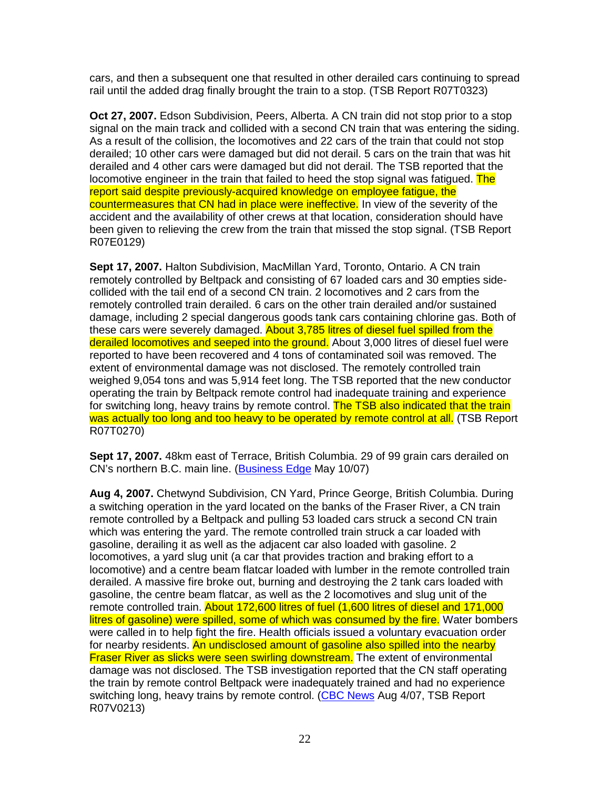cars, and then a subsequent one that resulted in other derailed cars continuing to spread rail until the added drag finally brought the train to a stop. (TSB Report R07T0323)

**Oct 27, 2007.** Edson Subdivision, Peers, Alberta. A CN train did not stop prior to a stop signal on the main track and collided with a second CN train that was entering the siding. As a result of the collision, the locomotives and 22 cars of the train that could not stop derailed; 10 other cars were damaged but did not derail. 5 cars on the train that was hit derailed and 4 other cars were damaged but did not derail. The TSB reported that the locomotive engineer in the train that failed to heed the stop signal was fatigued. The report said despite previously-acquired knowledge on employee fatigue, the countermeasures that CN had in place were ineffective. In view of the severity of the accident and the availability of other crews at that location, consideration should have been given to relieving the crew from the train that missed the stop signal. (TSB Report R07E0129)

**Sept 17, 2007.** Halton Subdivision, MacMillan Yard, Toronto, Ontario. A CN train remotely controlled by Beltpack and consisting of 67 loaded cars and 30 empties sidecollided with the tail end of a second CN train. 2 locomotives and 2 cars from the remotely controlled train derailed. 6 cars on the other train derailed and/or sustained damage, including 2 special dangerous goods tank cars containing chlorine gas. Both of these cars were severely damaged. About 3,785 litres of diesel fuel spilled from the derailed locomotives and seeped into the ground. About 3,000 litres of diesel fuel were reported to have been recovered and 4 tons of contaminated soil was removed. The extent of environmental damage was not disclosed. The remotely controlled train weighed 9,054 tons and was 5,914 feet long. The TSB reported that the new conductor operating the train by Beltpack remote control had inadequate training and experience for switching long, heavy trains by remote control. The TSB also indicated that the train was actually too long and too heavy to be operated by remote control at all. (TSB Report R07T0270)

**Sept 17, 2007.** 48km east of Terrace, British Columbia. 29 of 99 grain cars derailed on CN's northern B.C. main line. (Business Edge May 10/07)

**Aug 4, 2007.** Chetwynd Subdivision, CN Yard, Prince George, British Columbia. During a switching operation in the yard located on the banks of the Fraser River, a CN train remote controlled by a Beltpack and pulling 53 loaded cars struck a second CN train which was entering the yard. The remote controlled train struck a car loaded with gasoline, derailing it as well as the adjacent car also loaded with gasoline. 2 locomotives, a yard slug unit (a car that provides traction and braking effort to a locomotive) and a centre beam flatcar loaded with lumber in the remote controlled train derailed. A massive fire broke out, burning and destroying the 2 tank cars loaded with gasoline, the centre beam flatcar, as well as the 2 locomotives and slug unit of the remote controlled train. About 172,600 litres of fuel (1,600 litres of diesel and 171,000 litres of gasoline) were spilled, some of which was consumed by the fire. Water bombers were called in to help fight the fire. Health officials issued a voluntary evacuation order for nearby residents. An undisclosed amount of gasoline also spilled into the nearby Fraser River as slicks were seen swirling downstream. The extent of environmental damage was not disclosed. The TSB investigation reported that the CN staff operating the train by remote control Beltpack were inadequately trained and had no experience switching long, heavy trains by remote control. (CBC News Aug 4/07, TSB Report R07V0213)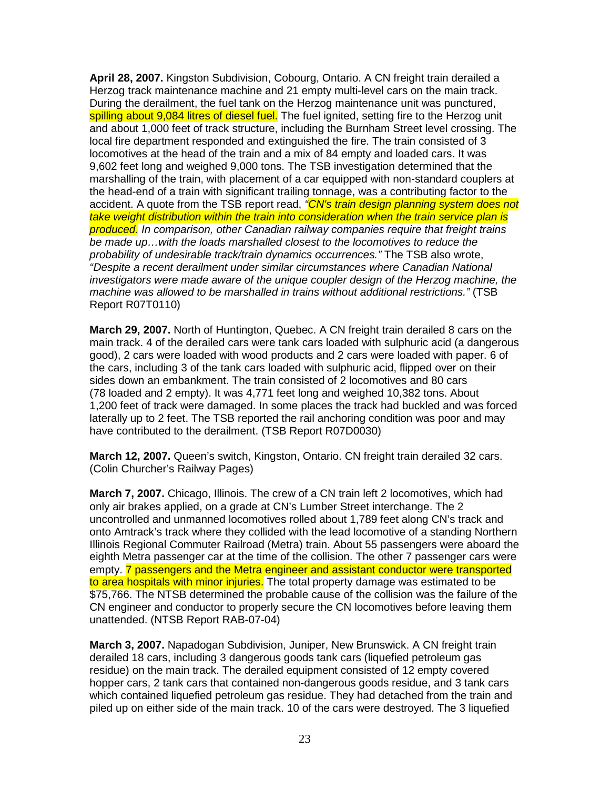**April 28, 2007.** Kingston Subdivision, Cobourg, Ontario. A CN freight train derailed a Herzog track maintenance machine and 21 empty multi-level cars on the main track. During the derailment, the fuel tank on the Herzog maintenance unit was punctured, spilling about 9,084 litres of diesel fuel. The fuel ignited, setting fire to the Herzog unit and about 1,000 feet of track structure, including the Burnham Street level crossing. The local fire department responded and extinguished the fire. The train consisted of 3 locomotives at the head of the train and a mix of 84 empty and loaded cars. It was 9,602 feet long and weighed 9,000 tons. The TSB investigation determined that the marshalling of the train, with placement of a car equipped with non-standard couplers at the head-end of a train with significant trailing tonnage, was a contributing factor to the accident. A quote from the TSB report read, <sup>"</sup>CN's train design planning system does not take weight distribution within the train into consideration when the train service plan is produced. In comparison, other Canadian railway companies require that freight trains be made up…with the loads marshalled closest to the locomotives to reduce the probability of undesirable track/train dynamics occurrences." The TSB also wrote, "Despite a recent derailment under similar circumstances where Canadian National investigators were made aware of the unique coupler design of the Herzog machine, the machine was allowed to be marshalled in trains without additional restrictions." (TSB Report R07T0110)

**March 29, 2007.** North of Huntington, Quebec. A CN freight train derailed 8 cars on the main track. 4 of the derailed cars were tank cars loaded with sulphuric acid (a dangerous good), 2 cars were loaded with wood products and 2 cars were loaded with paper. 6 of the cars, including 3 of the tank cars loaded with sulphuric acid, flipped over on their sides down an embankment. The train consisted of 2 locomotives and 80 cars (78 loaded and 2 empty). It was 4,771 feet long and weighed 10,382 tons. About 1,200 feet of track were damaged. In some places the track had buckled and was forced laterally up to 2 feet. The TSB reported the rail anchoring condition was poor and may have contributed to the derailment. (TSB Report R07D0030)

**March 12, 2007.** Queen's switch, Kingston, Ontario. CN freight train derailed 32 cars. (Colin Churcher's Railway Pages)

**March 7, 2007.** Chicago, Illinois. The crew of a CN train left 2 locomotives, which had only air brakes applied, on a grade at CN's Lumber Street interchange. The 2 uncontrolled and unmanned locomotives rolled about 1,789 feet along CN's track and onto Amtrack's track where they collided with the lead locomotive of a standing Northern Illinois Regional Commuter Railroad (Metra) train. About 55 passengers were aboard the eighth Metra passenger car at the time of the collision. The other 7 passenger cars were empty. **7 passengers and the Metra engineer and assistant conductor were transported** to area hospitals with minor injuries. The total property damage was estimated to be \$75,766. The NTSB determined the probable cause of the collision was the failure of the CN engineer and conductor to properly secure the CN locomotives before leaving them unattended. (NTSB Report RAB-07-04)

**March 3, 2007.** Napadogan Subdivision, Juniper, New Brunswick. A CN freight train derailed 18 cars, including 3 dangerous goods tank cars (liquefied petroleum gas residue) on the main track. The derailed equipment consisted of 12 empty covered hopper cars, 2 tank cars that contained non-dangerous goods residue, and 3 tank cars which contained liquefied petroleum gas residue. They had detached from the train and piled up on either side of the main track. 10 of the cars were destroyed. The 3 liquefied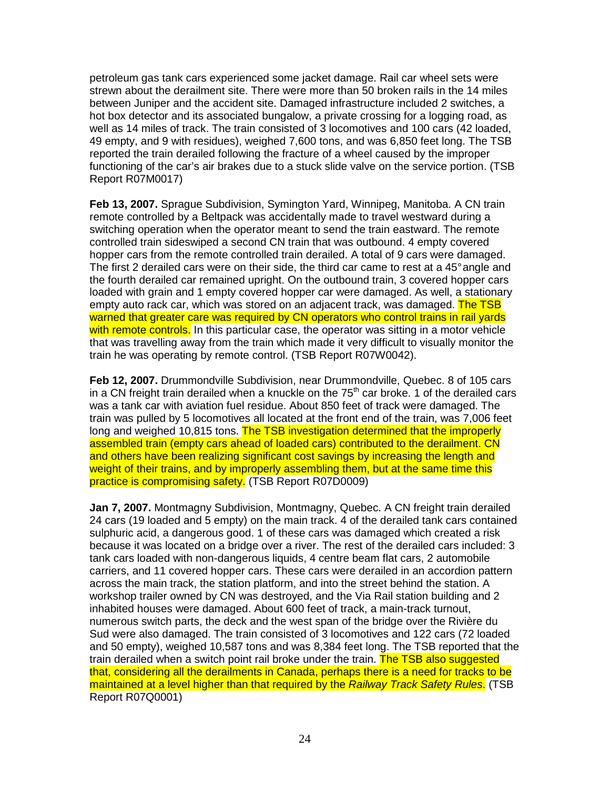petroleum gas tank cars experienced some jacket damage. Rail car wheel sets were strewn about the derailment site. There were more than 50 broken rails in the 14 miles between Juniper and the accident site. Damaged infrastructure included 2 switches, a hot box detector and its associated bungalow, a private crossing for a logging road, as well as 14 miles of track. The train consisted of 3 locomotives and 100 cars (42 loaded, 49 empty, and 9 with residues), weighed 7,600 tons, and was 6,850 feet long. The TSB reported the train derailed following the fracture of a wheel caused by the improper functioning of the car's air brakes due to a stuck slide valve on the service portion. (TSB Report R07M0017)

**Feb 13, 2007.** Sprague Subdivision, Symington Yard, Winnipeg, Manitoba. A CN train remote controlled by a Beltpack was accidentally made to travel westward during a switching operation when the operator meant to send the train eastward. The remote controlled train sideswiped a second CN train that was outbound. 4 empty covered hopper cars from the remote controlled train derailed. A total of 9 cars were damaged. The first 2 derailed cars were on their side, the third car came to rest at a 45° angle and the fourth derailed car remained upright. On the outbound train, 3 covered hopper cars loaded with grain and 1 empty covered hopper car were damaged. As well, a stationary empty auto rack car, which was stored on an adjacent track, was damaged. The TSB warned that greater care was required by CN operators who control trains in rail yards with remote controls. In this particular case, the operator was sitting in a motor vehicle that was travelling away from the train which made it very difficult to visually monitor the train he was operating by remote control. (TSB Report R07W0042).

**Feb 12, 2007.** Drummondville Subdivision, near Drummondville, Quebec. 8 of 105 cars in a CN freight train derailed when a knuckle on the  $75<sup>th</sup>$  car broke. 1 of the derailed cars was a tank car with aviation fuel residue. About 850 feet of track were damaged. The train was pulled by 5 locomotives all located at the front end of the train, was 7,006 feet long and weighed 10,815 tons. The TSB investigation determined that the improperly assembled train (empty cars ahead of loaded cars) contributed to the derailment. CN and others have been realizing significant cost savings by increasing the length and weight of their trains, and by improperly assembling them, but at the same time this practice is compromising safety. (TSB Report R07D0009)

**Jan 7, 2007.** Montmagny Subdivision, Montmagny, Quebec. A CN freight train derailed 24 cars (19 loaded and 5 empty) on the main track. 4 of the derailed tank cars contained sulphuric acid, a dangerous good. 1 of these cars was damaged which created a risk because it was located on a bridge over a river. The rest of the derailed cars included: 3 tank cars loaded with non-dangerous liquids, 4 centre beam flat cars, 2 automobile carriers, and 11 covered hopper cars. These cars were derailed in an accordion pattern across the main track, the station platform, and into the street behind the station. A workshop trailer owned by CN was destroyed, and the Via Rail station building and 2 inhabited houses were damaged. About 600 feet of track, a main-track turnout, numerous switch parts, the deck and the west span of the bridge over the Rivière du Sud were also damaged. The train consisted of 3 locomotives and 122 cars (72 loaded and 50 empty), weighed 10,587 tons and was 8,384 feet long. The TSB reported that the train derailed when a switch point rail broke under the train. The TSB also suggested that, considering all the derailments in Canada, perhaps there is a need for tracks to be maintained at a level higher than that required by the Railway Track Safety Rules. (TSB Report R07Q0001)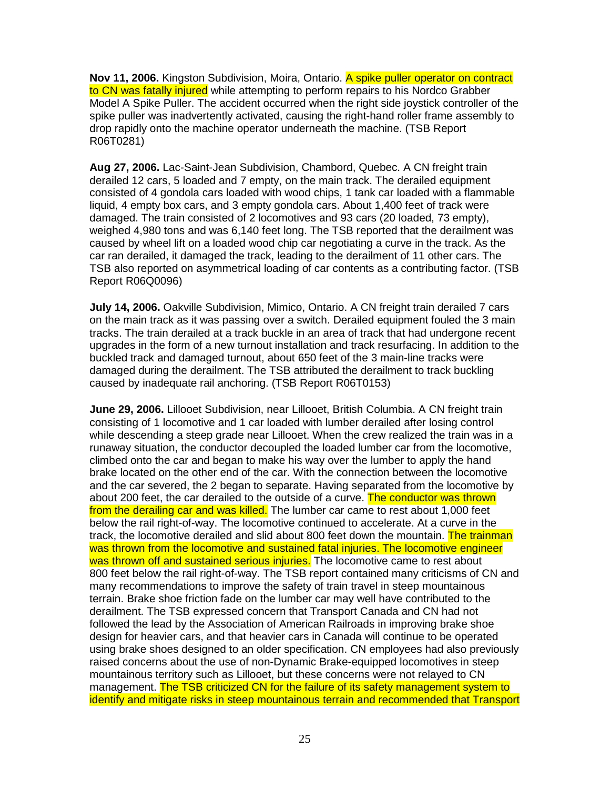**Nov 11, 2006.** Kingston Subdivision, Moira, Ontario. A spike puller operator on contract to CN was fatally injured while attempting to perform repairs to his Nordco Grabber Model A Spike Puller. The accident occurred when the right side joystick controller of the spike puller was inadvertently activated, causing the right-hand roller frame assembly to drop rapidly onto the machine operator underneath the machine. (TSB Report R06T0281)

**Aug 27, 2006.** Lac-Saint-Jean Subdivision, Chambord, Quebec. A CN freight train derailed 12 cars, 5 loaded and 7 empty, on the main track. The derailed equipment consisted of 4 gondola cars loaded with wood chips, 1 tank car loaded with a flammable liquid, 4 empty box cars, and 3 empty gondola cars. About 1,400 feet of track were damaged. The train consisted of 2 locomotives and 93 cars (20 loaded, 73 empty), weighed 4,980 tons and was 6,140 feet long. The TSB reported that the derailment was caused by wheel lift on a loaded wood chip car negotiating a curve in the track. As the car ran derailed, it damaged the track, leading to the derailment of 11 other cars. The TSB also reported on asymmetrical loading of car contents as a contributing factor. (TSB Report R06Q0096)

**July 14, 2006.** Oakville Subdivision, Mimico, Ontario. A CN freight train derailed 7 cars on the main track as it was passing over a switch. Derailed equipment fouled the 3 main tracks. The train derailed at a track buckle in an area of track that had undergone recent upgrades in the form of a new turnout installation and track resurfacing. In addition to the buckled track and damaged turnout, about 650 feet of the 3 main-line tracks were damaged during the derailment. The TSB attributed the derailment to track buckling caused by inadequate rail anchoring. (TSB Report R06T0153)

**June 29, 2006.** Lillooet Subdivision, near Lillooet, British Columbia. A CN freight train consisting of 1 locomotive and 1 car loaded with lumber derailed after losing control while descending a steep grade near Lillooet. When the crew realized the train was in a runaway situation, the conductor decoupled the loaded lumber car from the locomotive, climbed onto the car and began to make his way over the lumber to apply the hand brake located on the other end of the car. With the connection between the locomotive and the car severed, the 2 began to separate. Having separated from the locomotive by about 200 feet, the car derailed to the outside of a curve. The conductor was thrown from the derailing car and was killed. The lumber car came to rest about 1,000 feet below the rail right-of-way. The locomotive continued to accelerate. At a curve in the track, the locomotive derailed and slid about 800 feet down the mountain. The trainman was thrown from the locomotive and sustained fatal injuries. The locomotive engineer was thrown off and sustained serious injuries. The locomotive came to rest about 800 feet below the rail right-of-way. The TSB report contained many criticisms of CN and many recommendations to improve the safety of train travel in steep mountainous terrain. Brake shoe friction fade on the lumber car may well have contributed to the derailment. The TSB expressed concern that Transport Canada and CN had not followed the lead by the Association of American Railroads in improving brake shoe design for heavier cars, and that heavier cars in Canada will continue to be operated using brake shoes designed to an older specification. CN employees had also previously raised concerns about the use of non-Dynamic Brake-equipped locomotives in steep mountainous territory such as Lillooet, but these concerns were not relayed to CN management. The TSB criticized CN for the failure of its safety management system to identify and mitigate risks in steep mountainous terrain and recommended that Transport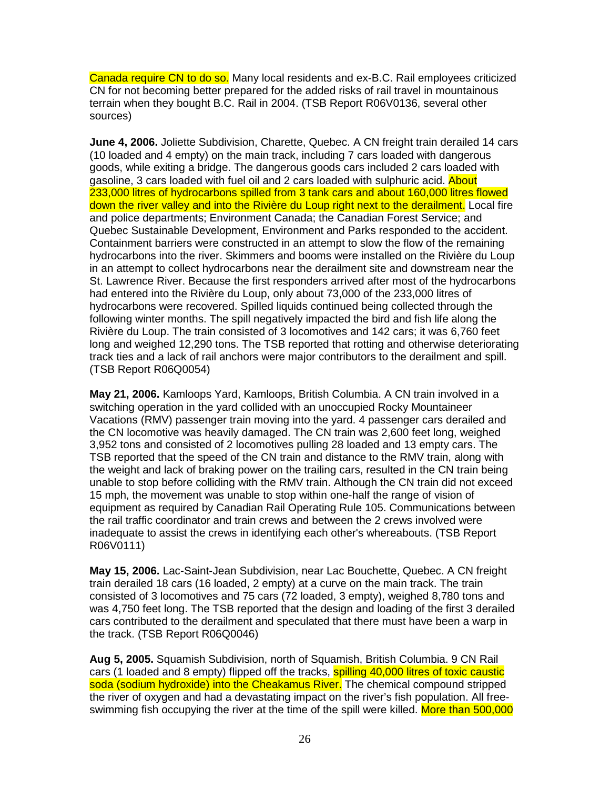Canada require CN to do so. Many local residents and ex-B.C. Rail employees criticized CN for not becoming better prepared for the added risks of rail travel in mountainous terrain when they bought B.C. Rail in 2004. (TSB Report R06V0136, several other sources)

**June 4, 2006.** Joliette Subdivision, Charette, Quebec. A CN freight train derailed 14 cars (10 loaded and 4 empty) on the main track, including 7 cars loaded with dangerous goods, while exiting a bridge. The dangerous goods cars included 2 cars loaded with gasoline, 3 cars loaded with fuel oil and 2 cars loaded with sulphuric acid. About 233,000 litres of hydrocarbons spilled from 3 tank cars and about 160,000 litres flowed down the river valley and into the Rivière du Loup right next to the derailment. Local fire and police departments; Environment Canada; the Canadian Forest Service; and Quebec Sustainable Development, Environment and Parks responded to the accident. Containment barriers were constructed in an attempt to slow the flow of the remaining hydrocarbons into the river. Skimmers and booms were installed on the Rivière du Loup in an attempt to collect hydrocarbons near the derailment site and downstream near the St. Lawrence River. Because the first responders arrived after most of the hydrocarbons had entered into the Rivière du Loup, only about 73,000 of the 233,000 litres of hydrocarbons were recovered. Spilled liquids continued being collected through the following winter months. The spill negatively impacted the bird and fish life along the Rivière du Loup. The train consisted of 3 locomotives and 142 cars; it was 6,760 feet long and weighed 12,290 tons. The TSB reported that rotting and otherwise deteriorating track ties and a lack of rail anchors were major contributors to the derailment and spill. (TSB Report R06Q0054)

**May 21, 2006.** Kamloops Yard, Kamloops, British Columbia. A CN train involved in a switching operation in the yard collided with an unoccupied Rocky Mountaineer Vacations (RMV) passenger train moving into the yard. 4 passenger cars derailed and the CN locomotive was heavily damaged. The CN train was 2,600 feet long, weighed 3,952 tons and consisted of 2 locomotives pulling 28 loaded and 13 empty cars. The TSB reported that the speed of the CN train and distance to the RMV train, along with the weight and lack of braking power on the trailing cars, resulted in the CN train being unable to stop before colliding with the RMV train. Although the CN train did not exceed 15 mph, the movement was unable to stop within one-half the range of vision of equipment as required by Canadian Rail Operating Rule 105. Communications between the rail traffic coordinator and train crews and between the 2 crews involved were inadequate to assist the crews in identifying each other's whereabouts. (TSB Report R06V0111)

**May 15, 2006.** Lac-Saint-Jean Subdivision, near Lac Bouchette, Quebec. A CN freight train derailed 18 cars (16 loaded, 2 empty) at a curve on the main track. The train consisted of 3 locomotives and 75 cars (72 loaded, 3 empty), weighed 8,780 tons and was 4,750 feet long. The TSB reported that the design and loading of the first 3 derailed cars contributed to the derailment and speculated that there must have been a warp in the track. (TSB Report R06Q0046)

**Aug 5, 2005.** Squamish Subdivision, north of Squamish, British Columbia. 9 CN Rail cars (1 loaded and 8 empty) flipped off the tracks, **spilling 40,000 litres of toxic caustic** soda (sodium hydroxide) into the Cheakamus River. The chemical compound stripped the river of oxygen and had a devastating impact on the river's fish population. All freeswimming fish occupying the river at the time of the spill were killed. More than 500,000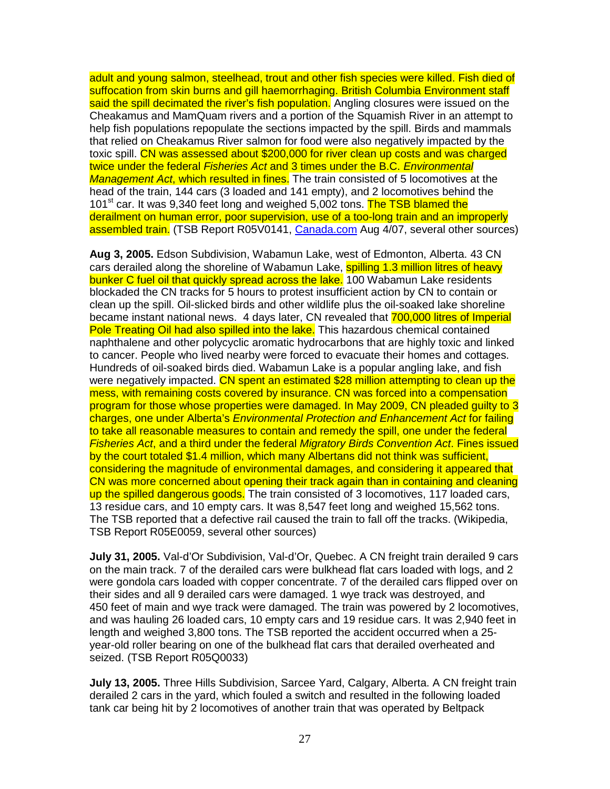adult and young salmon, steelhead, trout and other fish species were killed. Fish died of suffocation from skin burns and gill haemorrhaging. British Columbia Environment staff said the spill decimated the river's fish population. Angling closures were issued on the Cheakamus and MamQuam rivers and a portion of the Squamish River in an attempt to help fish populations repopulate the sections impacted by the spill. Birds and mammals that relied on Cheakamus River salmon for food were also negatively impacted by the toxic spill. CN was assessed about \$200,000 for river clean up costs and was charged twice under the federal *Fisheries Act* and 3 times under the B.C. *Environmental* Management Act, which resulted in fines. The train consisted of 5 locomotives at the head of the train, 144 cars (3 loaded and 141 empty), and 2 locomotives behind the 101<sup>st</sup> car. It was 9,340 feet long and weighed 5,002 tons. The TSB blamed the derailment on human error, poor supervision, use of a too-long train and an improperly assembled train. (TSB Report R05V0141, Canada.com Aug 4/07, several other sources)

**Aug 3, 2005.** Edson Subdivision, Wabamun Lake, west of Edmonton, Alberta. 43 CN cars derailed along the shoreline of Wabamun Lake, spilling 1.3 million litres of heavy bunker C fuel oil that quickly spread across the lake. 100 Wabamun Lake residents blockaded the CN tracks for 5 hours to protest insufficient action by CN to contain or clean up the spill. Oil-slicked birds and other wildlife plus the oil-soaked lake shoreline became instant national news. 4 days later, CN revealed that 700,000 litres of Imperial Pole Treating Oil had also spilled into the lake. This hazardous chemical contained naphthalene and other polycyclic aromatic hydrocarbons that are highly toxic and linked to cancer. People who lived nearby were forced to evacuate their homes and cottages. Hundreds of oil-soaked birds died. Wabamun Lake is a popular angling lake, and fish were negatively impacted. CN spent an estimated \$28 million attempting to clean up the mess, with remaining costs covered by insurance. CN was forced into a compensation program for those whose properties were damaged. In May 2009, CN pleaded guilty to 3 charges, one under Alberta's Environmental Protection and Enhancement Act for failing to take all reasonable measures to contain and remedy the spill, one under the federal Fisheries Act, and a third under the federal Migratory Birds Convention Act. Fines issued by the court totaled \$1.4 million, which many Albertans did not think was sufficient, considering the magnitude of environmental damages, and considering it appeared that CN was more concerned about opening their track again than in containing and cleaning up the spilled dangerous goods. The train consisted of 3 locomotives, 117 loaded cars, 13 residue cars, and 10 empty cars. It was 8,547 feet long and weighed 15,562 tons. The TSB reported that a defective rail caused the train to fall off the tracks. (Wikipedia, TSB Report R05E0059, several other sources)

**July 31, 2005.** Val-d'Or Subdivision, Val-d'Or, Quebec. A CN freight train derailed 9 cars on the main track. 7 of the derailed cars were bulkhead flat cars loaded with logs, and 2 were gondola cars loaded with copper concentrate. 7 of the derailed cars flipped over on their sides and all 9 derailed cars were damaged. 1 wye track was destroyed, and 450 feet of main and wye track were damaged. The train was powered by 2 locomotives, and was hauling 26 loaded cars, 10 empty cars and 19 residue cars. It was 2,940 feet in length and weighed 3,800 tons. The TSB reported the accident occurred when a 25 year-old roller bearing on one of the bulkhead flat cars that derailed overheated and seized. (TSB Report R05Q0033)

**July 13, 2005.** Three Hills Subdivision, Sarcee Yard, Calgary, Alberta. A CN freight train derailed 2 cars in the yard, which fouled a switch and resulted in the following loaded tank car being hit by 2 locomotives of another train that was operated by Beltpack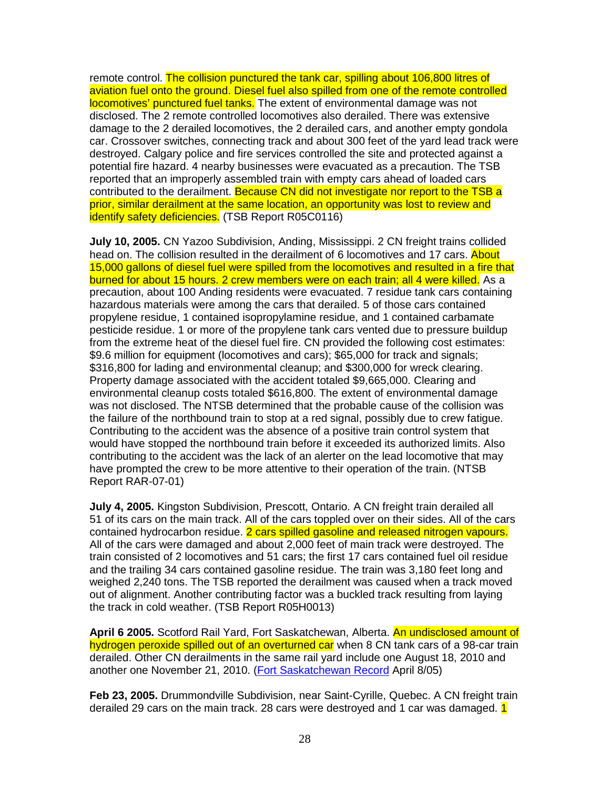remote control. The collision punctured the tank car, spilling about 106,800 litres of aviation fuel onto the ground. Diesel fuel also spilled from one of the remote controlled locomotives' punctured fuel tanks. The extent of environmental damage was not disclosed. The 2 remote controlled locomotives also derailed. There was extensive damage to the 2 derailed locomotives, the 2 derailed cars, and another empty gondola car. Crossover switches, connecting track and about 300 feet of the yard lead track were destroyed. Calgary police and fire services controlled the site and protected against a potential fire hazard. 4 nearby businesses were evacuated as a precaution. The TSB reported that an improperly assembled train with empty cars ahead of loaded cars contributed to the derailment. Because CN did not investigate nor report to the TSB a prior, similar derailment at the same location, an opportunity was lost to review and identify safety deficiencies. (TSB Report R05C0116)

**July 10, 2005.** CN Yazoo Subdivision, Anding, Mississippi. 2 CN freight trains collided head on. The collision resulted in the derailment of 6 locomotives and 17 cars. About 15,000 gallons of diesel fuel were spilled from the locomotives and resulted in a fire that burned for about 15 hours. 2 crew members were on each train; all 4 were killed. As a precaution, about 100 Anding residents were evacuated. 7 residue tank cars containing hazardous materials were among the cars that derailed. 5 of those cars contained propylene residue, 1 contained isopropylamine residue, and 1 contained carbamate pesticide residue. 1 or more of the propylene tank cars vented due to pressure buildup from the extreme heat of the diesel fuel fire. CN provided the following cost estimates: \$9.6 million for equipment (locomotives and cars); \$65,000 for track and signals; \$316,800 for lading and environmental cleanup; and \$300,000 for wreck clearing. Property damage associated with the accident totaled \$9,665,000. Clearing and environmental cleanup costs totaled \$616,800. The extent of environmental damage was not disclosed. The NTSB determined that the probable cause of the collision was the failure of the northbound train to stop at a red signal, possibly due to crew fatigue. Contributing to the accident was the absence of a positive train control system that would have stopped the northbound train before it exceeded its authorized limits. Also contributing to the accident was the lack of an alerter on the lead locomotive that may have prompted the crew to be more attentive to their operation of the train. (NTSB Report RAR-07-01)

**July 4, 2005.** Kingston Subdivision, Prescott, Ontario. A CN freight train derailed all 51 of its cars on the main track. All of the cars toppled over on their sides. All of the cars contained hydrocarbon residue. 2 cars spilled gasoline and released nitrogen vapours. All of the cars were damaged and about 2,000 feet of main track were destroyed. The train consisted of 2 locomotives and 51 cars; the first 17 cars contained fuel oil residue and the trailing 34 cars contained gasoline residue. The train was 3,180 feet long and weighed 2,240 tons. The TSB reported the derailment was caused when a track moved out of alignment. Another contributing factor was a buckled track resulting from laying the track in cold weather. (TSB Report R05H0013)

**April 6 2005.** Scotford Rail Yard, Fort Saskatchewan, Alberta. An undisclosed amount of hydrogen peroxide spilled out of an overturned car when 8 CN tank cars of a 98-car train derailed. Other CN derailments in the same rail yard include one August 18, 2010 and another one November 21, 2010. (Fort Saskatchewan Record April 8/05)

**Feb 23, 2005.** Drummondville Subdivision, near Saint-Cyrille, Quebec. A CN freight train derailed 29 cars on the main track. 28 cars were destroyed and 1 car was damaged. 1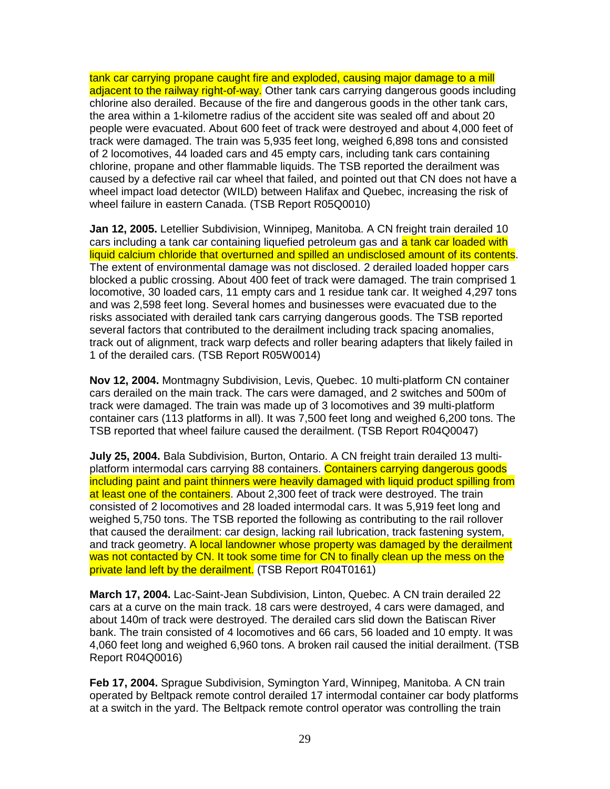tank car carrying propane caught fire and exploded, causing major damage to a mill adjacent to the railway right-of-way. Other tank cars carrying dangerous goods including chlorine also derailed. Because of the fire and dangerous goods in the other tank cars, the area within a 1-kilometre radius of the accident site was sealed off and about 20 people were evacuated. About 600 feet of track were destroyed and about 4,000 feet of track were damaged. The train was 5,935 feet long, weighed 6,898 tons and consisted of 2 locomotives, 44 loaded cars and 45 empty cars, including tank cars containing chlorine, propane and other flammable liquids. The TSB reported the derailment was caused by a defective rail car wheel that failed, and pointed out that CN does not have a wheel impact load detector (WILD) between Halifax and Quebec, increasing the risk of wheel failure in eastern Canada. (TSB Report R05Q0010)

**Jan 12, 2005.** Letellier Subdivision, Winnipeg, Manitoba. A CN freight train derailed 10 cars including a tank car containing liquefied petroleum gas and a tank car loaded with liquid calcium chloride that overturned and spilled an undisclosed amount of its contents. The extent of environmental damage was not disclosed. 2 derailed loaded hopper cars blocked a public crossing. About 400 feet of track were damaged. The train comprised 1 locomotive, 30 loaded cars, 11 empty cars and 1 residue tank car. It weighed 4,297 tons and was 2,598 feet long. Several homes and businesses were evacuated due to the risks associated with derailed tank cars carrying dangerous goods. The TSB reported several factors that contributed to the derailment including track spacing anomalies, track out of alignment, track warp defects and roller bearing adapters that likely failed in 1 of the derailed cars. (TSB Report R05W0014)

**Nov 12, 2004.** Montmagny Subdivision, Levis, Quebec. 10 multi-platform CN container cars derailed on the main track. The cars were damaged, and 2 switches and 500m of track were damaged. The train was made up of 3 locomotives and 39 multi-platform container cars (113 platforms in all). It was 7,500 feet long and weighed 6,200 tons. The TSB reported that wheel failure caused the derailment. (TSB Report R04Q0047)

**July 25, 2004.** Bala Subdivision, Burton, Ontario. A CN freight train derailed 13 multiplatform intermodal cars carrying 88 containers. Containers carrying dangerous goods including paint and paint thinners were heavily damaged with liquid product spilling from at least one of the containers. About 2,300 feet of track were destroyed. The train consisted of 2 locomotives and 28 loaded intermodal cars. It was 5,919 feet long and weighed 5,750 tons. The TSB reported the following as contributing to the rail rollover that caused the derailment: car design, lacking rail lubrication, track fastening system, and track geometry. A local landowner whose property was damaged by the derailment was not contacted by CN. It took some time for CN to finally clean up the mess on the private land left by the derailment. (TSB Report R04T0161)

**March 17, 2004.** Lac-Saint-Jean Subdivision, Linton, Quebec. A CN train derailed 22 cars at a curve on the main track. 18 cars were destroyed, 4 cars were damaged, and about 140m of track were destroyed. The derailed cars slid down the Batiscan River bank. The train consisted of 4 locomotives and 66 cars, 56 loaded and 10 empty. It was 4,060 feet long and weighed 6,960 tons. A broken rail caused the initial derailment. (TSB Report R04Q0016)

**Feb 17, 2004.** Sprague Subdivision, Symington Yard, Winnipeg, Manitoba. A CN train operated by Beltpack remote control derailed 17 intermodal container car body platforms at a switch in the yard. The Beltpack remote control operator was controlling the train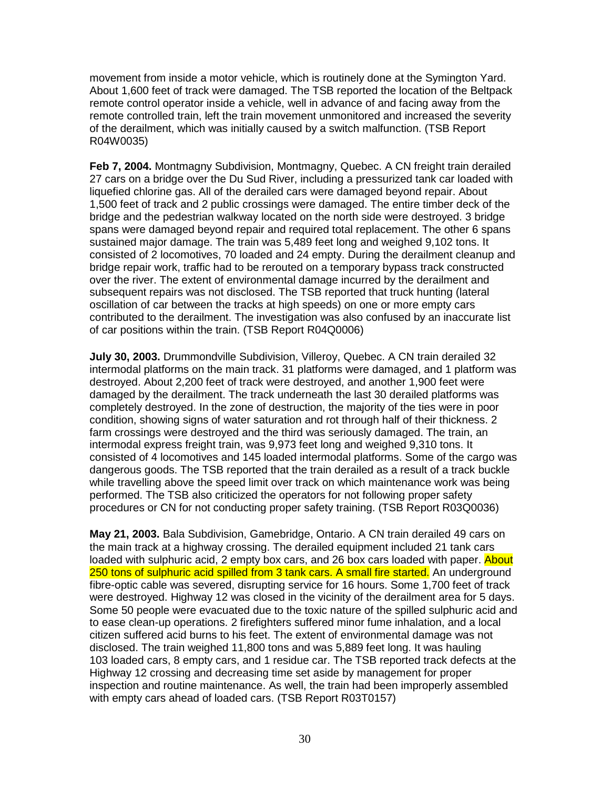movement from inside a motor vehicle, which is routinely done at the Symington Yard. About 1,600 feet of track were damaged. The TSB reported the location of the Beltpack remote control operator inside a vehicle, well in advance of and facing away from the remote controlled train, left the train movement unmonitored and increased the severity of the derailment, which was initially caused by a switch malfunction. (TSB Report R04W0035)

**Feb 7, 2004.** Montmagny Subdivision, Montmagny, Quebec. A CN freight train derailed 27 cars on a bridge over the Du Sud River, including a pressurized tank car loaded with liquefied chlorine gas. All of the derailed cars were damaged beyond repair. About 1,500 feet of track and 2 public crossings were damaged. The entire timber deck of the bridge and the pedestrian walkway located on the north side were destroyed. 3 bridge spans were damaged beyond repair and required total replacement. The other 6 spans sustained major damage. The train was 5,489 feet long and weighed 9,102 tons. It consisted of 2 locomotives, 70 loaded and 24 empty. During the derailment cleanup and bridge repair work, traffic had to be rerouted on a temporary bypass track constructed over the river. The extent of environmental damage incurred by the derailment and subsequent repairs was not disclosed. The TSB reported that truck hunting (lateral oscillation of car between the tracks at high speeds) on one or more empty cars contributed to the derailment. The investigation was also confused by an inaccurate list of car positions within the train. (TSB Report R04Q0006)

**July 30, 2003.** Drummondville Subdivision, Villeroy, Quebec. A CN train derailed 32 intermodal platforms on the main track. 31 platforms were damaged, and 1 platform was destroyed. About 2,200 feet of track were destroyed, and another 1,900 feet were damaged by the derailment. The track underneath the last 30 derailed platforms was completely destroyed. In the zone of destruction, the majority of the ties were in poor condition, showing signs of water saturation and rot through half of their thickness. 2 farm crossings were destroyed and the third was seriously damaged. The train, an intermodal express freight train, was 9,973 feet long and weighed 9,310 tons. It consisted of 4 locomotives and 145 loaded intermodal platforms. Some of the cargo was dangerous goods. The TSB reported that the train derailed as a result of a track buckle while travelling above the speed limit over track on which maintenance work was being performed. The TSB also criticized the operators for not following proper safety procedures or CN for not conducting proper safety training. (TSB Report R03Q0036)

**May 21, 2003.** Bala Subdivision, Gamebridge, Ontario. A CN train derailed 49 cars on the main track at a highway crossing. The derailed equipment included 21 tank cars loaded with sulphuric acid, 2 empty box cars, and 26 box cars loaded with paper. About 250 tons of sulphuric acid spilled from 3 tank cars. A small fire started. An underground fibre-optic cable was severed, disrupting service for 16 hours. Some 1,700 feet of track were destroyed. Highway 12 was closed in the vicinity of the derailment area for 5 days. Some 50 people were evacuated due to the toxic nature of the spilled sulphuric acid and to ease clean-up operations. 2 firefighters suffered minor fume inhalation, and a local citizen suffered acid burns to his feet. The extent of environmental damage was not disclosed. The train weighed 11,800 tons and was 5,889 feet long. It was hauling 103 loaded cars, 8 empty cars, and 1 residue car. The TSB reported track defects at the Highway 12 crossing and decreasing time set aside by management for proper inspection and routine maintenance. As well, the train had been improperly assembled with empty cars ahead of loaded cars. (TSB Report R03T0157)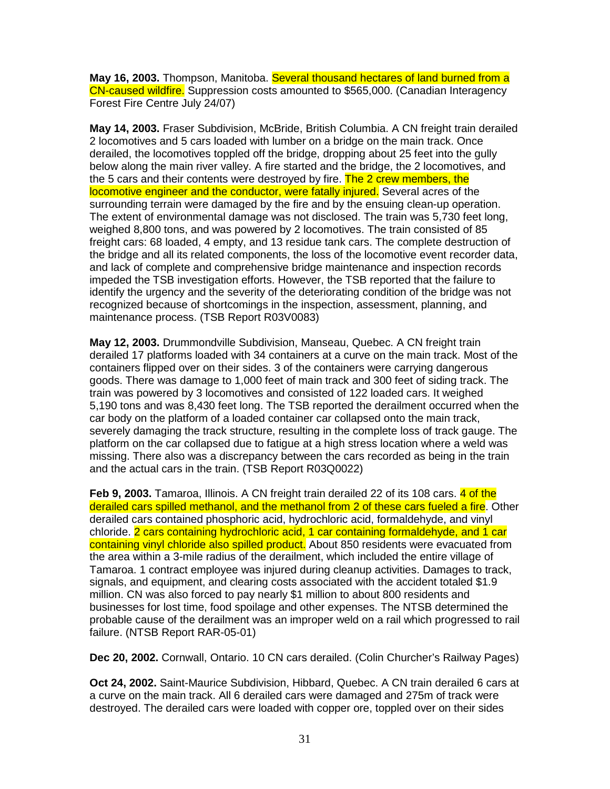**May 16, 2003.** Thompson, Manitoba. Several thousand hectares of land burned from a CN-caused wildfire. Suppression costs amounted to \$565,000. (Canadian Interagency Forest Fire Centre July 24/07)

**May 14, 2003.** Fraser Subdivision, McBride, British Columbia. A CN freight train derailed 2 locomotives and 5 cars loaded with lumber on a bridge on the main track. Once derailed, the locomotives toppled off the bridge, dropping about 25 feet into the gully below along the main river valley. A fire started and the bridge, the 2 locomotives, and the 5 cars and their contents were destroyed by fire. The 2 crew members, the locomotive engineer and the conductor, were fatally injured. Several acres of the surrounding terrain were damaged by the fire and by the ensuing clean-up operation. The extent of environmental damage was not disclosed. The train was 5,730 feet long, weighed 8,800 tons, and was powered by 2 locomotives. The train consisted of 85 freight cars: 68 loaded, 4 empty, and 13 residue tank cars. The complete destruction of the bridge and all its related components, the loss of the locomotive event recorder data, and lack of complete and comprehensive bridge maintenance and inspection records impeded the TSB investigation efforts. However, the TSB reported that the failure to identify the urgency and the severity of the deteriorating condition of the bridge was not recognized because of shortcomings in the inspection, assessment, planning, and maintenance process. (TSB Report R03V0083)

**May 12, 2003.** Drummondville Subdivision, Manseau, Quebec. A CN freight train derailed 17 platforms loaded with 34 containers at a curve on the main track. Most of the containers flipped over on their sides. 3 of the containers were carrying dangerous goods. There was damage to 1,000 feet of main track and 300 feet of siding track. The train was powered by 3 locomotives and consisted of 122 loaded cars. It weighed 5,190 tons and was 8,430 feet long. The TSB reported the derailment occurred when the car body on the platform of a loaded container car collapsed onto the main track, severely damaging the track structure, resulting in the complete loss of track gauge. The platform on the car collapsed due to fatigue at a high stress location where a weld was missing. There also was a discrepancy between the cars recorded as being in the train and the actual cars in the train. (TSB Report R03Q0022)

**Feb 9, 2003.** Tamaroa, Illinois. A CN freight train derailed 22 of its 108 cars. 4 of the derailed cars spilled methanol, and the methanol from 2 of these cars fueled a fire. Other derailed cars contained phosphoric acid, hydrochloric acid, formaldehyde, and vinyl chloride. 2 cars containing hydrochloric acid, 1 car containing formaldehyde, and 1 car containing vinyl chloride also spilled product. About 850 residents were evacuated from the area within a 3-mile radius of the derailment, which included the entire village of Tamaroa. 1 contract employee was injured during cleanup activities. Damages to track, signals, and equipment, and clearing costs associated with the accident totaled \$1.9 million. CN was also forced to pay nearly \$1 million to about 800 residents and businesses for lost time, food spoilage and other expenses. The NTSB determined the probable cause of the derailment was an improper weld on a rail which progressed to rail failure. (NTSB Report RAR-05-01)

**Dec 20, 2002.** Cornwall, Ontario. 10 CN cars derailed. (Colin Churcher's Railway Pages)

**Oct 24, 2002.** Saint-Maurice Subdivision, Hibbard, Quebec. A CN train derailed 6 cars at a curve on the main track. All 6 derailed cars were damaged and 275m of track were destroyed. The derailed cars were loaded with copper ore, toppled over on their sides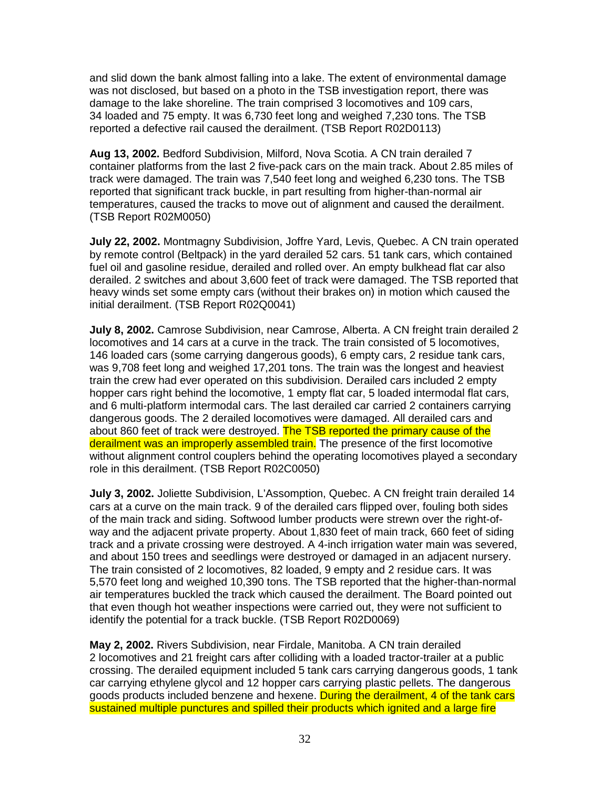and slid down the bank almost falling into a lake. The extent of environmental damage was not disclosed, but based on a photo in the TSB investigation report, there was damage to the lake shoreline. The train comprised 3 locomotives and 109 cars, 34 loaded and 75 empty. It was 6,730 feet long and weighed 7,230 tons. The TSB reported a defective rail caused the derailment. (TSB Report R02D0113)

**Aug 13, 2002.** Bedford Subdivision, Milford, Nova Scotia. A CN train derailed 7 container platforms from the last 2 five-pack cars on the main track. About 2.85 miles of track were damaged. The train was 7,540 feet long and weighed 6,230 tons. The TSB reported that significant track buckle, in part resulting from higher-than-normal air temperatures, caused the tracks to move out of alignment and caused the derailment. (TSB Report R02M0050)

**July 22, 2002.** Montmagny Subdivision, Joffre Yard, Levis, Quebec. A CN train operated by remote control (Beltpack) in the yard derailed 52 cars. 51 tank cars, which contained fuel oil and gasoline residue, derailed and rolled over. An empty bulkhead flat car also derailed. 2 switches and about 3,600 feet of track were damaged. The TSB reported that heavy winds set some empty cars (without their brakes on) in motion which caused the initial derailment. (TSB Report R02Q0041)

**July 8, 2002.** Camrose Subdivision, near Camrose, Alberta. A CN freight train derailed 2 locomotives and 14 cars at a curve in the track. The train consisted of 5 locomotives, 146 loaded cars (some carrying dangerous goods), 6 empty cars, 2 residue tank cars, was 9,708 feet long and weighed 17,201 tons. The train was the longest and heaviest train the crew had ever operated on this subdivision. Derailed cars included 2 empty hopper cars right behind the locomotive, 1 empty flat car, 5 loaded intermodal flat cars, and 6 multi-platform intermodal cars. The last derailed car carried 2 containers carrying dangerous goods. The 2 derailed locomotives were damaged. All derailed cars and about 860 feet of track were destroyed. The TSB reported the primary cause of the derailment was an improperly assembled train. The presence of the first locomotive without alignment control couplers behind the operating locomotives played a secondary role in this derailment. (TSB Report R02C0050)

**July 3, 2002.** Joliette Subdivision, L'Assomption, Quebec. A CN freight train derailed 14 cars at a curve on the main track. 9 of the derailed cars flipped over, fouling both sides of the main track and siding. Softwood lumber products were strewn over the right-ofway and the adjacent private property. About 1,830 feet of main track, 660 feet of siding track and a private crossing were destroyed. A 4-inch irrigation water main was severed, and about 150 trees and seedlings were destroyed or damaged in an adjacent nursery. The train consisted of 2 locomotives, 82 loaded, 9 empty and 2 residue cars. It was 5,570 feet long and weighed 10,390 tons. The TSB reported that the higher-than-normal air temperatures buckled the track which caused the derailment. The Board pointed out that even though hot weather inspections were carried out, they were not sufficient to identify the potential for a track buckle. (TSB Report R02D0069)

**May 2, 2002.** Rivers Subdivision, near Firdale, Manitoba. A CN train derailed 2 locomotives and 21 freight cars after colliding with a loaded tractor-trailer at a public crossing. The derailed equipment included 5 tank cars carrying dangerous goods, 1 tank car carrying ethylene glycol and 12 hopper cars carrying plastic pellets. The dangerous goods products included benzene and hexene. During the derailment, 4 of the tank cars sustained multiple punctures and spilled their products which ignited and a large fire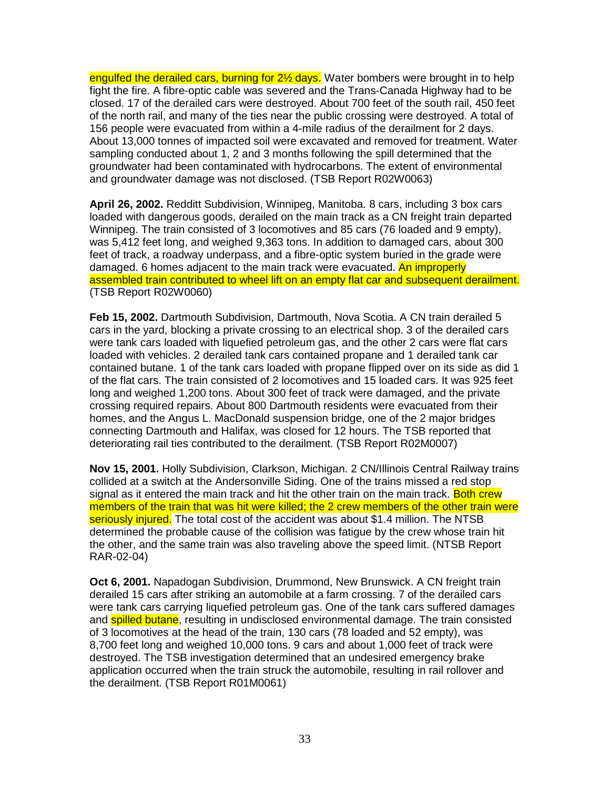engulfed the derailed cars, burning for 2<sup>1/2</sup> days. Water bombers were brought in to help fight the fire. A fibre-optic cable was severed and the Trans-Canada Highway had to be closed. 17 of the derailed cars were destroyed. About 700 feet of the south rail, 450 feet of the north rail, and many of the ties near the public crossing were destroyed. A total of 156 people were evacuated from within a 4-mile radius of the derailment for 2 days. About 13,000 tonnes of impacted soil were excavated and removed for treatment. Water sampling conducted about 1, 2 and 3 months following the spill determined that the groundwater had been contaminated with hydrocarbons. The extent of environmental and groundwater damage was not disclosed. (TSB Report R02W0063)

**April 26, 2002.** Redditt Subdivision, Winnipeg, Manitoba. 8 cars, including 3 box cars loaded with dangerous goods, derailed on the main track as a CN freight train departed Winnipeg. The train consisted of 3 locomotives and 85 cars (76 loaded and 9 empty), was 5,412 feet long, and weighed 9,363 tons. In addition to damaged cars, about 300 feet of track, a roadway underpass, and a fibre-optic system buried in the grade were damaged. 6 homes adjacent to the main track were evacuated. An improperly assembled train contributed to wheel lift on an empty flat car and subsequent derailment. (TSB Report R02W0060)

**Feb 15, 2002.** Dartmouth Subdivision, Dartmouth, Nova Scotia. A CN train derailed 5 cars in the yard, blocking a private crossing to an electrical shop. 3 of the derailed cars were tank cars loaded with liquefied petroleum gas, and the other 2 cars were flat cars loaded with vehicles. 2 derailed tank cars contained propane and 1 derailed tank car contained butane. 1 of the tank cars loaded with propane flipped over on its side as did 1 of the flat cars. The train consisted of 2 locomotives and 15 loaded cars. It was 925 feet long and weighed 1,200 tons. About 300 feet of track were damaged, and the private crossing required repairs. About 800 Dartmouth residents were evacuated from their homes, and the Angus L. MacDonald suspension bridge, one of the 2 major bridges connecting Dartmouth and Halifax, was closed for 12 hours. The TSB reported that deteriorating rail ties contributed to the derailment. (TSB Report R02M0007)

**Nov 15, 2001.** Holly Subdivision, Clarkson, Michigan. 2 CN/Illinois Central Railway trains collided at a switch at the Andersonville Siding. One of the trains missed a red stop signal as it entered the main track and hit the other train on the main track. Both crew members of the train that was hit were killed; the 2 crew members of the other train were seriously injured. The total cost of the accident was about \$1.4 million. The NTSB determined the probable cause of the collision was fatigue by the crew whose train hit the other, and the same train was also traveling above the speed limit. (NTSB Report RAR-02-04)

**Oct 6, 2001.** Napadogan Subdivision, Drummond, New Brunswick. A CN freight train derailed 15 cars after striking an automobile at a farm crossing. 7 of the derailed cars were tank cars carrying liquefied petroleum gas. One of the tank cars suffered damages and **spilled butane**, resulting in undisclosed environmental damage. The train consisted of 3 locomotives at the head of the train, 130 cars (78 loaded and 52 empty), was 8,700 feet long and weighed 10,000 tons. 9 cars and about 1,000 feet of track were destroyed. The TSB investigation determined that an undesired emergency brake application occurred when the train struck the automobile, resulting in rail rollover and the derailment. (TSB Report R01M0061)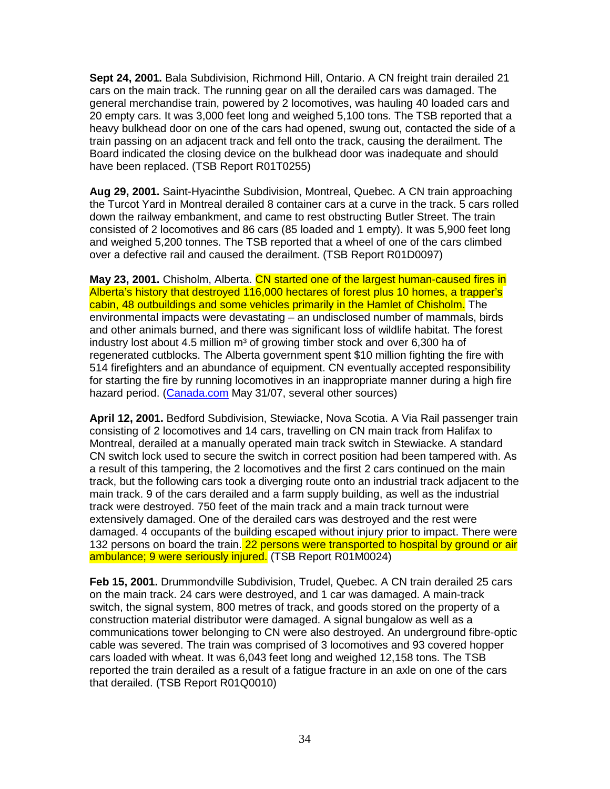**Sept 24, 2001.** Bala Subdivision, Richmond Hill, Ontario. A CN freight train derailed 21 cars on the main track. The running gear on all the derailed cars was damaged. The general merchandise train, powered by 2 locomotives, was hauling 40 loaded cars and 20 empty cars. It was 3,000 feet long and weighed 5,100 tons. The TSB reported that a heavy bulkhead door on one of the cars had opened, swung out, contacted the side of a train passing on an adjacent track and fell onto the track, causing the derailment. The Board indicated the closing device on the bulkhead door was inadequate and should have been replaced. (TSB Report R01T0255)

**Aug 29, 2001.** Saint-Hyacinthe Subdivision, Montreal, Quebec. A CN train approaching the Turcot Yard in Montreal derailed 8 container cars at a curve in the track. 5 cars rolled down the railway embankment, and came to rest obstructing Butler Street. The train consisted of 2 locomotives and 86 cars (85 loaded and 1 empty). It was 5,900 feet long and weighed 5,200 tonnes. The TSB reported that a wheel of one of the cars climbed over a defective rail and caused the derailment. (TSB Report R01D0097)

**May 23, 2001.** Chisholm, Alberta. CN started one of the largest human-caused fires in Alberta's history that destroyed 116,000 hectares of forest plus 10 homes, a trapper's cabin, 48 outbuildings and some vehicles primarily in the Hamlet of Chisholm. The environmental impacts were devastating – an undisclosed number of mammals, birds and other animals burned, and there was significant loss of wildlife habitat. The forest industry lost about 4.5 million  $m<sup>3</sup>$  of growing timber stock and over 6,300 ha of regenerated cutblocks. The Alberta government spent \$10 million fighting the fire with 514 firefighters and an abundance of equipment. CN eventually accepted responsibility for starting the fire by running locomotives in an inappropriate manner during a high fire hazard period. (Canada.com May 31/07, several other sources)

**April 12, 2001.** Bedford Subdivision, Stewiacke, Nova Scotia. A Via Rail passenger train consisting of 2 locomotives and 14 cars, travelling on CN main track from Halifax to Montreal, derailed at a manually operated main track switch in Stewiacke. A standard CN switch lock used to secure the switch in correct position had been tampered with. As a result of this tampering, the 2 locomotives and the first 2 cars continued on the main track, but the following cars took a diverging route onto an industrial track adjacent to the main track. 9 of the cars derailed and a farm supply building, as well as the industrial track were destroyed. 750 feet of the main track and a main track turnout were extensively damaged. One of the derailed cars was destroyed and the rest were damaged. 4 occupants of the building escaped without injury prior to impact. There were 132 persons on board the train. 22 persons were transported to hospital by ground or air ambulance; 9 were seriously injured. (TSB Report R01M0024)

**Feb 15, 2001.** Drummondville Subdivision, Trudel, Quebec. A CN train derailed 25 cars on the main track. 24 cars were destroyed, and 1 car was damaged. A main-track switch, the signal system, 800 metres of track, and goods stored on the property of a construction material distributor were damaged. A signal bungalow as well as a communications tower belonging to CN were also destroyed. An underground fibre-optic cable was severed. The train was comprised of 3 locomotives and 93 covered hopper cars loaded with wheat. It was 6,043 feet long and weighed 12,158 tons. The TSB reported the train derailed as a result of a fatigue fracture in an axle on one of the cars that derailed. (TSB Report R01Q0010)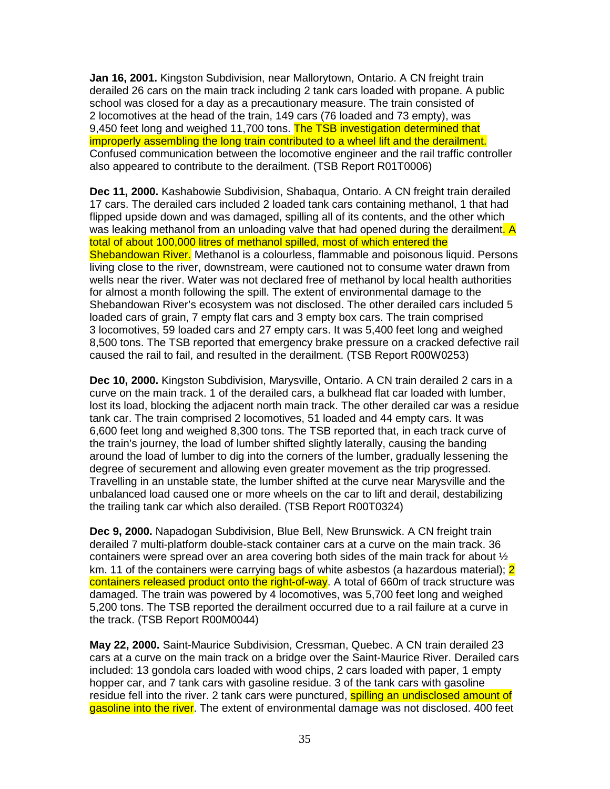**Jan 16, 2001.** Kingston Subdivision, near Mallorytown, Ontario. A CN freight train derailed 26 cars on the main track including 2 tank cars loaded with propane. A public school was closed for a day as a precautionary measure. The train consisted of 2 locomotives at the head of the train, 149 cars (76 loaded and 73 empty), was 9.450 feet long and weighed 11,700 tons. The TSB investigation determined that improperly assembling the long train contributed to a wheel lift and the derailment. Confused communication between the locomotive engineer and the rail traffic controller also appeared to contribute to the derailment. (TSB Report R01T0006)

**Dec 11, 2000.** Kashabowie Subdivision, Shabaqua, Ontario. A CN freight train derailed 17 cars. The derailed cars included 2 loaded tank cars containing methanol, 1 that had flipped upside down and was damaged, spilling all of its contents, and the other which was leaking methanol from an unloading valve that had opened during the derailment. A total of about 100,000 litres of methanol spilled, most of which entered the Shebandowan River. Methanol is a colourless, flammable and poisonous liquid. Persons living close to the river, downstream, were cautioned not to consume water drawn from wells near the river. Water was not declared free of methanol by local health authorities for almost a month following the spill. The extent of environmental damage to the Shebandowan River's ecosystem was not disclosed. The other derailed cars included 5 loaded cars of grain, 7 empty flat cars and 3 empty box cars. The train comprised 3 locomotives, 59 loaded cars and 27 empty cars. It was 5,400 feet long and weighed 8,500 tons. The TSB reported that emergency brake pressure on a cracked defective rail caused the rail to fail, and resulted in the derailment. (TSB Report R00W0253)

**Dec 10, 2000.** Kingston Subdivision, Marysville, Ontario. A CN train derailed 2 cars in a curve on the main track. 1 of the derailed cars, a bulkhead flat car loaded with lumber, lost its load, blocking the adjacent north main track. The other derailed car was a residue tank car. The train comprised 2 locomotives, 51 loaded and 44 empty cars. It was 6,600 feet long and weighed 8,300 tons. The TSB reported that, in each track curve of the train's journey, the load of lumber shifted slightly laterally, causing the banding around the load of lumber to dig into the corners of the lumber, gradually lessening the degree of securement and allowing even greater movement as the trip progressed. Travelling in an unstable state, the lumber shifted at the curve near Marysville and the unbalanced load caused one or more wheels on the car to lift and derail, destabilizing the trailing tank car which also derailed. (TSB Report R00T0324)

**Dec 9, 2000.** Napadogan Subdivision, Blue Bell, New Brunswick. A CN freight train derailed 7 multi-platform double-stack container cars at a curve on the main track. 36 containers were spread over an area covering both sides of the main track for about  $\frac{1}{2}$ km. 11 of the containers were carrying bags of white asbestos (a hazardous material); 2 containers released product onto the right-of-way. A total of 660m of track structure was damaged. The train was powered by 4 locomotives, was 5,700 feet long and weighed 5,200 tons. The TSB reported the derailment occurred due to a rail failure at a curve in the track. (TSB Report R00M0044)

**May 22, 2000.** Saint-Maurice Subdivision, Cressman, Quebec. A CN train derailed 23 cars at a curve on the main track on a bridge over the Saint-Maurice River. Derailed cars included: 13 gondola cars loaded with wood chips, 2 cars loaded with paper, 1 empty hopper car, and 7 tank cars with gasoline residue. 3 of the tank cars with gasoline residue fell into the river. 2 tank cars were punctured, **spilling an undisclosed amount of** gasoline into the river. The extent of environmental damage was not disclosed. 400 feet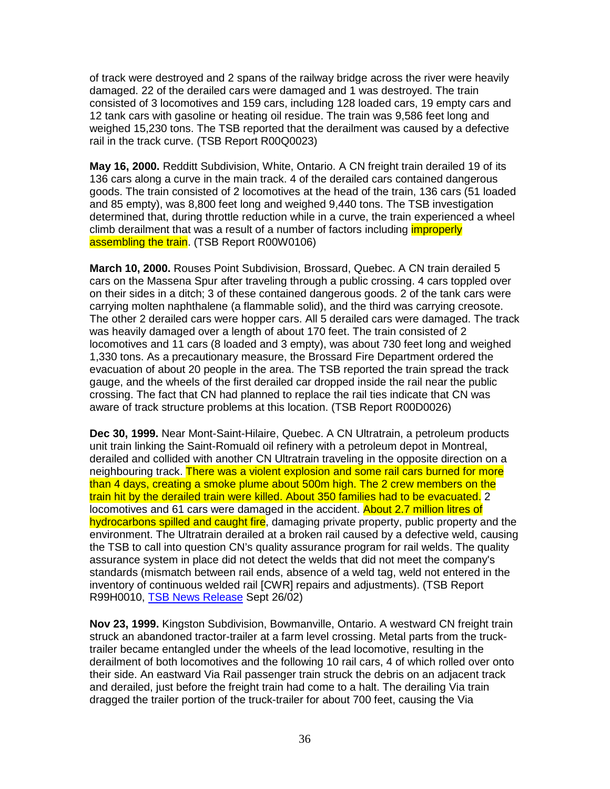of track were destroyed and 2 spans of the railway bridge across the river were heavily damaged. 22 of the derailed cars were damaged and 1 was destroyed. The train consisted of 3 locomotives and 159 cars, including 128 loaded cars, 19 empty cars and 12 tank cars with gasoline or heating oil residue. The train was 9,586 feet long and weighed 15,230 tons. The TSB reported that the derailment was caused by a defective rail in the track curve. (TSB Report R00Q0023)

**May 16, 2000.** Redditt Subdivision, White, Ontario. A CN freight train derailed 19 of its 136 cars along a curve in the main track. 4 of the derailed cars contained dangerous goods. The train consisted of 2 locomotives at the head of the train, 136 cars (51 loaded and 85 empty), was 8,800 feet long and weighed 9,440 tons. The TSB investigation determined that, during throttle reduction while in a curve, the train experienced a wheel climb derailment that was a result of a number of factors including *improperly* assembling the train. (TSB Report R00W0106)

**March 10, 2000.** Rouses Point Subdivision, Brossard, Quebec. A CN train derailed 5 cars on the Massena Spur after traveling through a public crossing. 4 cars toppled over on their sides in a ditch; 3 of these contained dangerous goods. 2 of the tank cars were carrying molten naphthalene (a flammable solid), and the third was carrying creosote. The other 2 derailed cars were hopper cars. All 5 derailed cars were damaged. The track was heavily damaged over a length of about 170 feet. The train consisted of 2 locomotives and 11 cars (8 loaded and 3 empty), was about 730 feet long and weighed 1,330 tons. As a precautionary measure, the Brossard Fire Department ordered the evacuation of about 20 people in the area. The TSB reported the train spread the track gauge, and the wheels of the first derailed car dropped inside the rail near the public crossing. The fact that CN had planned to replace the rail ties indicate that CN was aware of track structure problems at this location. (TSB Report R00D0026)

**Dec 30, 1999.** Near Mont-Saint-Hilaire, Quebec. A CN Ultratrain, a petroleum products unit train linking the Saint-Romuald oil refinery with a petroleum depot in Montreal, derailed and collided with another CN Ultratrain traveling in the opposite direction on a neighbouring track. There was a violent explosion and some rail cars burned for more than 4 days, creating a smoke plume about 500m high. The 2 crew members on the train hit by the derailed train were killed. About 350 families had to be evacuated. 2 locomotives and 61 cars were damaged in the accident. About 2.7 million litres of hydrocarbons spilled and caught fire, damaging private property, public property and the environment. The Ultratrain derailed at a broken rail caused by a defective weld, causing the TSB to call into question CN's quality assurance program for rail welds. The quality assurance system in place did not detect the welds that did not meet the company's standards (mismatch between rail ends, absence of a weld tag, weld not entered in the inventory of continuous welded rail [CWR] repairs and adjustments). (TSB Report R99H0010, TSB News Release Sept 26/02)

**Nov 23, 1999.** Kingston Subdivision, Bowmanville, Ontario. A westward CN freight train struck an abandoned tractor-trailer at a farm level crossing. Metal parts from the trucktrailer became entangled under the wheels of the lead locomotive, resulting in the derailment of both locomotives and the following 10 rail cars, 4 of which rolled over onto their side. An eastward Via Rail passenger train struck the debris on an adjacent track and derailed, just before the freight train had come to a halt. The derailing Via train dragged the trailer portion of the truck-trailer for about 700 feet, causing the Via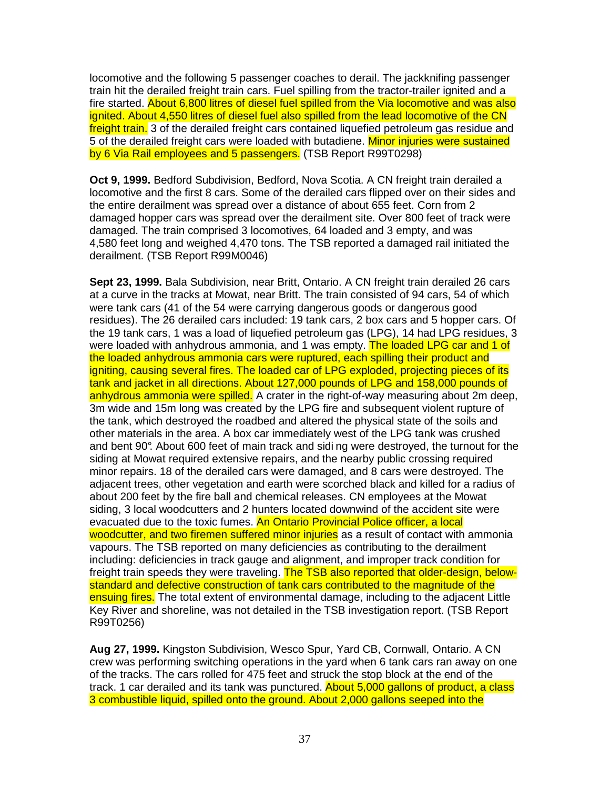locomotive and the following 5 passenger coaches to derail. The jackknifing passenger train hit the derailed freight train cars. Fuel spilling from the tractor-trailer ignited and a fire started. About 6,800 litres of diesel fuel spilled from the Via locomotive and was also ignited. About 4,550 litres of diesel fuel also spilled from the lead locomotive of the CN freight train. 3 of the derailed freight cars contained liquefied petroleum gas residue and 5 of the derailed freight cars were loaded with butadiene. Minor injuries were sustained by 6 Via Rail employees and 5 passengers. (TSB Report R99T0298)

**Oct 9, 1999.** Bedford Subdivision, Bedford, Nova Scotia. A CN freight train derailed a locomotive and the first 8 cars. Some of the derailed cars flipped over on their sides and the entire derailment was spread over a distance of about 655 feet. Corn from 2 damaged hopper cars was spread over the derailment site. Over 800 feet of track were damaged. The train comprised 3 locomotives, 64 loaded and 3 empty, and was 4,580 feet long and weighed 4,470 tons. The TSB reported a damaged rail initiated the derailment. (TSB Report R99M0046)

**Sept 23, 1999.** Bala Subdivision, near Britt, Ontario. A CN freight train derailed 26 cars at a curve in the tracks at Mowat, near Britt. The train consisted of 94 cars, 54 of which were tank cars (41 of the 54 were carrying dangerous goods or dangerous good residues). The 26 derailed cars included: 19 tank cars, 2 box cars and 5 hopper cars. Of the 19 tank cars, 1 was a load of liquefied petroleum gas (LPG), 14 had LPG residues, 3 were loaded with anhydrous ammonia, and 1 was empty. The loaded LPG car and 1 of the loaded anhydrous ammonia cars were ruptured, each spilling their product and igniting, causing several fires. The loaded car of LPG exploded, projecting pieces of its tank and jacket in all directions. About 127,000 pounds of LPG and 158,000 pounds of anhydrous ammonia were spilled. A crater in the right-of-way measuring about 2m deep. 3m wide and 15m long was created by the LPG fire and subsequent violent rupture of the tank, which destroyed the roadbed and altered the physical state of the soils and other materials in the area. A box car immediately west of the LPG tank was crushed and bent 90°. About 600 feet of main track and sidi ng were destroyed, the turnout for the siding at Mowat required extensive repairs, and the nearby public crossing required minor repairs. 18 of the derailed cars were damaged, and 8 cars were destroyed. The adjacent trees, other vegetation and earth were scorched black and killed for a radius of about 200 feet by the fire ball and chemical releases. CN employees at the Mowat siding, 3 local woodcutters and 2 hunters located downwind of the accident site were evacuated due to the toxic fumes. An Ontario Provincial Police officer, a local woodcutter, and two firemen suffered minor injuries as a result of contact with ammonia vapours. The TSB reported on many deficiencies as contributing to the derailment including: deficiencies in track gauge and alignment, and improper track condition for freight train speeds they were traveling. The TSB also reported that older-design, belowstandard and defective construction of tank cars contributed to the magnitude of the ensuing fires. The total extent of environmental damage, including to the adjacent Little Key River and shoreline, was not detailed in the TSB investigation report. (TSB Report R99T0256)

**Aug 27, 1999.** Kingston Subdivision, Wesco Spur, Yard CB, Cornwall, Ontario. A CN crew was performing switching operations in the yard when 6 tank cars ran away on one of the tracks. The cars rolled for 475 feet and struck the stop block at the end of the track. 1 car derailed and its tank was punctured. About 5,000 gallons of product, a class 3 combustible liquid, spilled onto the ground. About 2,000 gallons seeped into the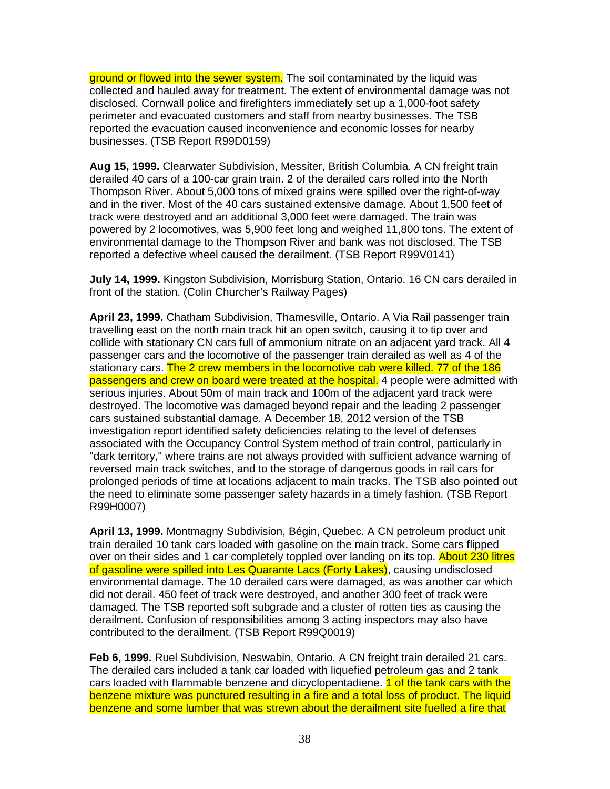ground or flowed into the sewer system. The soil contaminated by the liquid was collected and hauled away for treatment. The extent of environmental damage was not disclosed. Cornwall police and firefighters immediately set up a 1,000-foot safety perimeter and evacuated customers and staff from nearby businesses. The TSB reported the evacuation caused inconvenience and economic losses for nearby businesses. (TSB Report R99D0159)

**Aug 15, 1999.** Clearwater Subdivision, Messiter, British Columbia. A CN freight train derailed 40 cars of a 100-car grain train. 2 of the derailed cars rolled into the North Thompson River. About 5,000 tons of mixed grains were spilled over the right-of-way and in the river. Most of the 40 cars sustained extensive damage. About 1,500 feet of track were destroyed and an additional 3,000 feet were damaged. The train was powered by 2 locomotives, was 5,900 feet long and weighed 11,800 tons. The extent of environmental damage to the Thompson River and bank was not disclosed. The TSB reported a defective wheel caused the derailment. (TSB Report R99V0141)

**July 14, 1999.** Kingston Subdivision, Morrisburg Station, Ontario. 16 CN cars derailed in front of the station. (Colin Churcher's Railway Pages)

**April 23, 1999.** Chatham Subdivision, Thamesville, Ontario. A Via Rail passenger train travelling east on the north main track hit an open switch, causing it to tip over and collide with stationary CN cars full of ammonium nitrate on an adjacent yard track. All 4 passenger cars and the locomotive of the passenger train derailed as well as 4 of the stationary cars. The 2 crew members in the locomotive cab were killed. 77 of the 186 passengers and crew on board were treated at the hospital. 4 people were admitted with serious injuries. About 50m of main track and 100m of the adjacent yard track were destroyed. The locomotive was damaged beyond repair and the leading 2 passenger cars sustained substantial damage. A December 18, 2012 version of the TSB investigation report identified safety deficiencies relating to the level of defenses associated with the Occupancy Control System method of train control, particularly in "dark territory," where trains are not always provided with sufficient advance warning of reversed main track switches, and to the storage of dangerous goods in rail cars for prolonged periods of time at locations adjacent to main tracks. The TSB also pointed out the need to eliminate some passenger safety hazards in a timely fashion. (TSB Report R99H0007)

**April 13, 1999.** Montmagny Subdivision, Bégin, Quebec. A CN petroleum product unit train derailed 10 tank cars loaded with gasoline on the main track. Some cars flipped over on their sides and 1 car completely toppled over landing on its top. About 230 litres of gasoline were spilled into Les Quarante Lacs (Forty Lakes), causing undisclosed environmental damage. The 10 derailed cars were damaged, as was another car which did not derail. 450 feet of track were destroyed, and another 300 feet of track were damaged. The TSB reported soft subgrade and a cluster of rotten ties as causing the derailment. Confusion of responsibilities among 3 acting inspectors may also have contributed to the derailment. (TSB Report R99Q0019)

**Feb 6, 1999.** Ruel Subdivision, Neswabin, Ontario. A CN freight train derailed 21 cars. The derailed cars included a tank car loaded with liquefied petroleum gas and 2 tank cars loaded with flammable benzene and dicyclopentadiene. **1 of the tank cars with the** benzene mixture was punctured resulting in a fire and a total loss of product. The liquid benzene and some lumber that was strewn about the derailment site fuelled a fire that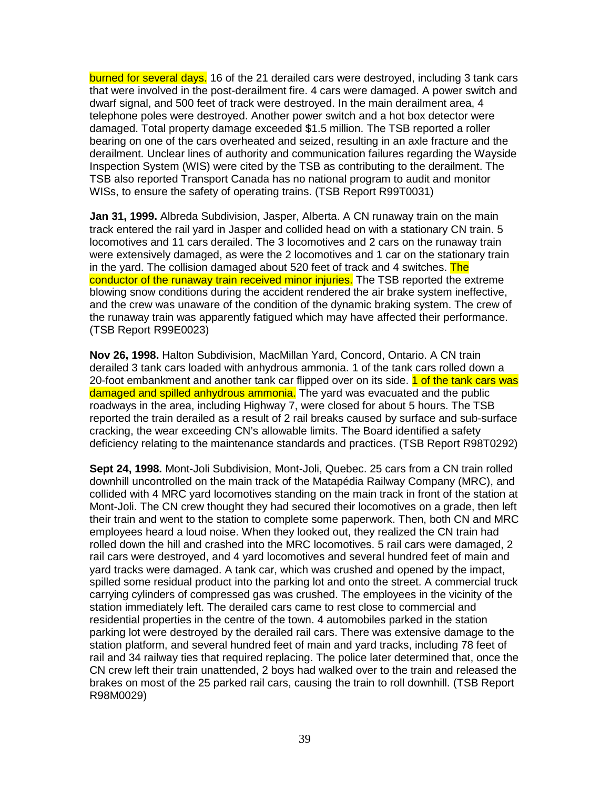burned for several days. 16 of the 21 derailed cars were destroyed, including 3 tank cars that were involved in the post-derailment fire. 4 cars were damaged. A power switch and dwarf signal, and 500 feet of track were destroyed. In the main derailment area, 4 telephone poles were destroyed. Another power switch and a hot box detector were damaged. Total property damage exceeded \$1.5 million. The TSB reported a roller bearing on one of the cars overheated and seized, resulting in an axle fracture and the derailment. Unclear lines of authority and communication failures regarding the Wayside Inspection System (WIS) were cited by the TSB as contributing to the derailment. The TSB also reported Transport Canada has no national program to audit and monitor WISs, to ensure the safety of operating trains. (TSB Report R99T0031)

**Jan 31, 1999.** Albreda Subdivision, Jasper, Alberta. A CN runaway train on the main track entered the rail yard in Jasper and collided head on with a stationary CN train. 5 locomotives and 11 cars derailed. The 3 locomotives and 2 cars on the runaway train were extensively damaged, as were the 2 locomotives and 1 car on the stationary train in the yard. The collision damaged about 520 feet of track and 4 switches. The conductor of the runaway train received minor injuries. The TSB reported the extreme blowing snow conditions during the accident rendered the air brake system ineffective, and the crew was unaware of the condition of the dynamic braking system. The crew of the runaway train was apparently fatigued which may have affected their performance. (TSB Report R99E0023)

**Nov 26, 1998.** Halton Subdivision, MacMillan Yard, Concord, Ontario. A CN train derailed 3 tank cars loaded with anhydrous ammonia. 1 of the tank cars rolled down a 20-foot embankment and another tank car flipped over on its side. 1 of the tank cars was damaged and spilled anhydrous ammonia. The yard was evacuated and the public roadways in the area, including Highway 7, were closed for about 5 hours. The TSB reported the train derailed as a result of 2 rail breaks caused by surface and sub-surface cracking, the wear exceeding CN's allowable limits. The Board identified a safety deficiency relating to the maintenance standards and practices. (TSB Report R98T0292)

**Sept 24, 1998.** Mont-Joli Subdivision, Mont-Joli, Quebec. 25 cars from a CN train rolled downhill uncontrolled on the main track of the Matapédia Railway Company (MRC), and collided with 4 MRC yard locomotives standing on the main track in front of the station at Mont-Joli. The CN crew thought they had secured their locomotives on a grade, then left their train and went to the station to complete some paperwork. Then, both CN and MRC employees heard a loud noise. When they looked out, they realized the CN train had rolled down the hill and crashed into the MRC locomotives. 5 rail cars were damaged, 2 rail cars were destroyed, and 4 yard locomotives and several hundred feet of main and yard tracks were damaged. A tank car, which was crushed and opened by the impact, spilled some residual product into the parking lot and onto the street. A commercial truck carrying cylinders of compressed gas was crushed. The employees in the vicinity of the station immediately left. The derailed cars came to rest close to commercial and residential properties in the centre of the town. 4 automobiles parked in the station parking lot were destroyed by the derailed rail cars. There was extensive damage to the station platform, and several hundred feet of main and yard tracks, including 78 feet of rail and 34 railway ties that required replacing. The police later determined that, once the CN crew left their train unattended, 2 boys had walked over to the train and released the brakes on most of the 25 parked rail cars, causing the train to roll downhill. (TSB Report R98M0029)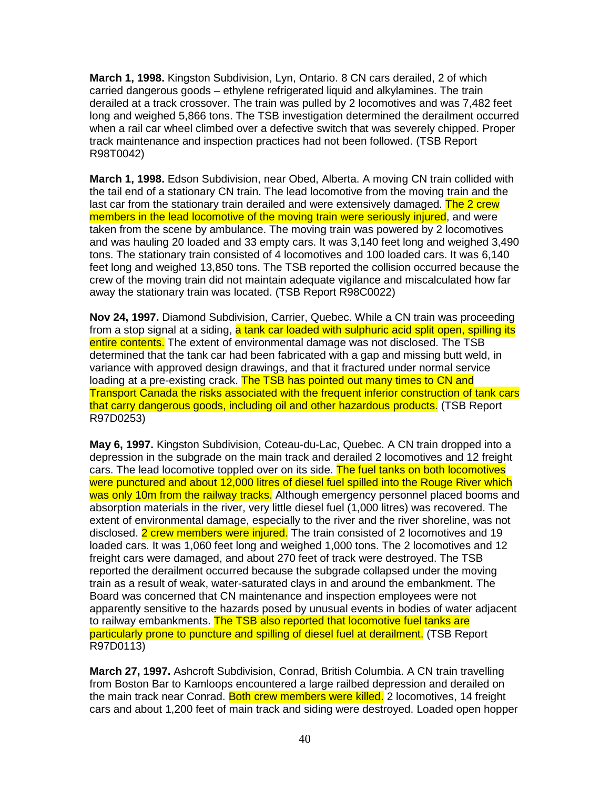**March 1, 1998.** Kingston Subdivision, Lyn, Ontario. 8 CN cars derailed, 2 of which carried dangerous goods – ethylene refrigerated liquid and alkylamines. The train derailed at a track crossover. The train was pulled by 2 locomotives and was 7,482 feet long and weighed 5,866 tons. The TSB investigation determined the derailment occurred when a rail car wheel climbed over a defective switch that was severely chipped. Proper track maintenance and inspection practices had not been followed. (TSB Report R98T0042)

**March 1, 1998.** Edson Subdivision, near Obed, Alberta. A moving CN train collided with the tail end of a stationary CN train. The lead locomotive from the moving train and the last car from the stationary train derailed and were extensively damaged. The 2 crew members in the lead locomotive of the moving train were seriously injured, and were taken from the scene by ambulance. The moving train was powered by 2 locomotives and was hauling 20 loaded and 33 empty cars. It was 3,140 feet long and weighed 3,490 tons. The stationary train consisted of 4 locomotives and 100 loaded cars. It was 6,140 feet long and weighed 13,850 tons. The TSB reported the collision occurred because the crew of the moving train did not maintain adequate vigilance and miscalculated how far away the stationary train was located. (TSB Report R98C0022)

**Nov 24, 1997.** Diamond Subdivision, Carrier, Quebec. While a CN train was proceeding from a stop signal at a siding, a tank car loaded with sulphuric acid split open, spilling its entire contents. The extent of environmental damage was not disclosed. The TSB determined that the tank car had been fabricated with a gap and missing butt weld, in variance with approved design drawings, and that it fractured under normal service loading at a pre-existing crack. The TSB has pointed out many times to CN and Transport Canada the risks associated with the frequent inferior construction of tank cars that carry dangerous goods, including oil and other hazardous products. (TSB Report R97D0253)

**May 6, 1997.** Kingston Subdivision, Coteau-du-Lac, Quebec. A CN train dropped into a depression in the subgrade on the main track and derailed 2 locomotives and 12 freight cars. The lead locomotive toppled over on its side. The fuel tanks on both locomotives were punctured and about 12,000 litres of diesel fuel spilled into the Rouge River which was only 10m from the railway tracks. Although emergency personnel placed booms and absorption materials in the river, very little diesel fuel (1,000 litres) was recovered. The extent of environmental damage, especially to the river and the river shoreline, was not disclosed. 2 crew members were injured. The train consisted of 2 locomotives and 19 loaded cars. It was 1,060 feet long and weighed 1,000 tons. The 2 locomotives and 12 freight cars were damaged, and about 270 feet of track were destroyed. The TSB reported the derailment occurred because the subgrade collapsed under the moving train as a result of weak, water-saturated clays in and around the embankment. The Board was concerned that CN maintenance and inspection employees were not apparently sensitive to the hazards posed by unusual events in bodies of water adjacent to railway embankments. The TSB also reported that locomotive fuel tanks are particularly prone to puncture and spilling of diesel fuel at derailment. (TSB Report R97D0113)

**March 27, 1997.** Ashcroft Subdivision, Conrad, British Columbia. A CN train travelling from Boston Bar to Kamloops encountered a large railbed depression and derailed on the main track near Conrad. Both crew members were killed. 2 locomotives, 14 freight cars and about 1,200 feet of main track and siding were destroyed. Loaded open hopper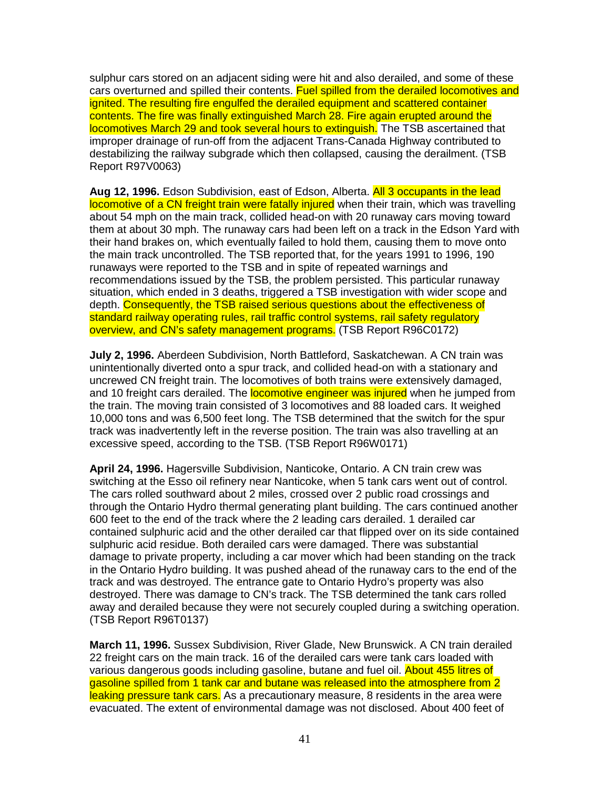sulphur cars stored on an adjacent siding were hit and also derailed, and some of these cars overturned and spilled their contents. Fuel spilled from the derailed locomotives and ignited. The resulting fire engulfed the derailed equipment and scattered container contents. The fire was finally extinguished March 28. Fire again erupted around the locomotives March 29 and took several hours to extinguish. The TSB ascertained that improper drainage of run-off from the adjacent Trans-Canada Highway contributed to destabilizing the railway subgrade which then collapsed, causing the derailment. (TSB Report R97V0063)

**Aug 12, 1996.** Edson Subdivision, east of Edson, Alberta. All 3 occupants in the lead locomotive of a CN freight train were fatally injured when their train, which was travelling about 54 mph on the main track, collided head-on with 20 runaway cars moving toward them at about 30 mph. The runaway cars had been left on a track in the Edson Yard with their hand brakes on, which eventually failed to hold them, causing them to move onto the main track uncontrolled. The TSB reported that, for the years 1991 to 1996, 190 runaways were reported to the TSB and in spite of repeated warnings and recommendations issued by the TSB, the problem persisted. This particular runaway situation, which ended in 3 deaths, triggered a TSB investigation with wider scope and depth. Consequently, the TSB raised serious questions about the effectiveness of standard railway operating rules, rail traffic control systems, rail safety regulatory overview, and CN's safety management programs. (TSB Report R96C0172)

**July 2, 1996.** Aberdeen Subdivision, North Battleford, Saskatchewan. A CN train was unintentionally diverted onto a spur track, and collided head-on with a stationary and uncrewed CN freight train. The locomotives of both trains were extensively damaged, and 10 freight cars derailed. The **locomotive engineer was injured** when he jumped from the train. The moving train consisted of 3 locomotives and 88 loaded cars. It weighed 10,000 tons and was 6,500 feet long. The TSB determined that the switch for the spur track was inadvertently left in the reverse position. The train was also travelling at an excessive speed, according to the TSB. (TSB Report R96W0171)

**April 24, 1996.** Hagersville Subdivision, Nanticoke, Ontario. A CN train crew was switching at the Esso oil refinery near Nanticoke, when 5 tank cars went out of control. The cars rolled southward about 2 miles, crossed over 2 public road crossings and through the Ontario Hydro thermal generating plant building. The cars continued another 600 feet to the end of the track where the 2 leading cars derailed. 1 derailed car contained sulphuric acid and the other derailed car that flipped over on its side contained sulphuric acid residue. Both derailed cars were damaged. There was substantial damage to private property, including a car mover which had been standing on the track in the Ontario Hydro building. It was pushed ahead of the runaway cars to the end of the track and was destroyed. The entrance gate to Ontario Hydro's property was also destroyed. There was damage to CN's track. The TSB determined the tank cars rolled away and derailed because they were not securely coupled during a switching operation. (TSB Report R96T0137)

**March 11, 1996.** Sussex Subdivision, River Glade, New Brunswick. A CN train derailed 22 freight cars on the main track. 16 of the derailed cars were tank cars loaded with various dangerous goods including gasoline, butane and fuel oil. About 455 litres of gasoline spilled from 1 tank car and butane was released into the atmosphere from 2 leaking pressure tank cars. As a precautionary measure, 8 residents in the area were evacuated. The extent of environmental damage was not disclosed. About 400 feet of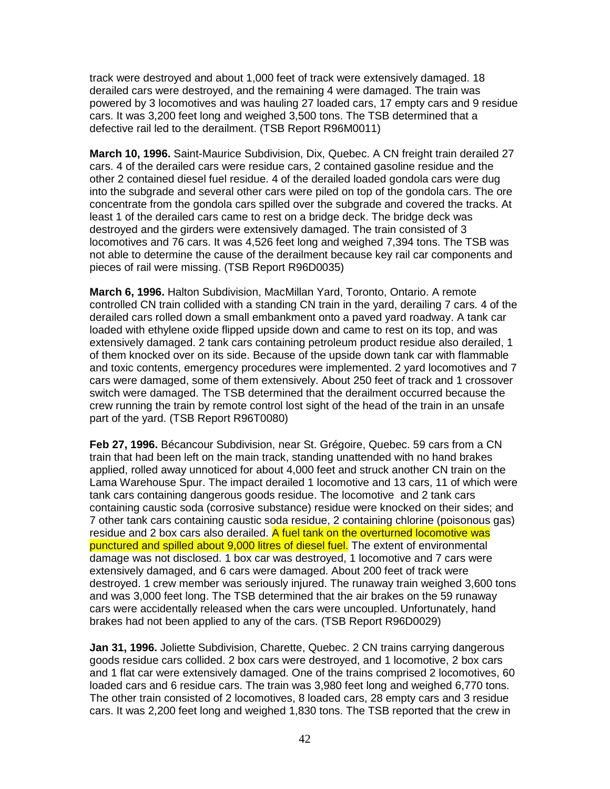track were destroyed and about 1,000 feet of track were extensively damaged. 18 derailed cars were destroyed, and the remaining 4 were damaged. The train was powered by 3 locomotives and was hauling 27 loaded cars, 17 empty cars and 9 residue cars. It was 3,200 feet long and weighed 3,500 tons. The TSB determined that a defective rail led to the derailment. (TSB Report R96M0011)

**March 10, 1996.** Saint-Maurice Subdivision, Dix, Quebec. A CN freight train derailed 27 cars. 4 of the derailed cars were residue cars, 2 contained gasoline residue and the other 2 contained diesel fuel residue. 4 of the derailed loaded gondola cars were dug into the subgrade and several other cars were piled on top of the gondola cars. The ore concentrate from the gondola cars spilled over the subgrade and covered the tracks. At least 1 of the derailed cars came to rest on a bridge deck. The bridge deck was destroyed and the girders were extensively damaged. The train consisted of 3 locomotives and 76 cars. It was 4,526 feet long and weighed 7,394 tons. The TSB was not able to determine the cause of the derailment because key rail car components and pieces of rail were missing. (TSB Report R96D0035)

**March 6, 1996.** Halton Subdivision, MacMillan Yard, Toronto, Ontario. A remote controlled CN train collided with a standing CN train in the yard, derailing 7 cars. 4 of the derailed cars rolled down a small embankment onto a paved yard roadway. A tank car loaded with ethylene oxide flipped upside down and came to rest on its top, and was extensively damaged. 2 tank cars containing petroleum product residue also derailed, 1 of them knocked over on its side. Because of the upside down tank car with flammable and toxic contents, emergency procedures were implemented. 2 yard locomotives and 7 cars were damaged, some of them extensively. About 250 feet of track and 1 crossover switch were damaged. The TSB determined that the derailment occurred because the crew running the train by remote control lost sight of the head of the train in an unsafe part of the yard. (TSB Report R96T0080)

**Feb 27, 1996.** Bécancour Subdivision, near St. Grégoire, Quebec. 59 cars from a CN train that had been left on the main track, standing unattended with no hand brakes applied, rolled away unnoticed for about 4,000 feet and struck another CN train on the Lama Warehouse Spur. The impact derailed 1 locomotive and 13 cars, 11 of which were tank cars containing dangerous goods residue. The locomotive and 2 tank cars containing caustic soda (corrosive substance) residue were knocked on their sides; and 7 other tank cars containing caustic soda residue, 2 containing chlorine (poisonous gas) residue and 2 box cars also derailed. A fuel tank on the overturned locomotive was punctured and spilled about 9,000 litres of diesel fuel. The extent of environmental damage was not disclosed. 1 box car was destroyed, 1 locomotive and 7 cars were extensively damaged, and 6 cars were damaged. About 200 feet of track were destroyed. 1 crew member was seriously injured. The runaway train weighed 3,600 tons and was 3,000 feet long. The TSB determined that the air brakes on the 59 runaway cars were accidentally released when the cars were uncoupled. Unfortunately, hand brakes had not been applied to any of the cars. (TSB Report R96D0029)

**Jan 31, 1996.** Joliette Subdivision, Charette, Quebec. 2 CN trains carrying dangerous goods residue cars collided. 2 box cars were destroyed, and 1 locomotive, 2 box cars and 1 flat car were extensively damaged. One of the trains comprised 2 locomotives, 60 loaded cars and 6 residue cars. The train was 3,980 feet long and weighed 6,770 tons. The other train consisted of 2 locomotives, 8 loaded cars, 28 empty cars and 3 residue cars. It was 2,200 feet long and weighed 1,830 tons. The TSB reported that the crew in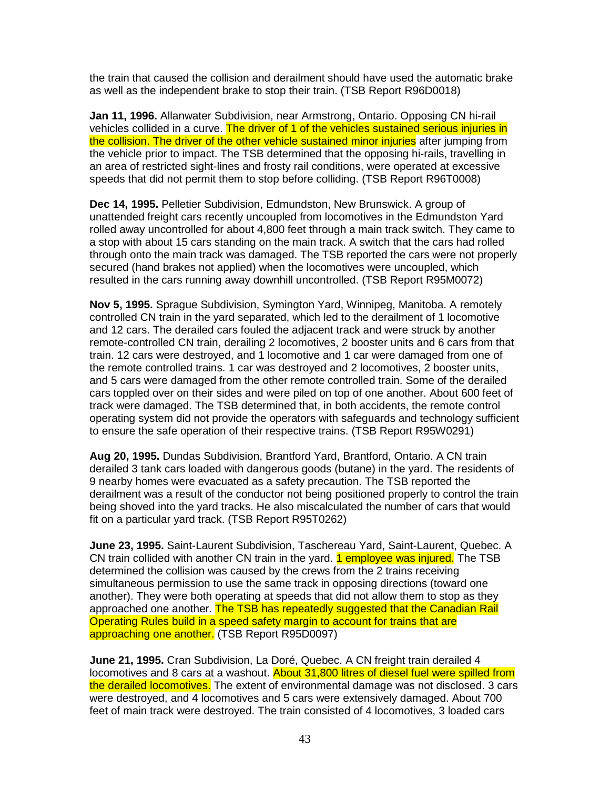the train that caused the collision and derailment should have used the automatic brake as well as the independent brake to stop their train. (TSB Report R96D0018)

**Jan 11, 1996.** Allanwater Subdivision, near Armstrong, Ontario. Opposing CN hi-rail vehicles collided in a curve. The driver of 1 of the vehicles sustained serious injuries in the collision. The driver of the other vehicle sustained minor injuries after jumping from the vehicle prior to impact. The TSB determined that the opposing hi-rails, travelling in an area of restricted sight-lines and frosty rail conditions, were operated at excessive speeds that did not permit them to stop before colliding. (TSB Report R96T0008)

**Dec 14, 1995.** Pelletier Subdivision, Edmundston, New Brunswick. A group of unattended freight cars recently uncoupled from locomotives in the Edmundston Yard rolled away uncontrolled for about 4,800 feet through a main track switch. They came to a stop with about 15 cars standing on the main track. A switch that the cars had rolled through onto the main track was damaged. The TSB reported the cars were not properly secured (hand brakes not applied) when the locomotives were uncoupled, which resulted in the cars running away downhill uncontrolled. (TSB Report R95M0072)

**Nov 5, 1995.** Sprague Subdivision, Symington Yard, Winnipeg, Manitoba. A remotely controlled CN train in the yard separated, which led to the derailment of 1 locomotive and 12 cars. The derailed cars fouled the adjacent track and were struck by another remote-controlled CN train, derailing 2 locomotives, 2 booster units and 6 cars from that train. 12 cars were destroyed, and 1 locomotive and 1 car were damaged from one of the remote controlled trains. 1 car was destroyed and 2 locomotives, 2 booster units, and 5 cars were damaged from the other remote controlled train. Some of the derailed cars toppled over on their sides and were piled on top of one another. About 600 feet of track were damaged. The TSB determined that, in both accidents, the remote control operating system did not provide the operators with safeguards and technology sufficient to ensure the safe operation of their respective trains. (TSB Report R95W0291)

**Aug 20, 1995.** Dundas Subdivision, Brantford Yard, Brantford, Ontario. A CN train derailed 3 tank cars loaded with dangerous goods (butane) in the yard. The residents of 9 nearby homes were evacuated as a safety precaution. The TSB reported the derailment was a result of the conductor not being positioned properly to control the train being shoved into the yard tracks. He also miscalculated the number of cars that would fit on a particular yard track. (TSB Report R95T0262)

**June 23, 1995.** Saint-Laurent Subdivision, Taschereau Yard, Saint-Laurent, Quebec. A CN train collided with another CN train in the yard. **1 employee was injured.** The TSB determined the collision was caused by the crews from the 2 trains receiving simultaneous permission to use the same track in opposing directions (toward one another). They were both operating at speeds that did not allow them to stop as they approached one another. The TSB has repeatedly suggested that the Canadian Rail Operating Rules build in a speed safety margin to account for trains that are approaching one another. (TSB Report R95D0097)

**June 21, 1995.** Cran Subdivision, La Doré, Quebec. A CN freight train derailed 4 locomotives and 8 cars at a washout. About 31,800 litres of diesel fuel were spilled from the derailed locomotives. The extent of environmental damage was not disclosed. 3 cars were destroyed, and 4 locomotives and 5 cars were extensively damaged. About 700 feet of main track were destroyed. The train consisted of 4 locomotives, 3 loaded cars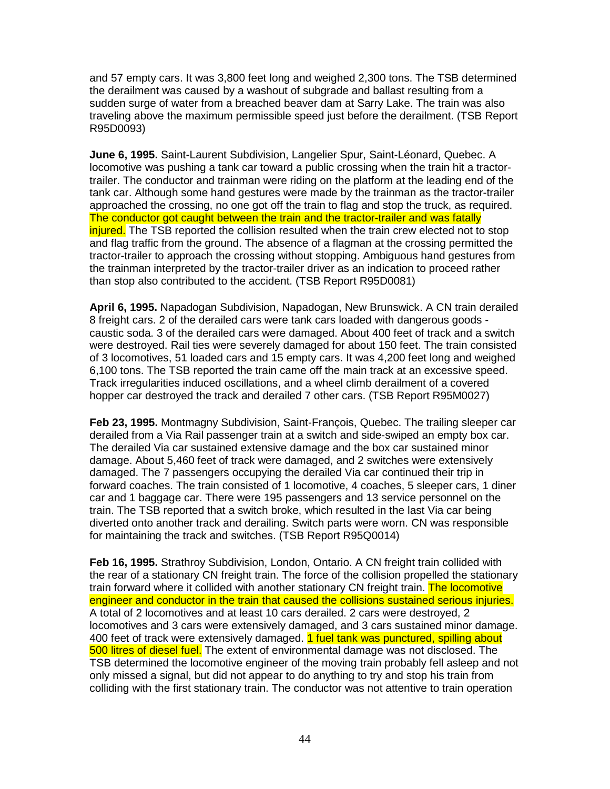and 57 empty cars. It was 3,800 feet long and weighed 2,300 tons. The TSB determined the derailment was caused by a washout of subgrade and ballast resulting from a sudden surge of water from a breached beaver dam at Sarry Lake. The train was also traveling above the maximum permissible speed just before the derailment. (TSB Report R95D0093)

**June 6, 1995.** Saint-Laurent Subdivision, Langelier Spur, Saint-Léonard, Quebec. A locomotive was pushing a tank car toward a public crossing when the train hit a tractortrailer. The conductor and trainman were riding on the platform at the leading end of the tank car. Although some hand gestures were made by the trainman as the tractor-trailer approached the crossing, no one got off the train to flag and stop the truck, as required. The conductor got caught between the train and the tractor-trailer and was fatally injured. The TSB reported the collision resulted when the train crew elected not to stop and flag traffic from the ground. The absence of a flagman at the crossing permitted the tractor-trailer to approach the crossing without stopping. Ambiguous hand gestures from the trainman interpreted by the tractor-trailer driver as an indication to proceed rather than stop also contributed to the accident. (TSB Report R95D0081)

**April 6, 1995.** Napadogan Subdivision, Napadogan, New Brunswick. A CN train derailed 8 freight cars. 2 of the derailed cars were tank cars loaded with dangerous goods caustic soda. 3 of the derailed cars were damaged. About 400 feet of track and a switch were destroyed. Rail ties were severely damaged for about 150 feet. The train consisted of 3 locomotives, 51 loaded cars and 15 empty cars. It was 4,200 feet long and weighed 6,100 tons. The TSB reported the train came off the main track at an excessive speed. Track irregularities induced oscillations, and a wheel climb derailment of a covered hopper car destroyed the track and derailed 7 other cars. (TSB Report R95M0027)

**Feb 23, 1995.** Montmagny Subdivision, Saint-François, Quebec. The trailing sleeper car derailed from a Via Rail passenger train at a switch and side-swiped an empty box car. The derailed Via car sustained extensive damage and the box car sustained minor damage. About 5,460 feet of track were damaged, and 2 switches were extensively damaged. The 7 passengers occupying the derailed Via car continued their trip in forward coaches. The train consisted of 1 locomotive, 4 coaches, 5 sleeper cars, 1 diner car and 1 baggage car. There were 195 passengers and 13 service personnel on the train. The TSB reported that a switch broke, which resulted in the last Via car being diverted onto another track and derailing. Switch parts were worn. CN was responsible for maintaining the track and switches. (TSB Report R95Q0014)

**Feb 16, 1995.** Strathroy Subdivision, London, Ontario. A CN freight train collided with the rear of a stationary CN freight train. The force of the collision propelled the stationary train forward where it collided with another stationary CN freight train. The locomotive engineer and conductor in the train that caused the collisions sustained serious injuries. A total of 2 locomotives and at least 10 cars derailed. 2 cars were destroyed, 2 locomotives and 3 cars were extensively damaged, and 3 cars sustained minor damage. 400 feet of track were extensively damaged. 1 fuel tank was punctured, spilling about 500 litres of diesel fuel. The extent of environmental damage was not disclosed. The TSB determined the locomotive engineer of the moving train probably fell asleep and not only missed a signal, but did not appear to do anything to try and stop his train from colliding with the first stationary train. The conductor was not attentive to train operation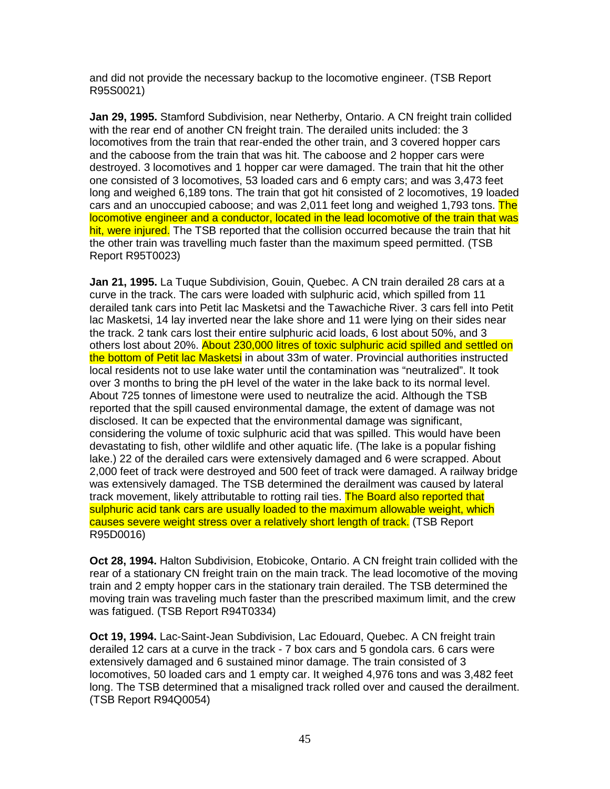and did not provide the necessary backup to the locomotive engineer. (TSB Report R95S0021)

**Jan 29, 1995.** Stamford Subdivision, near Netherby, Ontario. A CN freight train collided with the rear end of another CN freight train. The derailed units included: the 3 locomotives from the train that rear-ended the other train, and 3 covered hopper cars and the caboose from the train that was hit. The caboose and 2 hopper cars were destroyed. 3 locomotives and 1 hopper car were damaged. The train that hit the other one consisted of 3 locomotives, 53 loaded cars and 6 empty cars; and was 3,473 feet long and weighed 6,189 tons. The train that got hit consisted of 2 locomotives, 19 loaded cars and an unoccupied caboose; and was 2,011 feet long and weighed 1,793 tons. The locomotive engineer and a conductor, located in the lead locomotive of the train that was hit, were injured. The TSB reported that the collision occurred because the train that hit the other train was travelling much faster than the maximum speed permitted. (TSB Report R95T0023)

**Jan 21, 1995.** La Tuque Subdivision, Gouin, Quebec. A CN train derailed 28 cars at a curve in the track. The cars were loaded with sulphuric acid, which spilled from 11 derailed tank cars into Petit lac Masketsi and the Tawachiche River. 3 cars fell into Petit lac Masketsi, 14 lay inverted near the lake shore and 11 were lying on their sides near the track. 2 tank cars lost their entire sulphuric acid loads, 6 lost about 50%, and 3 others lost about 20%. About 230,000 litres of toxic sulphuric acid spilled and settled on the bottom of Petit lac Masketsi in about 33m of water. Provincial authorities instructed local residents not to use lake water until the contamination was "neutralized". It took over 3 months to bring the pH level of the water in the lake back to its normal level. About 725 tonnes of limestone were used to neutralize the acid. Although the TSB reported that the spill caused environmental damage, the extent of damage was not disclosed. It can be expected that the environmental damage was significant, considering the volume of toxic sulphuric acid that was spilled. This would have been devastating to fish, other wildlife and other aquatic life. (The lake is a popular fishing lake.) 22 of the derailed cars were extensively damaged and 6 were scrapped. About 2,000 feet of track were destroyed and 500 feet of track were damaged. A railway bridge was extensively damaged. The TSB determined the derailment was caused by lateral track movement, likely attributable to rotting rail ties. The Board also reported that sulphuric acid tank cars are usually loaded to the maximum allowable weight, which causes severe weight stress over a relatively short length of track. (TSB Report R95D0016)

**Oct 28, 1994.** Halton Subdivision, Etobicoke, Ontario. A CN freight train collided with the rear of a stationary CN freight train on the main track. The lead locomotive of the moving train and 2 empty hopper cars in the stationary train derailed. The TSB determined the moving train was traveling much faster than the prescribed maximum limit, and the crew was fatigued. (TSB Report R94T0334)

**Oct 19, 1994.** Lac-Saint-Jean Subdivision, Lac Edouard, Quebec. A CN freight train derailed 12 cars at a curve in the track - 7 box cars and 5 gondola cars. 6 cars were extensively damaged and 6 sustained minor damage. The train consisted of 3 locomotives, 50 loaded cars and 1 empty car. It weighed 4,976 tons and was 3,482 feet long. The TSB determined that a misaligned track rolled over and caused the derailment. (TSB Report R94Q0054)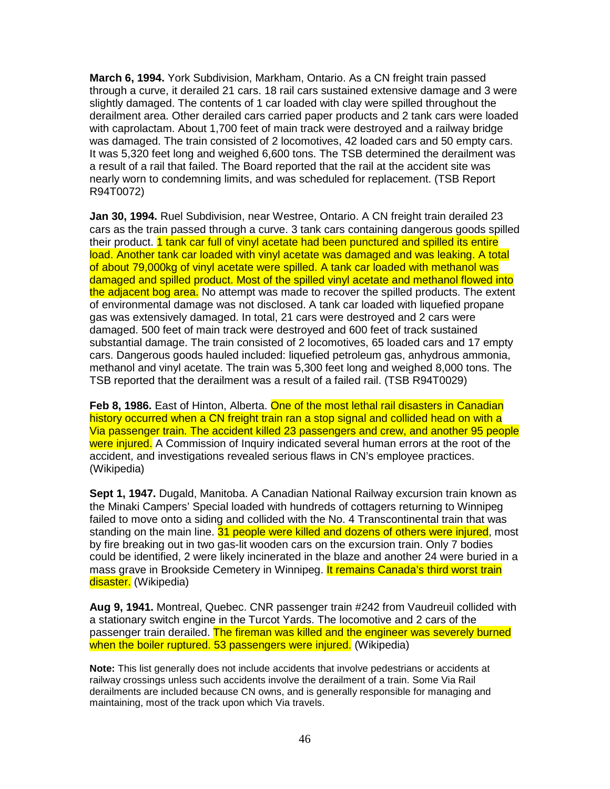**March 6, 1994.** York Subdivision, Markham, Ontario. As a CN freight train passed through a curve, it derailed 21 cars. 18 rail cars sustained extensive damage and 3 were slightly damaged. The contents of 1 car loaded with clay were spilled throughout the derailment area. Other derailed cars carried paper products and 2 tank cars were loaded with caprolactam. About 1,700 feet of main track were destroyed and a railway bridge was damaged. The train consisted of 2 locomotives, 42 loaded cars and 50 empty cars. It was 5,320 feet long and weighed 6,600 tons. The TSB determined the derailment was a result of a rail that failed. The Board reported that the rail at the accident site was nearly worn to condemning limits, and was scheduled for replacement. (TSB Report R94T0072)

**Jan 30, 1994.** Ruel Subdivision, near Westree, Ontario. A CN freight train derailed 23 cars as the train passed through a curve. 3 tank cars containing dangerous goods spilled their product. **1 tank car full of vinyl acetate had been punctured and spilled its entire** load. Another tank car loaded with vinyl acetate was damaged and was leaking. A total of about 79,000kg of vinyl acetate were spilled. A tank car loaded with methanol was damaged and spilled product. Most of the spilled vinyl acetate and methanol flowed into the adjacent bog area. No attempt was made to recover the spilled products. The extent of environmental damage was not disclosed. A tank car loaded with liquefied propane gas was extensively damaged. In total, 21 cars were destroyed and 2 cars were damaged. 500 feet of main track were destroyed and 600 feet of track sustained substantial damage. The train consisted of 2 locomotives, 65 loaded cars and 17 empty cars. Dangerous goods hauled included: liquefied petroleum gas, anhydrous ammonia, methanol and vinyl acetate. The train was 5,300 feet long and weighed 8,000 tons. The TSB reported that the derailment was a result of a failed rail. (TSB R94T0029)

**Feb 8, 1986.** East of Hinton, Alberta. One of the most lethal rail disasters in Canadian history occurred when a CN freight train ran a stop signal and collided head on with a Via passenger train. The accident killed 23 passengers and crew, and another 95 people were injured. A Commission of Inquiry indicated several human errors at the root of the accident, and investigations revealed serious flaws in CN's employee practices. (Wikipedia)

**Sept 1, 1947.** Dugald, Manitoba. A Canadian National Railway excursion train known as the Minaki Campers' Special loaded with hundreds of cottagers returning to Winnipeg failed to move onto a siding and collided with the No. 4 Transcontinental train that was standing on the main line. 31 people were killed and dozens of others were injured, most by fire breaking out in two gas-lit wooden cars on the excursion train. Only 7 bodies could be identified, 2 were likely incinerated in the blaze and another 24 were buried in a mass grave in Brookside Cemetery in Winnipeg. It remains Canada's third worst train disaster. (Wikipedia)

**Aug 9, 1941.** Montreal, Quebec. CNR passenger train #242 from Vaudreuil collided with a stationary switch engine in the Turcot Yards. The locomotive and 2 cars of the passenger train derailed. The fireman was killed and the engineer was severely burned when the boiler ruptured. 53 passengers were injured. (Wikipedia)

**Note:** This list generally does not include accidents that involve pedestrians or accidents at railway crossings unless such accidents involve the derailment of a train. Some Via Rail derailments are included because CN owns, and is generally responsible for managing and maintaining, most of the track upon which Via travels.